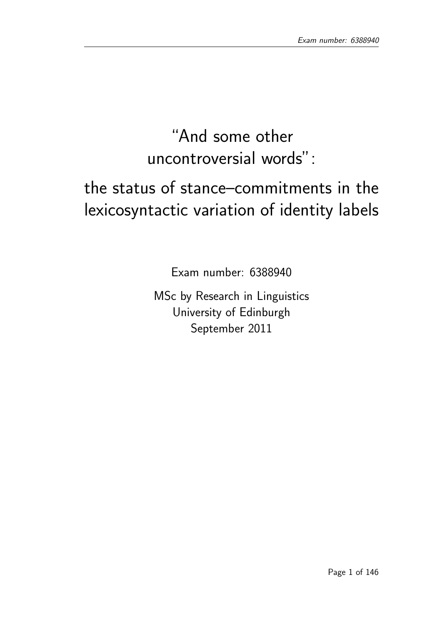# "And some other uncontroversial words":

# the status of stance–commitments in the lexicosyntactic variation of identity labels

Exam number: 6388940

MSc by Research in Linguistics University of Edinburgh September 2011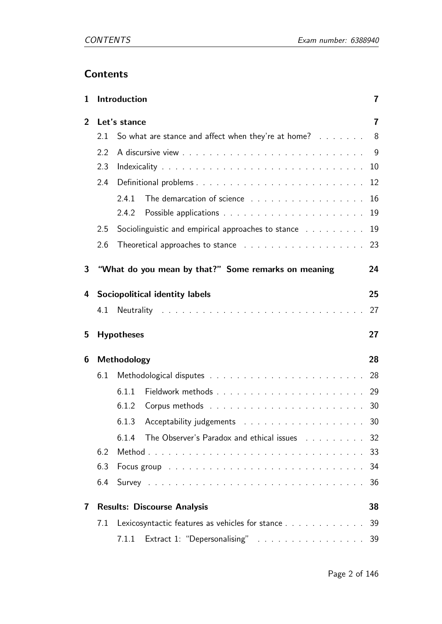# **Contents**

| $\mathbf{1}$      | Introduction                                              |                                                                                                                                                                                                                                |  | 7              |
|-------------------|-----------------------------------------------------------|--------------------------------------------------------------------------------------------------------------------------------------------------------------------------------------------------------------------------------|--|----------------|
| Let's stance<br>2 |                                                           |                                                                                                                                                                                                                                |  | $\overline{7}$ |
| 2.1               |                                                           | So what are stance and affect when they're at home? 8                                                                                                                                                                          |  |                |
|                   | 2.2                                                       |                                                                                                                                                                                                                                |  | - 9            |
|                   | 2.3                                                       |                                                                                                                                                                                                                                |  | 10             |
|                   | 2.4                                                       |                                                                                                                                                                                                                                |  | 12             |
|                   |                                                           | 2.4.1<br>The demarcation of science                                                                                                                                                                                            |  | 16             |
|                   |                                                           | 2.4.2                                                                                                                                                                                                                          |  | 19             |
|                   | 2.5<br>Sociolinguistic and empirical approaches to stance |                                                                                                                                                                                                                                |  | 19             |
|                   | 2.6                                                       | Theoretical approaches to stance response to contain the set of the state of the state of the state of the state of the state of the state of the state of the state of the state of the state of the state of the state of th |  | 23             |
| 3                 |                                                           | "What do you mean by that?" Some remarks on meaning                                                                                                                                                                            |  | 24             |
| 4                 |                                                           | <b>Sociopolitical identity labels</b>                                                                                                                                                                                          |  | 25             |
|                   | 4.1                                                       |                                                                                                                                                                                                                                |  | 27             |
|                   |                                                           |                                                                                                                                                                                                                                |  |                |
| 5                 |                                                           | <b>Hypotheses</b>                                                                                                                                                                                                              |  | 27             |
| 6                 |                                                           | Methodology                                                                                                                                                                                                                    |  | 28             |
|                   | 6.1                                                       |                                                                                                                                                                                                                                |  | 28             |
|                   |                                                           | 6.1.1                                                                                                                                                                                                                          |  | 29             |
|                   |                                                           | 6.1.2                                                                                                                                                                                                                          |  | 30             |
|                   |                                                           | Acceptability judgements 30<br>6.1.3                                                                                                                                                                                           |  |                |
|                   |                                                           | The Observer's Paradox and ethical issues 32<br>6.1.4                                                                                                                                                                          |  |                |
|                   | 6.2                                                       |                                                                                                                                                                                                                                |  |                |
|                   | 6.3                                                       | Focus group received and service contracts and service contracts of the Focus of the Focus of the Focus of the                                                                                                                 |  | 34             |
|                   | 6.4                                                       |                                                                                                                                                                                                                                |  | 36             |
| 7                 |                                                           | <b>Results: Discourse Analysis</b>                                                                                                                                                                                             |  | 38             |
|                   | 7.1                                                       | Lexicosyntactic features as vehicles for stance                                                                                                                                                                                |  | 39             |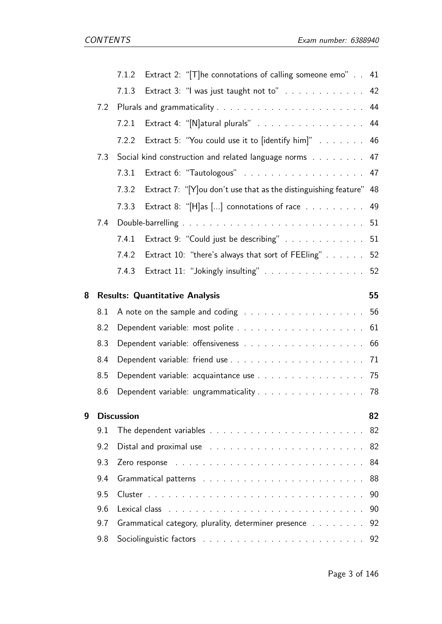|   |                                                               | Extract 2: "[T]he connotations of calling someone emo" 41<br>7.1.2                                                                                                                                                                  |    |  |
|---|---------------------------------------------------------------|-------------------------------------------------------------------------------------------------------------------------------------------------------------------------------------------------------------------------------------|----|--|
|   |                                                               | Extract 3: "I was just taught not to" 42<br>7.1.3                                                                                                                                                                                   |    |  |
|   | 7.2                                                           |                                                                                                                                                                                                                                     |    |  |
|   |                                                               | Extract 4: "[N]atural plurals" 44<br>7.2.1                                                                                                                                                                                          |    |  |
|   |                                                               | Extract 5: "You could use it to [identify him]" 46<br>7.2.2                                                                                                                                                                         |    |  |
|   | Social kind construction and related language norms 47<br>7.3 |                                                                                                                                                                                                                                     |    |  |
|   |                                                               | 7.3.1                                                                                                                                                                                                                               |    |  |
|   |                                                               | Extract 7: "[Y] ou don't use that as the distinguishing feature" 48<br>7.3.2                                                                                                                                                        |    |  |
|   |                                                               | Extract 8: " $[H]$ as [] connotations of race $\ldots$ 49<br>7.3.3                                                                                                                                                                  |    |  |
|   | 7.4                                                           |                                                                                                                                                                                                                                     |    |  |
|   |                                                               | Extract 9: "Could just be describing" 51<br>7.4.1                                                                                                                                                                                   |    |  |
|   |                                                               | Extract 10: "there's always that sort of FEEling" 52<br>7.4.2                                                                                                                                                                       |    |  |
|   |                                                               | Extract 11: "Jokingly insulting" 52<br>7.4.3                                                                                                                                                                                        |    |  |
| 8 |                                                               | <b>Results: Quantitative Analysis</b>                                                                                                                                                                                               | 55 |  |
|   | 8.1                                                           | A note on the sample and coding $\ldots \ldots \ldots \ldots \ldots \ldots \ldots 56$                                                                                                                                               |    |  |
|   | 8.2                                                           |                                                                                                                                                                                                                                     |    |  |
|   | 8.3                                                           |                                                                                                                                                                                                                                     |    |  |
|   | 8.4                                                           |                                                                                                                                                                                                                                     |    |  |
|   | 8.5                                                           | Dependent variable: acquaintance use 75                                                                                                                                                                                             |    |  |
|   | 8.6                                                           | Dependent variable: ungrammaticality 78                                                                                                                                                                                             |    |  |
| 9 |                                                               | <b>Discussion</b>                                                                                                                                                                                                                   | 82 |  |
|   | 9.1                                                           |                                                                                                                                                                                                                                     | 82 |  |
|   | 9.2                                                           | Distal and proximal use $\ldots \ldots \ldots \ldots \ldots \ldots \ldots$<br>82                                                                                                                                                    |    |  |
|   | 9.3                                                           | 84<br>Zero response reconsident and the contract of the contract of the contract of the contract of the contract of the contract of the contract of the contract of the contract of the contract of the contract of the contract of |    |  |
|   | 9.4                                                           |                                                                                                                                                                                                                                     | 88 |  |
|   | 9.5                                                           |                                                                                                                                                                                                                                     | 90 |  |
|   | 9.6                                                           | Lexical class                                                                                                                                                                                                                       | 90 |  |
|   | 9.7                                                           | Grammatical category, plurality, determiner presence                                                                                                                                                                                | 92 |  |
|   | 9.8                                                           | 92                                                                                                                                                                                                                                  |    |  |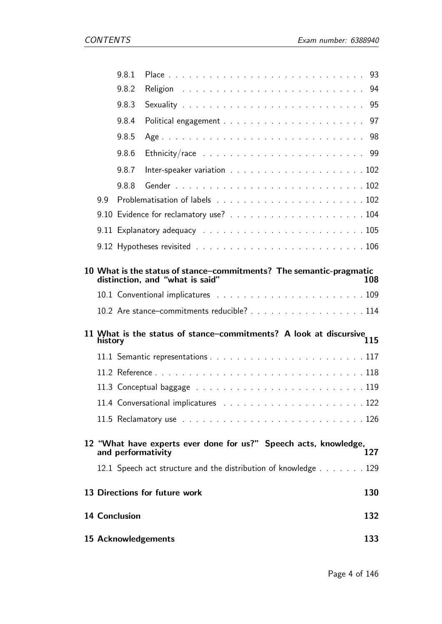|     | 9.8.1                |                                                                                                        |     |
|-----|----------------------|--------------------------------------------------------------------------------------------------------|-----|
|     | 9.8.2                |                                                                                                        |     |
|     | 9.8.3                |                                                                                                        |     |
|     | 9.8.4                |                                                                                                        |     |
|     | 9.8.5                |                                                                                                        |     |
|     | 9.8.6                |                                                                                                        |     |
|     | 9.8.7                |                                                                                                        |     |
|     | 9.8.8                |                                                                                                        |     |
| 9.9 |                      |                                                                                                        |     |
|     |                      |                                                                                                        |     |
|     |                      |                                                                                                        |     |
|     |                      |                                                                                                        |     |
|     |                      | 10 What is the status of stance–commitments? The semantic-pragmatic<br>distinction, and "what is said" | 108 |
|     |                      | 10.2 Are stance-commitments reducible? 114                                                             |     |
|     |                      |                                                                                                        |     |
|     | history              | 11 What is the status of stance–commitments? A look at discursive<br>115                               |     |
|     |                      |                                                                                                        |     |
|     |                      |                                                                                                        |     |
|     |                      |                                                                                                        |     |
|     |                      |                                                                                                        |     |
|     |                      |                                                                                                        |     |
|     | and performativity   | 12 "What have experts ever done for us?" Speech acts, knowledge,                                       | 127 |
|     |                      | 12.1 Speech act structure and the distribution of knowledge 129                                        |     |
|     |                      | 13 Directions for future work                                                                          | 130 |
|     | <b>14 Conclusion</b> |                                                                                                        | 132 |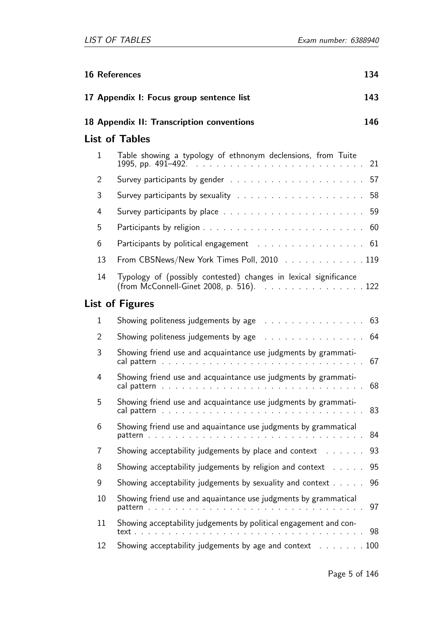| 134<br><b>16 References</b> |                                                                                                                                                             |     |
|-----------------------------|-------------------------------------------------------------------------------------------------------------------------------------------------------------|-----|
|                             | 17 Appendix I: Focus group sentence list                                                                                                                    | 143 |
|                             | 18 Appendix II: Transcription conventions                                                                                                                   | 146 |
|                             | <b>List of Tables</b>                                                                                                                                       |     |
| 1                           | Table showing a typology of ethnonym declensions, from Tuite                                                                                                | 21  |
| $\overline{2}$              |                                                                                                                                                             |     |
| 3                           | Survey participants by sexuality response to response the set of the second section of the second service of the                                            | 58  |
| 4                           |                                                                                                                                                             | 59  |
| 5                           |                                                                                                                                                             | 60  |
| 6                           | Participants by political engagement (Fig. 1, Theorem 1, Theorem 1, Theorem 1, Theorem 1, Theorem 1, Theorem 1                                              | 61  |
| 13                          | From CBSNews/New York Times Poll, 2010 119                                                                                                                  |     |
| 14                          | Typology of (possibly contested) changes in lexical significance<br>(from McConnell-Ginet 2008, p. 516). $\ldots \ldots \ldots \ldots \ldots \ldots \ldots$ |     |
|                             | List of Figures                                                                                                                                             |     |
| 1                           | Showing politeness judgements by age (a) and a subset of the set of the Showing politeness in the set of the s                                              | 63  |
| $\overline{2}$              | Showing politeness judgements by age remain and contact the set of the Showing politeness judgements by age remains and contact the state                   | 64  |
| 3                           | Showing friend use and acquaintance use judgments by grammati-                                                                                              | 67  |
| 4                           | Showing friend use and acquaintance use judgments by grammati-                                                                                              | 68  |
| 5                           | Showing friend use and acquaintance use judgments by grammati-                                                                                              | 83  |
| 6                           | Showing friend use and aquaintance use judgments by grammatical                                                                                             | 84  |
| 7                           | Showing acceptability judgements by place and context                                                                                                       | 93  |
| 8                           | Showing acceptability judgements by religion and context                                                                                                    | 95  |
| 9                           | Showing acceptability judgements by sexuality and context                                                                                                   | 96  |
| 10                          | Showing friend use and aquaintance use judgments by grammatical                                                                                             | 97  |
| 11                          | Showing acceptability judgements by political engagement and con-                                                                                           | 98  |
| 12                          | Showing acceptability judgements by age and context 100                                                                                                     |     |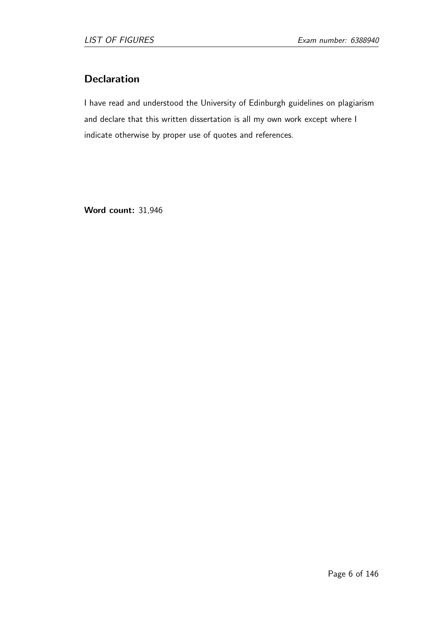# **Declaration**

I have read and understood the University of Edinburgh guidelines on plagiarism and declare that this written dissertation is all my own work except where I indicate otherwise by proper use of quotes and references.

Word count: 31,946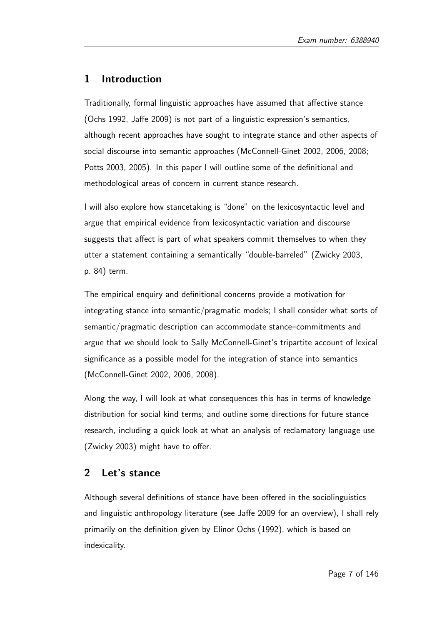# 1 Introduction

Traditionally, formal linguistic approaches have assumed that affective stance (Ochs 1992, Jaffe 2009) is not part of a linguistic expression's semantics, although recent approaches have sought to integrate stance and other aspects of social discourse into semantic approaches (McConnell-Ginet 2002, 2006, 2008; Potts 2003, 2005). In this paper I will outline some of the definitional and methodological areas of concern in current stance research.

I will also explore how stancetaking is "done" on the lexicosyntactic level and argue that empirical evidence from lexicosyntactic variation and discourse suggests that affect is part of what speakers commit themselves to when they utter a statement containing a semantically "double-barreled" (Zwicky 2003, p. 84) term.

The empirical enquiry and definitional concerns provide a motivation for integrating stance into semantic/pragmatic models; I shall consider what sorts of semantic/pragmatic description can accommodate stance–commitments and argue that we should look to Sally McConnell-Ginet's tripartite account of lexical significance as a possible model for the integration of stance into semantics (McConnell-Ginet 2002, 2006, 2008).

Along the way, I will look at what consequences this has in terms of knowledge distribution for social kind terms; and outline some directions for future stance research, including a quick look at what an analysis of reclamatory language use (Zwicky 2003) might have to offer.

## 2 Let's stance

Although several definitions of stance have been offered in the sociolinguistics and linguistic anthropology literature (see Jaffe 2009 for an overview), I shall rely primarily on the definition given by Elinor Ochs (1992), which is based on indexicality.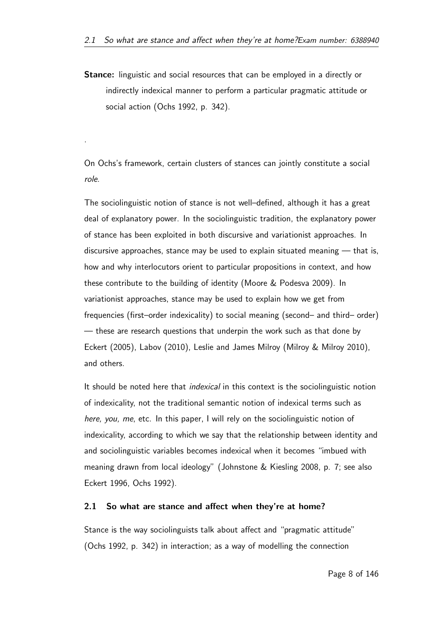Stance: linguistic and social resources that can be employed in a directly or indirectly indexical manner to perform a particular pragmatic attitude or social action (Ochs 1992, p. 342).

On Ochs's framework, certain clusters of stances can jointly constitute a social role.

.

The sociolinguistic notion of stance is not well–defined, although it has a great deal of explanatory power. In the sociolinguistic tradition, the explanatory power of stance has been exploited in both discursive and variationist approaches. In discursive approaches, stance may be used to explain situated meaning — that is, how and why interlocutors orient to particular propositions in context, and how these contribute to the building of identity (Moore & Podesva 2009). In variationist approaches, stance may be used to explain how we get from frequencies (first–order indexicality) to social meaning (second– and third– order) — these are research questions that underpin the work such as that done by Eckert (2005), Labov (2010), Leslie and James Milroy (Milroy & Milroy 2010), and others.

It should be noted here that *indexical* in this context is the sociolinguistic notion of indexicality, not the traditional semantic notion of indexical terms such as here, you, me, etc. In this paper, I will rely on the sociolinguistic notion of indexicality, according to which we say that the relationship between identity and and sociolinguistic variables becomes indexical when it becomes "imbued with meaning drawn from local ideology" (Johnstone & Kiesling 2008, p. 7; see also Eckert 1996, Ochs 1992).

#### 2.1 So what are stance and affect when they're at home?

Stance is the way sociolinguists talk about affect and "pragmatic attitude" (Ochs 1992, p. 342) in interaction; as a way of modelling the connection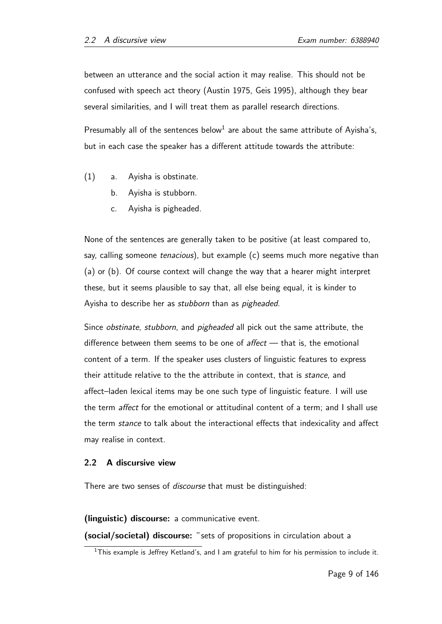between an utterance and the social action it may realise. This should not be confused with speech act theory (Austin 1975, Geis 1995), although they bear several similarities, and I will treat them as parallel research directions.

Presumably all of the sentences below<sup>1</sup> are about the same attribute of Ayisha's, but in each case the speaker has a different attitude towards the attribute:

- (1) a. Ayisha is obstinate.
	- b. Ayisha is stubborn.
	- c. Ayisha is pigheaded.

None of the sentences are generally taken to be positive (at least compared to, say, calling someone tenacious), but example (c) seems much more negative than (a) or (b). Of course context will change the way that a hearer might interpret these, but it seems plausible to say that, all else being equal, it is kinder to Ayisha to describe her as stubborn than as pigheaded.

Since *obstinate, stubborn*, and *pigheaded* all pick out the same attribute, the difference between them seems to be one of  $\mathit{after}$  that is, the emotional content of a term. If the speaker uses clusters of linguistic features to express their attitude relative to the the attribute in context, that is *stance*, and affect–laden lexical items may be one such type of linguistic feature. I will use the term *affect* for the emotional or attitudinal content of a term; and I shall use the term stance to talk about the interactional effects that indexicality and affect may realise in context.

#### 2.2 A discursive view

There are two senses of *discourse* that must be distinguished:

(linguistic) discourse: a communicative event.

(social/societal) discourse: "sets of propositions in circulation about a

<sup>&</sup>lt;sup>1</sup>This example is Jeffrey Ketland's, and I am grateful to him for his permission to include it.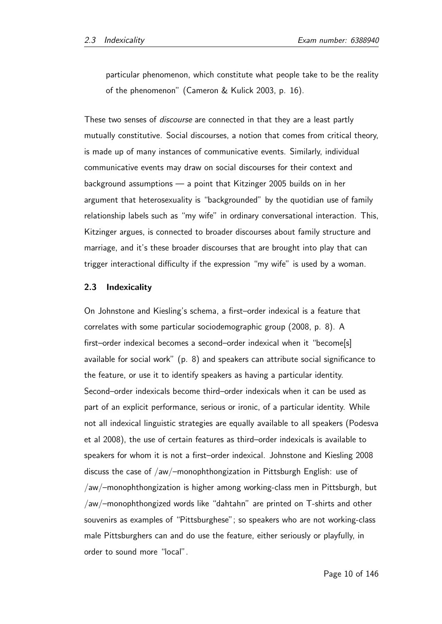particular phenomenon, which constitute what people take to be the reality of the phenomenon" (Cameron & Kulick 2003, p. 16).

These two senses of *discourse* are connected in that they are a least partly mutually constitutive. Social discourses, a notion that comes from critical theory, is made up of many instances of communicative events. Similarly, individual communicative events may draw on social discourses for their context and background assumptions — a point that Kitzinger 2005 builds on in her argument that heterosexuality is "backgrounded" by the quotidian use of family relationship labels such as "my wife" in ordinary conversational interaction. This, Kitzinger argues, is connected to broader discourses about family structure and marriage, and it's these broader discourses that are brought into play that can trigger interactional difficulty if the expression "my wife" is used by a woman.

#### 2.3 Indexicality

On Johnstone and Kiesling's schema, a first–order indexical is a feature that correlates with some particular sociodemographic group (2008, p. 8). A first–order indexical becomes a second–order indexical when it "become[s] available for social work" (p. 8) and speakers can attribute social significance to the feature, or use it to identify speakers as having a particular identity. Second–order indexicals become third–order indexicals when it can be used as part of an explicit performance, serious or ironic, of a particular identity. While not all indexical linguistic strategies are equally available to all speakers (Podesva et al 2008), the use of certain features as third–order indexicals is available to speakers for whom it is not a first–order indexical. Johnstone and Kiesling 2008 discuss the case of /aw/–monophthongization in Pittsburgh English: use of /aw/–monophthongization is higher among working-class men in Pittsburgh, but /aw/–monophthongized words like "dahtahn" are printed on T-shirts and other souvenirs as examples of "Pittsburghese"; so speakers who are not working-class male Pittsburghers can and do use the feature, either seriously or playfully, in order to sound more "local".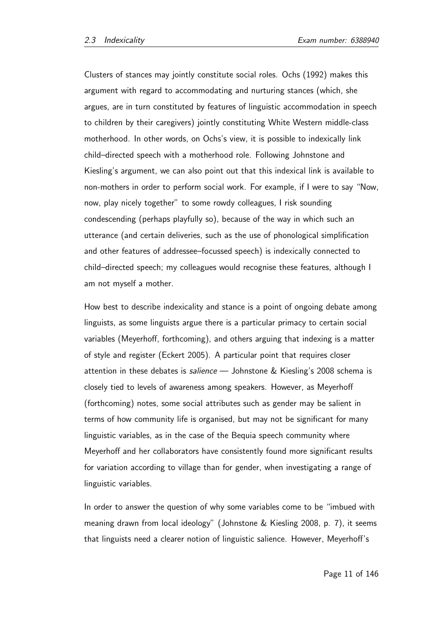Clusters of stances may jointly constitute social roles. Ochs (1992) makes this argument with regard to accommodating and nurturing stances (which, she argues, are in turn constituted by features of linguistic accommodation in speech to children by their caregivers) jointly constituting White Western middle-class motherhood. In other words, on Ochs's view, it is possible to indexically link child–directed speech with a motherhood role. Following Johnstone and Kiesling's argument, we can also point out that this indexical link is available to non-mothers in order to perform social work. For example, if I were to say "Now, now, play nicely together" to some rowdy colleagues, I risk sounding condescending (perhaps playfully so), because of the way in which such an utterance (and certain deliveries, such as the use of phonological simplification and other features of addressee–focussed speech) is indexically connected to child–directed speech; my colleagues would recognise these features, although I am not myself a mother.

How best to describe indexicality and stance is a point of ongoing debate among linguists, as some linguists argue there is a particular primacy to certain social variables (Meyerhoff, forthcoming), and others arguing that indexing is a matter of style and register (Eckert 2005). A particular point that requires closer attention in these debates is *salience* — Johnstone & Kiesling's 2008 schema is closely tied to levels of awareness among speakers. However, as Meyerhoff (forthcoming) notes, some social attributes such as gender may be salient in terms of how community life is organised, but may not be significant for many linguistic variables, as in the case of the Bequia speech community where Meyerhoff and her collaborators have consistently found more significant results for variation according to village than for gender, when investigating a range of linguistic variables.

In order to answer the question of why some variables come to be "imbued with meaning drawn from local ideology" (Johnstone & Kiesling 2008, p. 7), it seems that linguists need a clearer notion of linguistic salience. However, Meyerhoff's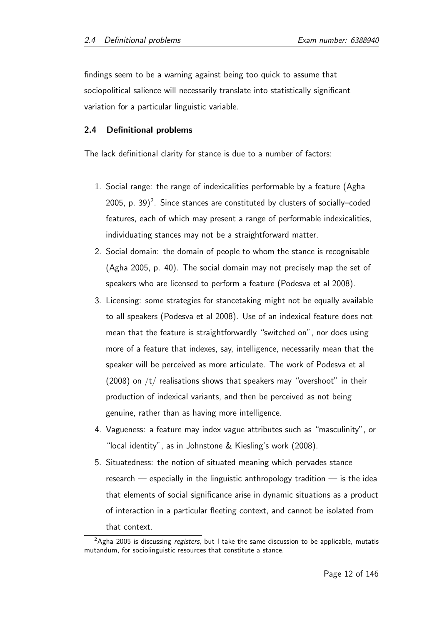findings seem to be a warning against being too quick to assume that sociopolitical salience will necessarily translate into statistically significant variation for a particular linguistic variable.

#### 2.4 Definitional problems

The lack definitional clarity for stance is due to a number of factors:

- 1. Social range: the range of indexicalities performable by a feature (Agha 2005, p. 39) $^2$ . Since stances are constituted by clusters of socially–coded features, each of which may present a range of performable indexicalities, individuating stances may not be a straightforward matter.
- 2. Social domain: the domain of people to whom the stance is recognisable (Agha 2005, p. 40). The social domain may not precisely map the set of speakers who are licensed to perform a feature (Podesva et al 2008).
- 3. Licensing: some strategies for stancetaking might not be equally available to all speakers (Podesva et al 2008). Use of an indexical feature does not mean that the feature is straightforwardly "switched on", nor does using more of a feature that indexes, say, intelligence, necessarily mean that the speaker will be perceived as more articulate. The work of Podesva et al (2008) on  $/t/$  realisations shows that speakers may "overshoot" in their production of indexical variants, and then be perceived as not being genuine, rather than as having more intelligence.
- 4. Vagueness: a feature may index vague attributes such as "masculinity", or "local identity", as in Johnstone & Kiesling's work (2008).
- 5. Situatedness: the notion of situated meaning which pervades stance research — especially in the linguistic anthropology tradition — is the idea that elements of social significance arise in dynamic situations as a product of interaction in a particular fleeting context, and cannot be isolated from that context.

 $2Agha$  2005 is discussing *registers*, but I take the same discussion to be applicable, mutatis mutandum, for sociolinguistic resources that constitute a stance.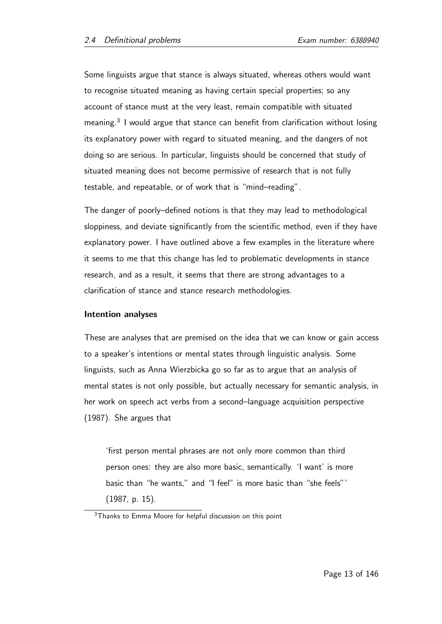Some linguists argue that stance is always situated, whereas others would want to recognise situated meaning as having certain special properties; so any account of stance must at the very least, remain compatible with situated meaning.<sup>3</sup> I would argue that stance can benefit from clarification without losing its explanatory power with regard to situated meaning, and the dangers of not doing so are serious. In particular, linguists should be concerned that study of situated meaning does not become permissive of research that is not fully testable, and repeatable, or of work that is "mind–reading".

The danger of poorly–defined notions is that they may lead to methodological sloppiness, and deviate significantly from the scientific method, even if they have explanatory power. I have outlined above a few examples in the literature where it seems to me that this change has led to problematic developments in stance research, and as a result, it seems that there are strong advantages to a clarification of stance and stance research methodologies.

#### Intention analyses

These are analyses that are premised on the idea that we can know or gain access to a speaker's intentions or mental states through linguistic analysis. Some linguists, such as Anna Wierzbicka go so far as to argue that an analysis of mental states is not only possible, but actually necessary for semantic analysis, in her work on speech act verbs from a second–language acquisition perspective (1987). She argues that

'first person mental phrases are not only more common than third person ones: they are also more basic, semantically. 'I want' is more basic than "he wants," and "I feel" is more basic than "she feels"' (1987, p. 15).

<sup>&</sup>lt;sup>3</sup>Thanks to Emma Moore for helpful discussion on this point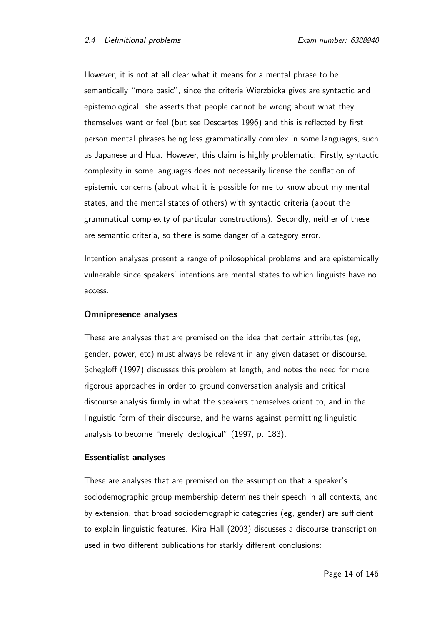However, it is not at all clear what it means for a mental phrase to be semantically "more basic", since the criteria Wierzbicka gives are syntactic and epistemological: she asserts that people cannot be wrong about what they themselves want or feel (but see Descartes 1996) and this is reflected by first person mental phrases being less grammatically complex in some languages, such as Japanese and Hua. However, this claim is highly problematic: Firstly, syntactic complexity in some languages does not necessarily license the conflation of epistemic concerns (about what it is possible for me to know about my mental states, and the mental states of others) with syntactic criteria (about the grammatical complexity of particular constructions). Secondly, neither of these are semantic criteria, so there is some danger of a category error.

Intention analyses present a range of philosophical problems and are epistemically vulnerable since speakers' intentions are mental states to which linguists have no access.

#### Omnipresence analyses

These are analyses that are premised on the idea that certain attributes (eg, gender, power, etc) must always be relevant in any given dataset or discourse. Schegloff (1997) discusses this problem at length, and notes the need for more rigorous approaches in order to ground conversation analysis and critical discourse analysis firmly in what the speakers themselves orient to, and in the linguistic form of their discourse, and he warns against permitting linguistic analysis to become "merely ideological" (1997, p. 183).

#### Essentialist analyses

These are analyses that are premised on the assumption that a speaker's sociodemographic group membership determines their speech in all contexts, and by extension, that broad sociodemographic categories (eg, gender) are sufficient to explain linguistic features. Kira Hall (2003) discusses a discourse transcription used in two different publications for starkly different conclusions: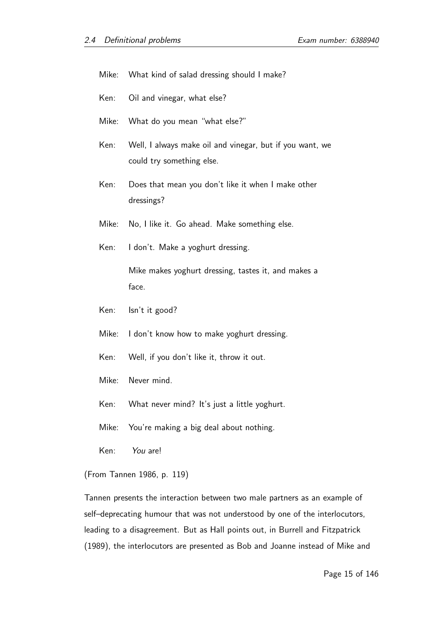|       | Mike: What kind of salad dressing should I make?                                      |  |  |
|-------|---------------------------------------------------------------------------------------|--|--|
| Ken:  | Oil and vinegar, what else?                                                           |  |  |
|       | Mike: What do you mean "what else?"                                                   |  |  |
| Ken:  | Well, I always make oil and vinegar, but if you want, we<br>could try something else. |  |  |
| Ken:  | Does that mean you don't like it when I make other<br>dressings?                      |  |  |
| Mike: | No, I like it. Go ahead. Make something else.                                         |  |  |
| Ken:  | I don't. Make a yoghurt dressing.                                                     |  |  |
|       | Mike makes yoghurt dressing, tastes it, and makes a<br>face.                          |  |  |
| Ken:  | Isn't it good?                                                                        |  |  |

- 
- Mike: I don't know how to make yoghurt dressing.
- Ken: Well, if you don't like it, throw it out.
- Mike: Never mind.
- Ken: What never mind? It's just a little yoghurt.
- Mike: You're making a big deal about nothing.
- Ken: You are!

(From Tannen 1986, p. 119)

Tannen presents the interaction between two male partners as an example of self–deprecating humour that was not understood by one of the interlocutors, leading to a disagreement. But as Hall points out, in Burrell and Fitzpatrick (1989), the interlocutors are presented as Bob and Joanne instead of Mike and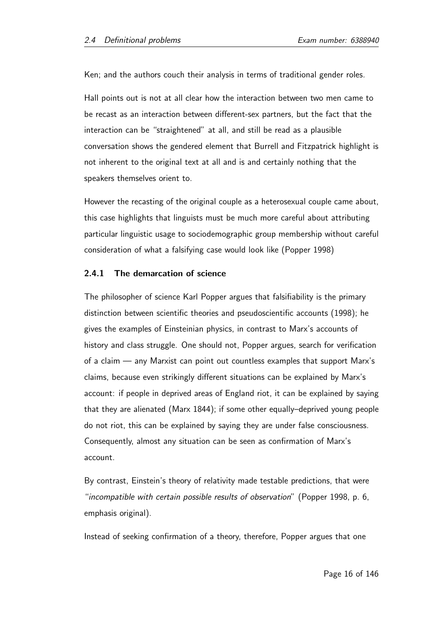Ken; and the authors couch their analysis in terms of traditional gender roles.

Hall points out is not at all clear how the interaction between two men came to be recast as an interaction between different-sex partners, but the fact that the interaction can be "straightened" at all, and still be read as a plausible conversation shows the gendered element that Burrell and Fitzpatrick highlight is not inherent to the original text at all and is and certainly nothing that the speakers themselves orient to.

However the recasting of the original couple as a heterosexual couple came about, this case highlights that linguists must be much more careful about attributing particular linguistic usage to sociodemographic group membership without careful consideration of what a falsifying case would look like (Popper 1998)

#### 2.4.1 The demarcation of science

The philosopher of science Karl Popper argues that falsifiability is the primary distinction between scientific theories and pseudoscientific accounts (1998); he gives the examples of Einsteinian physics, in contrast to Marx's accounts of history and class struggle. One should not, Popper argues, search for verification of a claim — any Marxist can point out countless examples that support Marx's claims, because even strikingly different situations can be explained by Marx's account: if people in deprived areas of England riot, it can be explained by saying that they are alienated (Marx 1844); if some other equally–deprived young people do not riot, this can be explained by saying they are under false consciousness. Consequently, almost any situation can be seen as confirmation of Marx's account.

By contrast, Einstein's theory of relativity made testable predictions, that were "incompatible with certain possible results of observation" (Popper 1998, p. 6, emphasis original).

Instead of seeking confirmation of a theory, therefore, Popper argues that one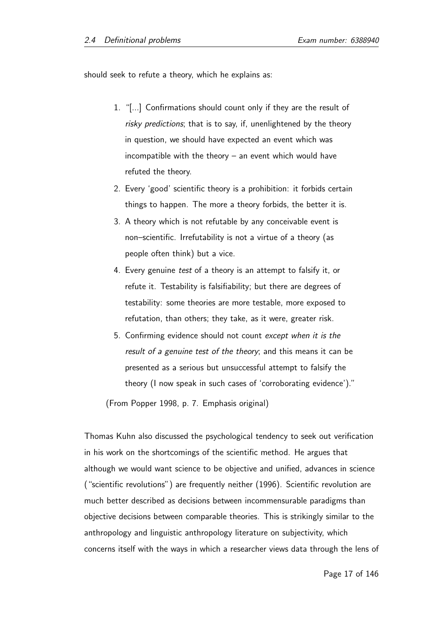should seek to refute a theory, which he explains as:

- 1. "[...] Confirmations should count only if they are the result of risky predictions; that is to say, if, unenlightened by the theory in question, we should have expected an event which was incompatible with the theory – an event which would have refuted the theory.
- 2. Every 'good' scientific theory is a prohibition: it forbids certain things to happen. The more a theory forbids, the better it is.
- 3. A theory which is not refutable by any conceivable event is non–scientific. Irrefutability is not a virtue of a theory (as people often think) but a vice.
- 4. Every genuine test of a theory is an attempt to falsify it, or refute it. Testability is falsifiability; but there are degrees of testability: some theories are more testable, more exposed to refutation, than others; they take, as it were, greater risk.
- 5. Confirming evidence should not count except when it is the result of a genuine test of the theory; and this means it can be presented as a serious but unsuccessful attempt to falsify the theory (I now speak in such cases of 'corroborating evidence')."

(From Popper 1998, p. 7. Emphasis original)

Thomas Kuhn also discussed the psychological tendency to seek out verification in his work on the shortcomings of the scientific method. He argues that although we would want science to be objective and unified, advances in science ("scientific revolutions") are frequently neither (1996). Scientific revolution are much better described as decisions between incommensurable paradigms than objective decisions between comparable theories. This is strikingly similar to the anthropology and linguistic anthropology literature on subjectivity, which concerns itself with the ways in which a researcher views data through the lens of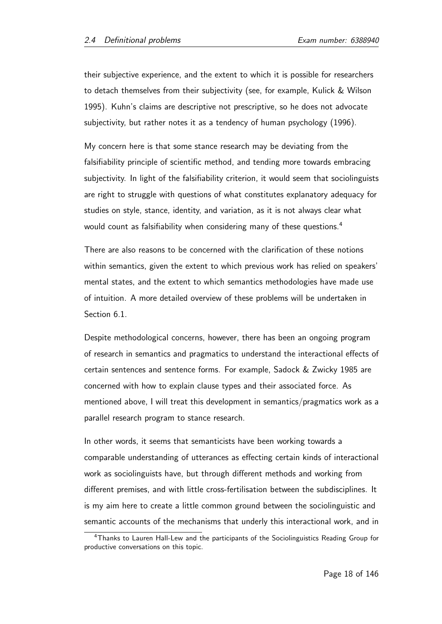their subjective experience, and the extent to which it is possible for researchers to detach themselves from their subjectivity (see, for example, Kulick & Wilson 1995). Kuhn's claims are descriptive not prescriptive, so he does not advocate subjectivity, but rather notes it as a tendency of human psychology (1996).

My concern here is that some stance research may be deviating from the falsifiability principle of scientific method, and tending more towards embracing subjectivity. In light of the falsifiability criterion, it would seem that sociolinguists are right to struggle with questions of what constitutes explanatory adequacy for studies on style, stance, identity, and variation, as it is not always clear what would count as falsifiability when considering many of these questions.<sup>4</sup>

There are also reasons to be concerned with the clarification of these notions within semantics, given the extent to which previous work has relied on speakers' mental states, and the extent to which semantics methodologies have made use of intuition. A more detailed overview of these problems will be undertaken in Section 6.1.

Despite methodological concerns, however, there has been an ongoing program of research in semantics and pragmatics to understand the interactional effects of certain sentences and sentence forms. For example, Sadock & Zwicky 1985 are concerned with how to explain clause types and their associated force. As mentioned above, I will treat this development in semantics/pragmatics work as a parallel research program to stance research.

In other words, it seems that semanticists have been working towards a comparable understanding of utterances as effecting certain kinds of interactional work as sociolinguists have, but through different methods and working from different premises, and with little cross-fertilisation between the subdisciplines. It is my aim here to create a little common ground between the sociolinguistic and semantic accounts of the mechanisms that underly this interactional work, and in

<sup>4</sup>Thanks to Lauren Hall-Lew and the participants of the Sociolinguistics Reading Group for productive conversations on this topic.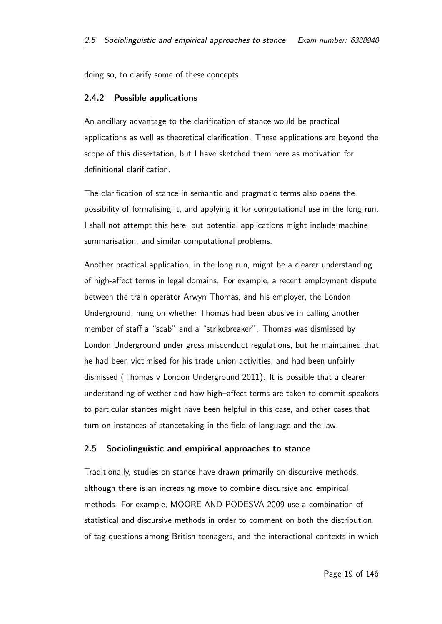doing so, to clarify some of these concepts.

#### 2.4.2 Possible applications

An ancillary advantage to the clarification of stance would be practical applications as well as theoretical clarification. These applications are beyond the scope of this dissertation, but I have sketched them here as motivation for definitional clarification.

The clarification of stance in semantic and pragmatic terms also opens the possibility of formalising it, and applying it for computational use in the long run. I shall not attempt this here, but potential applications might include machine summarisation, and similar computational problems.

Another practical application, in the long run, might be a clearer understanding of high-affect terms in legal domains. For example, a recent employment dispute between the train operator Arwyn Thomas, and his employer, the London Underground, hung on whether Thomas had been abusive in calling another member of staff a "scab" and a "strikebreaker". Thomas was dismissed by London Underground under gross misconduct regulations, but he maintained that he had been victimised for his trade union activities, and had been unfairly dismissed (Thomas v London Underground 2011). It is possible that a clearer understanding of wether and how high–affect terms are taken to commit speakers to particular stances might have been helpful in this case, and other cases that turn on instances of stancetaking in the field of language and the law.

#### 2.5 Sociolinguistic and empirical approaches to stance

Traditionally, studies on stance have drawn primarily on discursive methods, although there is an increasing move to combine discursive and empirical methods. For example, MOORE AND PODESVA 2009 use a combination of statistical and discursive methods in order to comment on both the distribution of tag questions among British teenagers, and the interactional contexts in which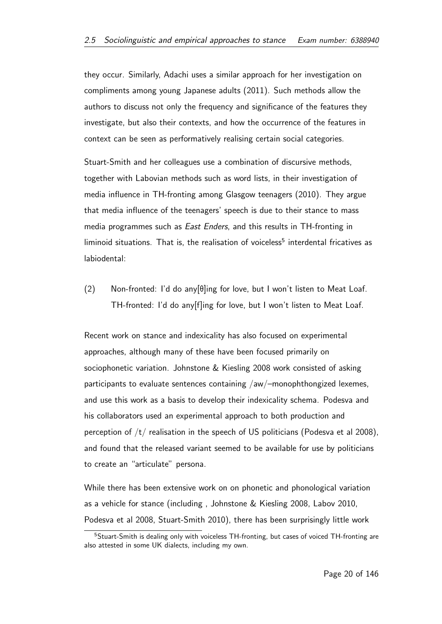they occur. Similarly, Adachi uses a similar approach for her investigation on compliments among young Japanese adults (2011). Such methods allow the authors to discuss not only the frequency and significance of the features they investigate, but also their contexts, and how the occurrence of the features in context can be seen as performatively realising certain social categories.

Stuart-Smith and her colleagues use a combination of discursive methods, together with Labovian methods such as word lists, in their investigation of media influence in TH-fronting among Glasgow teenagers (2010). They argue that media influence of the teenagers' speech is due to their stance to mass media programmes such as East Enders, and this results in TH-fronting in liminoid situations. That is, the realisation of voiceless<sup>5</sup> interdental fricatives as labiodental:

(2) Non-fronted: I'd do any [ $\theta$ ]ing for love, but I won't listen to Meat Loaf. TH-fronted: I'd do any[f]ing for love, but I won't listen to Meat Loaf.

Recent work on stance and indexicality has also focused on experimental approaches, although many of these have been focused primarily on sociophonetic variation. Johnstone & Kiesling 2008 work consisted of asking participants to evaluate sentences containing /aw/–monophthongized lexemes, and use this work as a basis to develop their indexicality schema. Podesva and his collaborators used an experimental approach to both production and perception of  $/t/$  realisation in the speech of US politicians (Podesva et al 2008), and found that the released variant seemed to be available for use by politicians to create an "articulate" persona.

While there has been extensive work on on phonetic and phonological variation as a vehicle for stance (including , Johnstone & Kiesling 2008, Labov 2010, Podesva et al 2008, Stuart-Smith 2010), there has been surprisingly little work

<sup>&</sup>lt;sup>5</sup>Stuart-Smith is dealing only with voiceless TH-fronting, but cases of voiced TH-fronting are also attested in some UK dialects, including my own.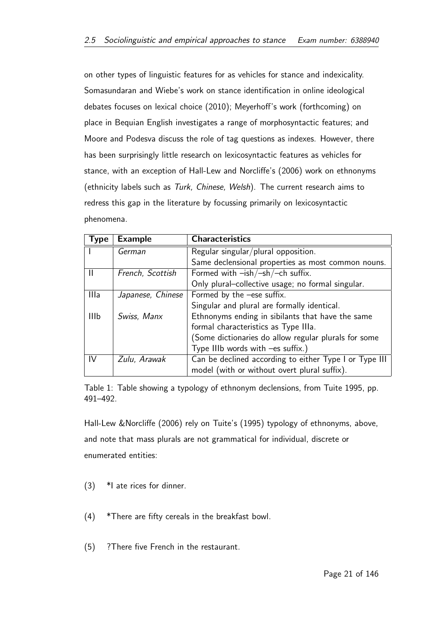on other types of linguistic features for as vehicles for stance and indexicality. Somasundaran and Wiebe's work on stance identification in online ideological debates focuses on lexical choice (2010); Meyerhoff's work (forthcoming) on place in Bequian English investigates a range of morphosyntactic features; and Moore and Podesva discuss the role of tag questions as indexes. However, there has been surprisingly little research on lexicosyntactic features as vehicles for stance, with an exception of Hall-Lew and Norcliffe's (2006) work on ethnonyms (ethnicity labels such as Turk, Chinese, Welsh). The current research aims to redress this gap in the literature by focussing primarily on lexicosyntactic phenomena.

| Type        | <b>Example</b>    | <b>Characteristics</b>                                 |
|-------------|-------------------|--------------------------------------------------------|
|             | German            | Regular singular/plural opposition.                    |
|             |                   | Same declensional properties as most common nouns.     |
|             | French, Scottish  | Formed with $-ish/-sh/-ch$ suffix.                     |
|             |                   | Only plural-collective usage; no formal singular.      |
| Illa        | Japanese, Chinese | Formed by the -ese suffix.                             |
|             |                   | Singular and plural are formally identical.            |
| <b>IIIb</b> | Swiss, Manx       | Ethnonyms ending in sibilants that have the same       |
|             |                   | formal characteristics as Type IIIa.                   |
|             |                   | (Some dictionaries do allow regular plurals for some   |
|             |                   | Type IIIb words with $-es$ suffix.)                    |
| IV          | Zulu, Arawak      | Can be declined according to either Type I or Type III |
|             |                   | model (with or without overt plural suffix).           |

Table 1: Table showing a typology of ethnonym declensions, from Tuite 1995, pp. 491–492.

Hall-Lew &Norcliffe (2006) rely on Tuite's (1995) typology of ethnonyms, above, and note that mass plurals are not grammatical for individual, discrete or enumerated entities:

- (3) \*I ate rices for dinner.
- (4) \*There are fifty cereals in the breakfast bowl.
- (5) ?There five French in the restaurant.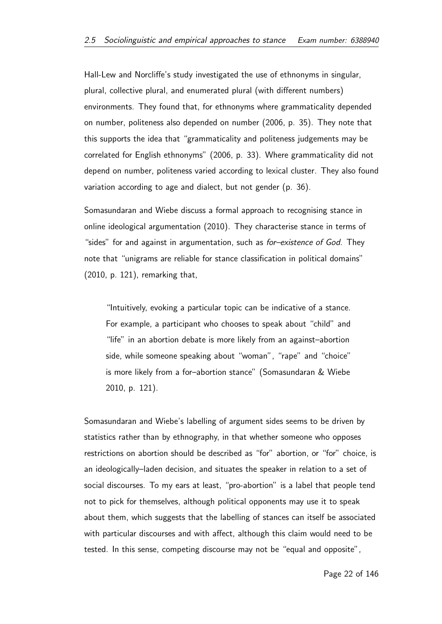Hall-Lew and Norcliffe's study investigated the use of ethnonyms in singular, plural, collective plural, and enumerated plural (with different numbers) environments. They found that, for ethnonyms where grammaticality depended on number, politeness also depended on number (2006, p. 35). They note that this supports the idea that "grammaticality and politeness judgements may be correlated for English ethnonyms" (2006, p. 33). Where grammaticality did not depend on number, politeness varied according to lexical cluster. They also found variation according to age and dialect, but not gender (p. 36).

Somasundaran and Wiebe discuss a formal approach to recognising stance in online ideological argumentation (2010). They characterise stance in terms of "sides" for and against in argumentation, such as *for–existence of God*. They note that "unigrams are reliable for stance classification in political domains" (2010, p. 121), remarking that,

"Intuitively, evoking a particular topic can be indicative of a stance. For example, a participant who chooses to speak about "child" and "life" in an abortion debate is more likely from an against–abortion side, while someone speaking about "woman", "rape" and "choice" is more likely from a for–abortion stance" (Somasundaran & Wiebe 2010, p. 121).

Somasundaran and Wiebe's labelling of argument sides seems to be driven by statistics rather than by ethnography, in that whether someone who opposes restrictions on abortion should be described as "for" abortion, or "for" choice, is an ideologically–laden decision, and situates the speaker in relation to a set of social discourses. To my ears at least, "pro-abortion" is a label that people tend not to pick for themselves, although political opponents may use it to speak about them, which suggests that the labelling of stances can itself be associated with particular discourses and with affect, although this claim would need to be tested. In this sense, competing discourse may not be "equal and opposite",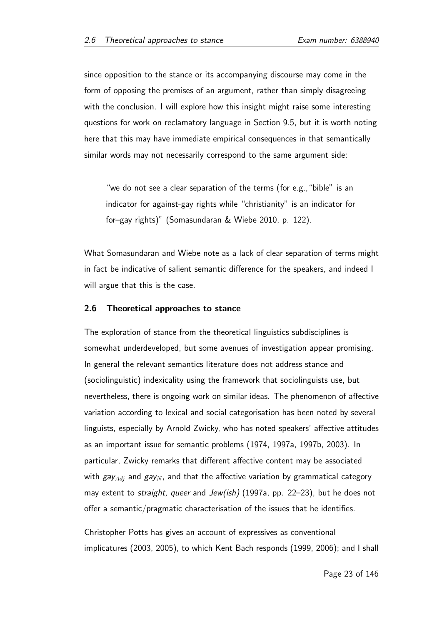since opposition to the stance or its accompanying discourse may come in the form of opposing the premises of an argument, rather than simply disagreeing with the conclusion. I will explore how this insight might raise some interesting questions for work on reclamatory language in Section 9.5, but it is worth noting here that this may have immediate empirical consequences in that semantically similar words may not necessarily correspond to the same argument side:

"we do not see a clear separation of the terms (for e.g.,"bible" is an indicator for against-gay rights while "christianity" is an indicator for for–gay rights)" (Somasundaran & Wiebe 2010, p. 122).

What Somasundaran and Wiebe note as a lack of clear separation of terms might in fact be indicative of salient semantic difference for the speakers, and indeed I will argue that this is the case.

#### 2.6 Theoretical approaches to stance

The exploration of stance from the theoretical linguistics subdisciplines is somewhat underdeveloped, but some avenues of investigation appear promising. In general the relevant semantics literature does not address stance and (sociolinguistic) indexicality using the framework that sociolinguists use, but nevertheless, there is ongoing work on similar ideas. The phenomenon of affective variation according to lexical and social categorisation has been noted by several linguists, especially by Arnold Zwicky, who has noted speakers' affective attitudes as an important issue for semantic problems (1974, 1997a, 1997b, 2003). In particular, Zwicky remarks that different affective content may be associated with  $gay_{Adi}$  and  $gay_N$ , and that the affective variation by grammatical category may extent to *straight, queer* and *Jew(ish)* (1997a, pp. 22–23), but he does not offer a semantic/pragmatic characterisation of the issues that he identifies.

Christopher Potts has gives an account of expressives as conventional implicatures (2003, 2005), to which Kent Bach responds (1999, 2006); and I shall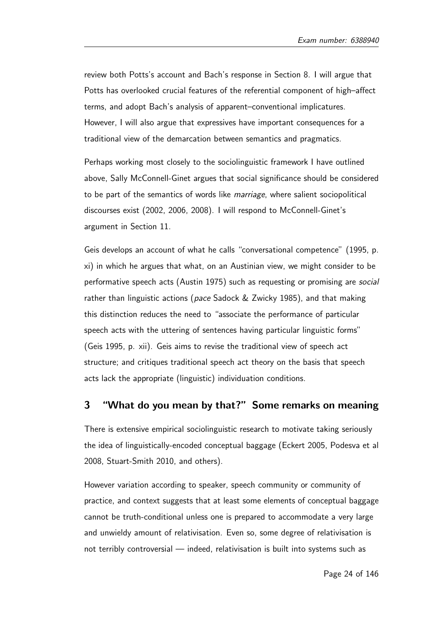review both Potts's account and Bach's response in Section 8. I will argue that Potts has overlooked crucial features of the referential component of high–affect terms, and adopt Bach's analysis of apparent–conventional implicatures. However, I will also argue that expressives have important consequences for a traditional view of the demarcation between semantics and pragmatics.

Perhaps working most closely to the sociolinguistic framework I have outlined above, Sally McConnell-Ginet argues that social significance should be considered to be part of the semantics of words like marriage, where salient sociopolitical discourses exist (2002, 2006, 2008). I will respond to McConnell-Ginet's argument in Section 11.

Geis develops an account of what he calls "conversational competence" (1995, p. xi) in which he argues that what, on an Austinian view, we might consider to be performative speech acts (Austin 1975) such as requesting or promising are social rather than linguistic actions (pace Sadock & Zwicky 1985), and that making this distinction reduces the need to "associate the performance of particular speech acts with the uttering of sentences having particular linguistic forms" (Geis 1995, p. xii). Geis aims to revise the traditional view of speech act structure; and critiques traditional speech act theory on the basis that speech acts lack the appropriate (linguistic) individuation conditions.

## 3 "What do you mean by that?" Some remarks on meaning

There is extensive empirical sociolinguistic research to motivate taking seriously the idea of linguistically-encoded conceptual baggage (Eckert 2005, Podesva et al 2008, Stuart-Smith 2010, and others).

However variation according to speaker, speech community or community of practice, and context suggests that at least some elements of conceptual baggage cannot be truth-conditional unless one is prepared to accommodate a very large and unwieldy amount of relativisation. Even so, some degree of relativisation is not terribly controversial — indeed, relativisation is built into systems such as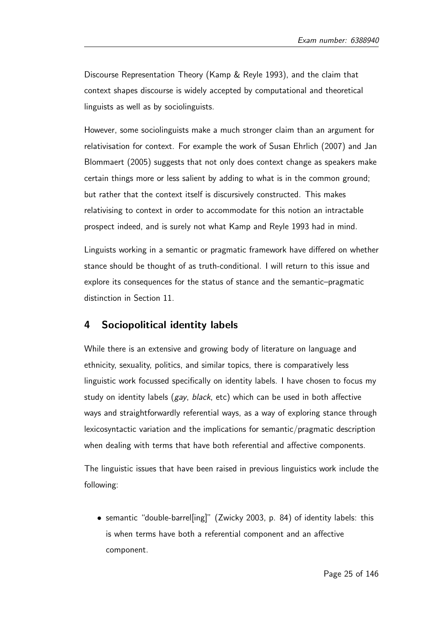Discourse Representation Theory (Kamp & Reyle 1993), and the claim that context shapes discourse is widely accepted by computational and theoretical linguists as well as by sociolinguists.

However, some sociolinguists make a much stronger claim than an argument for relativisation for context. For example the work of Susan Ehrlich (2007) and Jan Blommaert (2005) suggests that not only does context change as speakers make certain things more or less salient by adding to what is in the common ground; but rather that the context itself is discursively constructed. This makes relativising to context in order to accommodate for this notion an intractable prospect indeed, and is surely not what Kamp and Reyle 1993 had in mind.

Linguists working in a semantic or pragmatic framework have differed on whether stance should be thought of as truth-conditional. I will return to this issue and explore its consequences for the status of stance and the semantic–pragmatic distinction in Section 11.

### 4 Sociopolitical identity labels

While there is an extensive and growing body of literature on language and ethnicity, sexuality, politics, and similar topics, there is comparatively less linguistic work focussed specifically on identity labels. I have chosen to focus my study on identity labels (gay, black, etc) which can be used in both affective ways and straightforwardly referential ways, as a way of exploring stance through lexicosyntactic variation and the implications for semantic/pragmatic description when dealing with terms that have both referential and affective components.

The linguistic issues that have been raised in previous linguistics work include the following:

• semantic "double-barrel[ing]" (Zwicky 2003, p. 84) of identity labels: this is when terms have both a referential component and an affective component.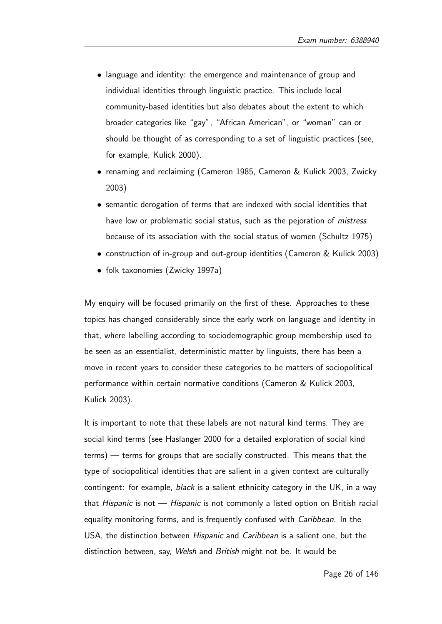- language and identity: the emergence and maintenance of group and individual identities through linguistic practice. This include local community-based identities but also debates about the extent to which broader categories like "gay", "African American", or "woman" can or should be thought of as corresponding to a set of linguistic practices (see, for example, Kulick 2000).
- renaming and reclaiming (Cameron 1985, Cameron & Kulick 2003, Zwicky 2003)
- semantic derogation of terms that are indexed with social identities that have low or problematic social status, such as the pejoration of *mistress* because of its association with the social status of women (Schultz 1975)
- construction of in-group and out-group identities (Cameron & Kulick 2003)
- folk taxonomies (Zwicky 1997a)

My enquiry will be focused primarily on the first of these. Approaches to these topics has changed considerably since the early work on language and identity in that, where labelling according to sociodemographic group membership used to be seen as an essentialist, deterministic matter by linguists, there has been a move in recent years to consider these categories to be matters of sociopolitical performance within certain normative conditions (Cameron & Kulick 2003, Kulick 2003).

It is important to note that these labels are not natural kind terms. They are social kind terms (see Haslanger 2000 for a detailed exploration of social kind terms) — terms for groups that are socially constructed. This means that the type of sociopolitical identities that are salient in a given context are culturally contingent: for example, black is a salient ethnicity category in the UK, in a way that *Hispanic* is not — *Hispanic* is not commonly a listed option on British racial equality monitoring forms, and is frequently confused with Caribbean. In the USA, the distinction between Hispanic and Caribbean is a salient one, but the distinction between, say, Welsh and British might not be. It would be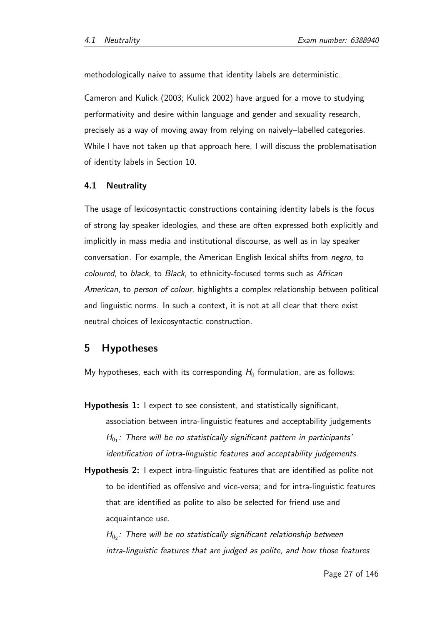methodologically naive to assume that identity labels are deterministic.

Cameron and Kulick (2003; Kulick 2002) have argued for a move to studying performativity and desire within language and gender and sexuality research, precisely as a way of moving away from relying on naively–labelled categories. While I have not taken up that approach here, I will discuss the problematisation of identity labels in Section 10.

#### 4.1 Neutrality

The usage of lexicosyntactic constructions containing identity labels is the focus of strong lay speaker ideologies, and these are often expressed both explicitly and implicitly in mass media and institutional discourse, as well as in lay speaker conversation. For example, the American English lexical shifts from negro, to coloured, to black, to Black, to ethnicity-focused terms such as African American, to person of colour, highlights a complex relationship between political and linguistic norms. In such a context, it is not at all clear that there exist neutral choices of lexicosyntactic construction.

### 5 Hypotheses

My hypotheses, each with its corresponding  $H_0$  formulation, are as follows:

- Hypothesis 1: I expect to see consistent, and statistically significant, association between intra-linguistic features and acceptability judgements  $H_{0_1}$ : There will be no statistically significant pattern in participants' identification of intra-linguistic features and acceptability judgements.
- Hypothesis 2: I expect intra-linguistic features that are identified as polite not to be identified as offensive and vice-versa; and for intra-linguistic features that are identified as polite to also be selected for friend use and acquaintance use.

 $H_{0_2}$ : There will be no statistically significant relationship between intra-linguistic features that are judged as polite, and how those features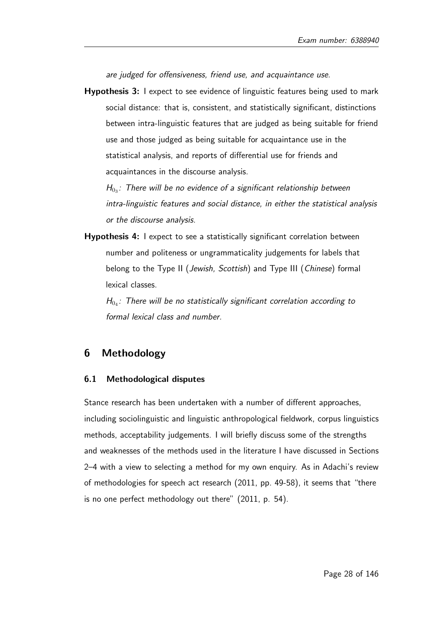are judged for offensiveness, friend use, and acquaintance use.

Hypothesis 3: I expect to see evidence of linguistic features being used to mark social distance: that is, consistent, and statistically significant, distinctions between intra-linguistic features that are judged as being suitable for friend use and those judged as being suitable for acquaintance use in the statistical analysis, and reports of differential use for friends and acquaintances in the discourse analysis.

 $H_{0_3}$ : There will be no evidence of a significant relationship between intra-linguistic features and social distance, in either the statistical analysis or the discourse analysis.

Hypothesis 4: I expect to see a statistically significant correlation between number and politeness or ungrammaticality judgements for labels that belong to the Type II (Jewish, Scottish) and Type III (Chinese) formal lexical classes.

 $H_{0_4}$ : There will be no statistically significant correlation according to formal lexical class and number.

## 6 Methodology

#### 6.1 Methodological disputes

Stance research has been undertaken with a number of different approaches, including sociolinguistic and linguistic anthropological fieldwork, corpus linguistics methods, acceptability judgements. I will briefly discuss some of the strengths and weaknesses of the methods used in the literature I have discussed in Sections 2–4 with a view to selecting a method for my own enquiry. As in Adachi's review of methodologies for speech act research (2011, pp. 49-58), it seems that "there is no one perfect methodology out there" (2011, p. 54).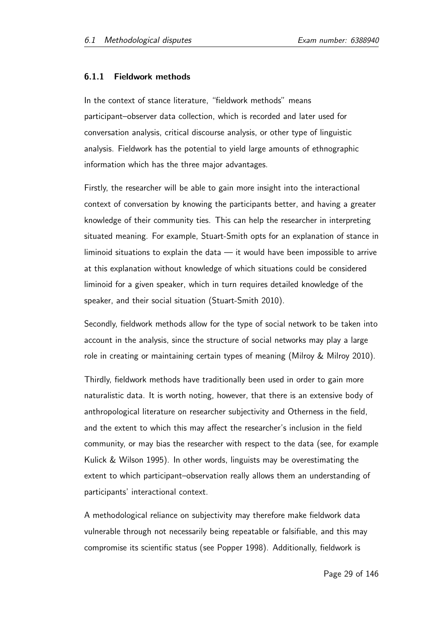#### 6.1.1 Fieldwork methods

In the context of stance literature, "fieldwork methods" means participant–observer data collection, which is recorded and later used for conversation analysis, critical discourse analysis, or other type of linguistic analysis. Fieldwork has the potential to yield large amounts of ethnographic information which has the three major advantages.

Firstly, the researcher will be able to gain more insight into the interactional context of conversation by knowing the participants better, and having a greater knowledge of their community ties. This can help the researcher in interpreting situated meaning. For example, Stuart-Smith opts for an explanation of stance in liminoid situations to explain the data — it would have been impossible to arrive at this explanation without knowledge of which situations could be considered liminoid for a given speaker, which in turn requires detailed knowledge of the speaker, and their social situation (Stuart-Smith 2010).

Secondly, fieldwork methods allow for the type of social network to be taken into account in the analysis, since the structure of social networks may play a large role in creating or maintaining certain types of meaning (Milroy & Milroy 2010).

Thirdly, fieldwork methods have traditionally been used in order to gain more naturalistic data. It is worth noting, however, that there is an extensive body of anthropological literature on researcher subjectivity and Otherness in the field, and the extent to which this may affect the researcher's inclusion in the field community, or may bias the researcher with respect to the data (see, for example Kulick & Wilson 1995). In other words, linguists may be overestimating the extent to which participant–observation really allows them an understanding of participants' interactional context.

A methodological reliance on subjectivity may therefore make fieldwork data vulnerable through not necessarily being repeatable or falsifiable, and this may compromise its scientific status (see Popper 1998). Additionally, fieldwork is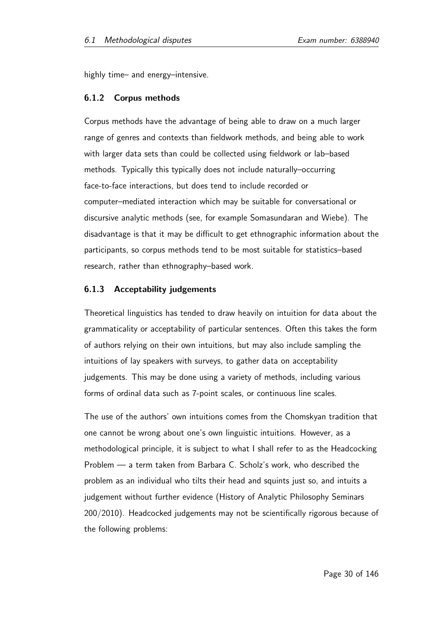highly time– and energy–intensive.

#### 6.1.2 Corpus methods

Corpus methods have the advantage of being able to draw on a much larger range of genres and contexts than fieldwork methods, and being able to work with larger data sets than could be collected using fieldwork or lab–based methods. Typically this typically does not include naturally–occurring face-to-face interactions, but does tend to include recorded or computer–mediated interaction which may be suitable for conversational or discursive analytic methods (see, for example Somasundaran and Wiebe). The disadvantage is that it may be difficult to get ethnographic information about the participants, so corpus methods tend to be most suitable for statistics–based research, rather than ethnography–based work.

#### 6.1.3 Acceptability judgements

Theoretical linguistics has tended to draw heavily on intuition for data about the grammaticality or acceptability of particular sentences. Often this takes the form of authors relying on their own intuitions, but may also include sampling the intuitions of lay speakers with surveys, to gather data on acceptability judgements. This may be done using a variety of methods, including various forms of ordinal data such as 7-point scales, or continuous line scales.

The use of the authors' own intuitions comes from the Chomskyan tradition that one cannot be wrong about one's own linguistic intuitions. However, as a methodological principle, it is subject to what I shall refer to as the Headcocking Problem — a term taken from Barbara C. Scholz's work, who described the problem as an individual who tilts their head and squints just so, and intuits a judgement without further evidence (History of Analytic Philosophy Seminars 200/2010). Headcocked judgements may not be scientifically rigorous because of the following problems: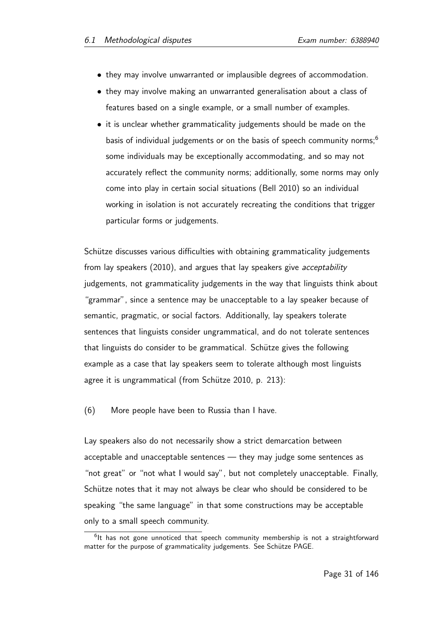- they may involve unwarranted or implausible degrees of accommodation.
- they may involve making an unwarranted generalisation about a class of features based on a single example, or a small number of examples.
- it is unclear whether grammaticality judgements should be made on the basis of individual judgements or on the basis of speech community norms;<sup>6</sup> some individuals may be exceptionally accommodating, and so may not accurately reflect the community norms; additionally, some norms may only come into play in certain social situations (Bell 2010) so an individual working in isolation is not accurately recreating the conditions that trigger particular forms or judgements.

Schütze discusses various difficulties with obtaining grammaticality judgements from lay speakers (2010), and argues that lay speakers give acceptability judgements, not grammaticality judgements in the way that linguists think about "grammar", since a sentence may be unacceptable to a lay speaker because of semantic, pragmatic, or social factors. Additionally, lay speakers tolerate sentences that linguists consider ungrammatical, and do not tolerate sentences that linguists do consider to be grammatical. Schütze gives the following example as a case that lay speakers seem to tolerate although most linguists agree it is ungrammatical (from Schütze 2010, p.  $213$ ):

(6) More people have been to Russia than I have.

Lay speakers also do not necessarily show a strict demarcation between acceptable and unacceptable sentences — they may judge some sentences as "not great" or "not what I would say", but not completely unacceptable. Finally, Schütze notes that it may not always be clear who should be considered to be speaking "the same language" in that some constructions may be acceptable only to a small speech community.

<sup>&</sup>lt;sup>6</sup>lt has not gone unnoticed that speech community membership is not a straightforward matter for the purpose of grammaticality judgements. See Schütze PAGE.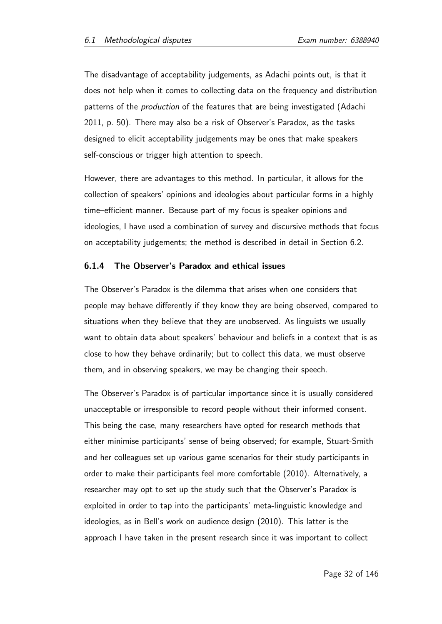The disadvantage of acceptability judgements, as Adachi points out, is that it does not help when it comes to collecting data on the frequency and distribution patterns of the production of the features that are being investigated (Adachi 2011, p. 50). There may also be a risk of Observer's Paradox, as the tasks designed to elicit acceptability judgements may be ones that make speakers self-conscious or trigger high attention to speech.

However, there are advantages to this method. In particular, it allows for the collection of speakers' opinions and ideologies about particular forms in a highly time–efficient manner. Because part of my focus is speaker opinions and ideologies, I have used a combination of survey and discursive methods that focus on acceptability judgements; the method is described in detail in Section 6.2.

#### 6.1.4 The Observer's Paradox and ethical issues

The Observer's Paradox is the dilemma that arises when one considers that people may behave differently if they know they are being observed, compared to situations when they believe that they are unobserved. As linguists we usually want to obtain data about speakers' behaviour and beliefs in a context that is as close to how they behave ordinarily; but to collect this data, we must observe them, and in observing speakers, we may be changing their speech.

The Observer's Paradox is of particular importance since it is usually considered unacceptable or irresponsible to record people without their informed consent. This being the case, many researchers have opted for research methods that either minimise participants' sense of being observed; for example, Stuart-Smith and her colleagues set up various game scenarios for their study participants in order to make their participants feel more comfortable (2010). Alternatively, a researcher may opt to set up the study such that the Observer's Paradox is exploited in order to tap into the participants' meta-linguistic knowledge and ideologies, as in Bell's work on audience design (2010). This latter is the approach I have taken in the present research since it was important to collect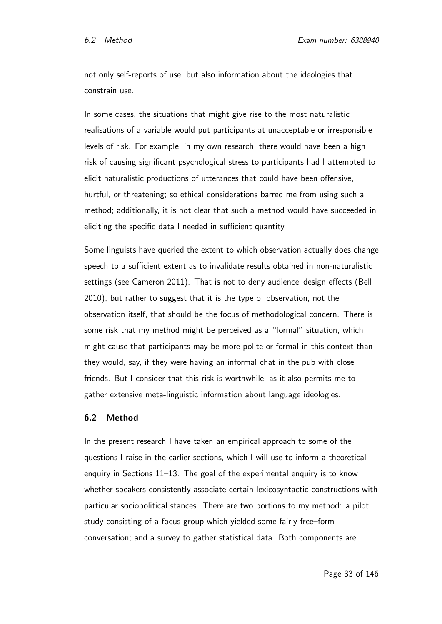not only self-reports of use, but also information about the ideologies that constrain use.

In some cases, the situations that might give rise to the most naturalistic realisations of a variable would put participants at unacceptable or irresponsible levels of risk. For example, in my own research, there would have been a high risk of causing significant psychological stress to participants had I attempted to elicit naturalistic productions of utterances that could have been offensive, hurtful, or threatening; so ethical considerations barred me from using such a method; additionally, it is not clear that such a method would have succeeded in eliciting the specific data I needed in sufficient quantity.

Some linguists have queried the extent to which observation actually does change speech to a sufficient extent as to invalidate results obtained in non-naturalistic settings (see Cameron 2011). That is not to deny audience–design effects (Bell 2010), but rather to suggest that it is the type of observation, not the observation itself, that should be the focus of methodological concern. There is some risk that my method might be perceived as a "formal" situation, which might cause that participants may be more polite or formal in this context than they would, say, if they were having an informal chat in the pub with close friends. But I consider that this risk is worthwhile, as it also permits me to gather extensive meta-linguistic information about language ideologies.

#### 6.2 Method

In the present research I have taken an empirical approach to some of the questions I raise in the earlier sections, which I will use to inform a theoretical enquiry in Sections 11–13. The goal of the experimental enquiry is to know whether speakers consistently associate certain lexicosyntactic constructions with particular sociopolitical stances. There are two portions to my method: a pilot study consisting of a focus group which yielded some fairly free–form conversation; and a survey to gather statistical data. Both components are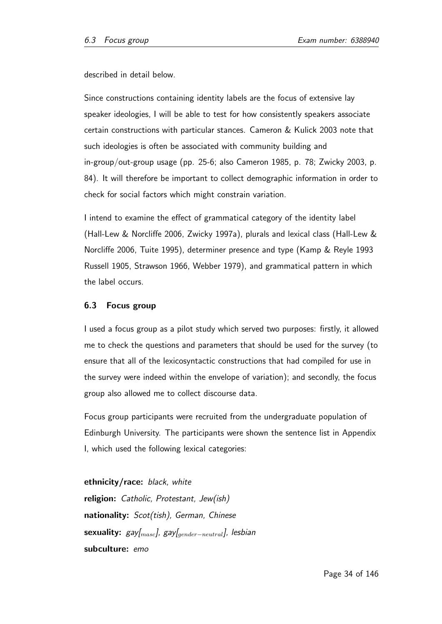described in detail below.

Since constructions containing identity labels are the focus of extensive lay speaker ideologies, I will be able to test for how consistently speakers associate certain constructions with particular stances. Cameron & Kulick 2003 note that such ideologies is often be associated with community building and in-group/out-group usage (pp. 25-6; also Cameron 1985, p. 78; Zwicky 2003, p. 84). It will therefore be important to collect demographic information in order to check for social factors which might constrain variation.

I intend to examine the effect of grammatical category of the identity label (Hall-Lew & Norcliffe 2006, Zwicky 1997a), plurals and lexical class (Hall-Lew & Norcliffe 2006, Tuite 1995), determiner presence and type (Kamp & Reyle 1993 Russell 1905, Strawson 1966, Webber 1979), and grammatical pattern in which the label occurs.

#### 6.3 Focus group

I used a focus group as a pilot study which served two purposes: firstly, it allowed me to check the questions and parameters that should be used for the survey (to ensure that all of the lexicosyntactic constructions that had compiled for use in the survey were indeed within the envelope of variation); and secondly, the focus group also allowed me to collect discourse data.

Focus group participants were recruited from the undergraduate population of Edinburgh University. The participants were shown the sentence list in Appendix I, which used the following lexical categories:

ethnicity/race: black, white religion: Catholic, Protestant, Jew(ish) nationality: Scot(tish), German, Chinese sexuality:  $gay|_{mask}$ ,  $gay|_{gender-neutral}$ , lesbian subculture: emo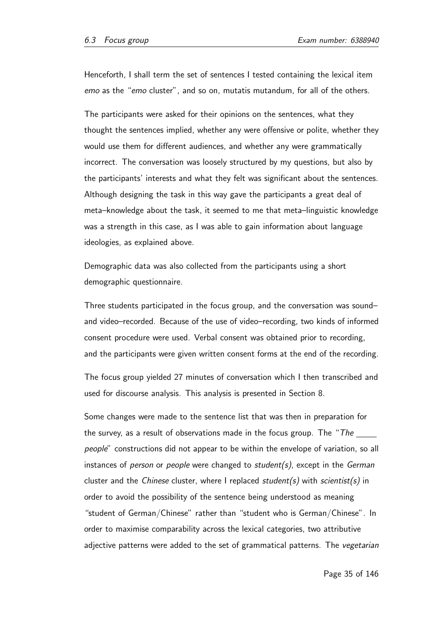Henceforth, I shall term the set of sentences I tested containing the lexical item emo as the "emo cluster", and so on, mutatis mutandum, for all of the others.

The participants were asked for their opinions on the sentences, what they thought the sentences implied, whether any were offensive or polite, whether they would use them for different audiences, and whether any were grammatically incorrect. The conversation was loosely structured by my questions, but also by the participants' interests and what they felt was significant about the sentences. Although designing the task in this way gave the participants a great deal of meta–knowledge about the task, it seemed to me that meta–linguistic knowledge was a strength in this case, as I was able to gain information about language ideologies, as explained above.

Demographic data was also collected from the participants using a short demographic questionnaire.

Three students participated in the focus group, and the conversation was sound– and video–recorded. Because of the use of video–recording, two kinds of informed consent procedure were used. Verbal consent was obtained prior to recording, and the participants were given written consent forms at the end of the recording.

The focus group yielded 27 minutes of conversation which I then transcribed and used for discourse analysis. This analysis is presented in Section 8.

Some changes were made to the sentence list that was then in preparation for the survey, as a result of observations made in the focus group. The "The  $\frac{1}{\sqrt{1-\frac{1}{n}}}\frac{1}{\sqrt{1-\frac{1}{n}}}\frac{1}{\sqrt{1-\frac{1}{n}}}\frac{1}{\sqrt{1-\frac{1}{n}}}\frac{1}{\sqrt{1-\frac{1}{n}}}\frac{1}{\sqrt{1-\frac{1}{n}}}\frac{1}{\sqrt{1-\frac{1}{n}}}\frac{1}{\sqrt{1-\frac{1}{n}}}\frac{1}{\sqrt{1-\frac{1}{n}}}\frac$ people" constructions did not appear to be within the envelope of variation, so all instances of *person* or *people* were changed to *student(s)*, except in the *German* cluster and the *Chinese* cluster, where I replaced *student(s)* with *scientist(s)* in order to avoid the possibility of the sentence being understood as meaning "student of German/Chinese" rather than "student who is German/Chinese". In order to maximise comparability across the lexical categories, two attributive adjective patterns were added to the set of grammatical patterns. The *vegetarian*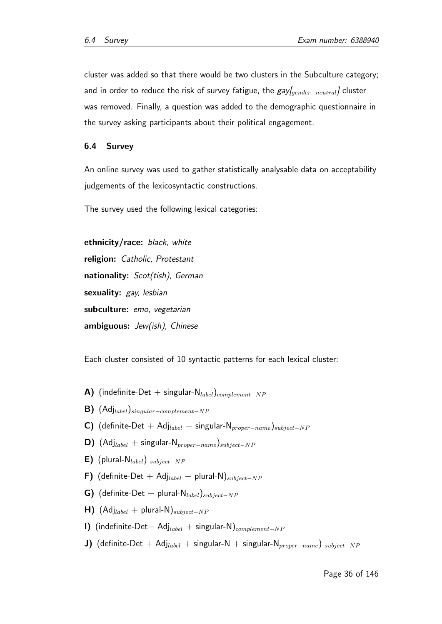cluster was added so that there would be two clusters in the Subculture category; and in order to reduce the risk of survey fatigue, the gay[gender-neutral] cluster was removed. Finally, a question was added to the demographic questionnaire in the survey asking participants about their political engagement.

#### 6.4 Survey

An online survey was used to gather statistically analysable data on acceptability judgements of the lexicosyntactic constructions.

The survey used the following lexical categories:

ethnicity/race: black, white religion: Catholic, Protestant nationality: Scot(tish), German sexuality: gay, lesbian subculture: emo, vegetarian ambiguous: Jew(ish), Chinese

Each cluster consisted of 10 syntactic patterns for each lexical cluster:

- A) (indefinite-Det + singular- $N_{label}$ )<sub>complement-NP</sub>
- **B)** (Adj<sub>label</sub>)<sub>singular</sub>–complement–NP</sub>
- **C)** (definite-Det + Adj<sub>label</sub> + singular-N<sub>proper</sub>−<sub>name</sub>)<sub>subject</sub>-NP
- D) (Adj<sub>label</sub> + singular-N<sub>proper</sub>−name)<sub>subject</sub>−NP
- E) (plural- $N_{label}$ ) subject-NP
- F) (definite-Det + Adj<sub>label</sub> + plural-N)<sub>subject-NP</sub>
- G) (definite-Det + plural-N<sub>label</sub>)<sub>subject</sub>-NP
- $H$ ) (Adj<sub>label</sub> + plural-N)<sub>subject−NP</sub>
- I) (indefinite-Det+ Adj<sub>label</sub> + singular-N)<sub>complement-NP</sub>
- J) (definite-Det + Adj<sub>label</sub> + singular-N + singular-N<sub>proper</sub><sub>-name</sub>) subject-NP</sub>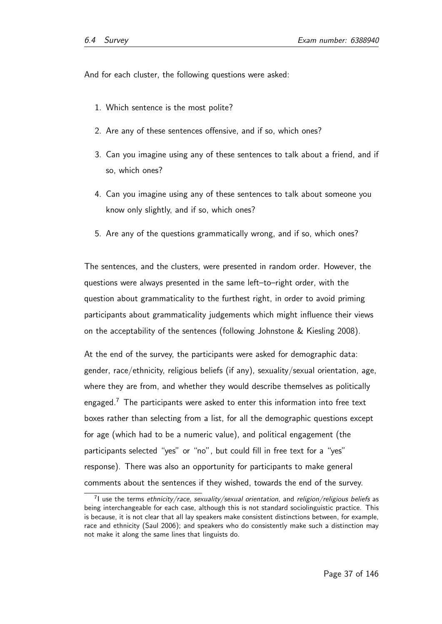And for each cluster, the following questions were asked:

- 1. Which sentence is the most polite?
- 2. Are any of these sentences offensive, and if so, which ones?
- 3. Can you imagine using any of these sentences to talk about a friend, and if so, which ones?
- 4. Can you imagine using any of these sentences to talk about someone you know only slightly, and if so, which ones?
- 5. Are any of the questions grammatically wrong, and if so, which ones?

The sentences, and the clusters, were presented in random order. However, the questions were always presented in the same left–to–right order, with the question about grammaticality to the furthest right, in order to avoid priming participants about grammaticality judgements which might influence their views on the acceptability of the sentences (following Johnstone & Kiesling 2008).

At the end of the survey, the participants were asked for demographic data: gender, race/ethnicity, religious beliefs (if any), sexuality/sexual orientation, age, where they are from, and whether they would describe themselves as politically engaged.<sup>7</sup> The participants were asked to enter this information into free text boxes rather than selecting from a list, for all the demographic questions except for age (which had to be a numeric value), and political engagement (the participants selected "yes" or "no", but could fill in free text for a "yes" response). There was also an opportunity for participants to make general comments about the sentences if they wished, towards the end of the survey.

 $^{7}$ l use the terms ethnicity/race, sexuality/sexual orientation, and religion/religious beliefs as being interchangeable for each case, although this is not standard sociolinguistic practice. This is because, it is not clear that all lay speakers make consistent distinctions between, for example, race and ethnicity (Saul 2006); and speakers who do consistently make such a distinction may not make it along the same lines that linguists do.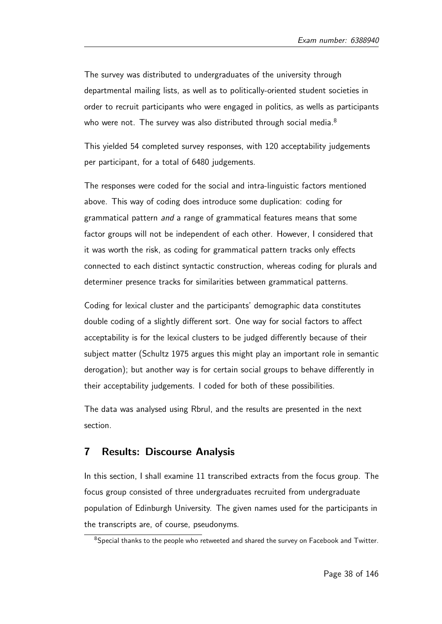The survey was distributed to undergraduates of the university through departmental mailing lists, as well as to politically-oriented student societies in order to recruit participants who were engaged in politics, as wells as participants who were not. The survey was also distributed through social media.<sup>8</sup>

This yielded 54 completed survey responses, with 120 acceptability judgements per participant, for a total of 6480 judgements.

The responses were coded for the social and intra-linguistic factors mentioned above. This way of coding does introduce some duplication: coding for grammatical pattern and a range of grammatical features means that some factor groups will not be independent of each other. However, I considered that it was worth the risk, as coding for grammatical pattern tracks only effects connected to each distinct syntactic construction, whereas coding for plurals and determiner presence tracks for similarities between grammatical patterns.

Coding for lexical cluster and the participants' demographic data constitutes double coding of a slightly different sort. One way for social factors to affect acceptability is for the lexical clusters to be judged differently because of their subject matter (Schultz 1975 argues this might play an important role in semantic derogation); but another way is for certain social groups to behave differently in their acceptability judgements. I coded for both of these possibilities.

The data was analysed using Rbrul, and the results are presented in the next section.

# 7 Results: Discourse Analysis

In this section, I shall examine 11 transcribed extracts from the focus group. The focus group consisted of three undergraduates recruited from undergraduate population of Edinburgh University. The given names used for the participants in the transcripts are, of course, pseudonyms.

<sup>&</sup>lt;sup>8</sup>Special thanks to the people who retweeted and shared the survey on Facebook and Twitter.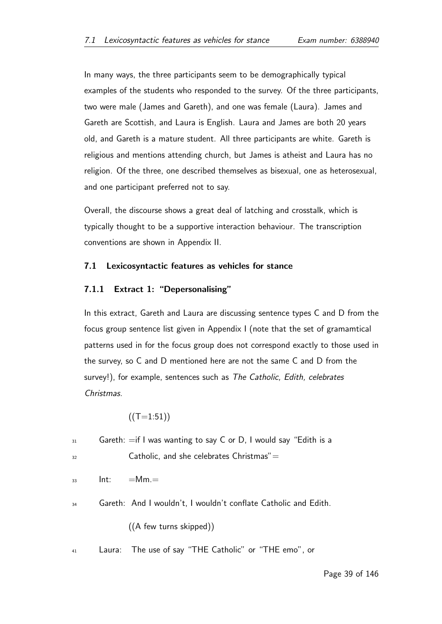In many ways, the three participants seem to be demographically typical examples of the students who responded to the survey. Of the three participants, two were male (James and Gareth), and one was female (Laura). James and Gareth are Scottish, and Laura is English. Laura and James are both 20 years old, and Gareth is a mature student. All three participants are white. Gareth is religious and mentions attending church, but James is atheist and Laura has no religion. Of the three, one described themselves as bisexual, one as heterosexual, and one participant preferred not to say.

Overall, the discourse shows a great deal of latching and crosstalk, which is typically thought to be a supportive interaction behaviour. The transcription conventions are shown in Appendix II.

#### 7.1 Lexicosyntactic features as vehicles for stance

### 7.1.1 Extract 1: "Depersonalising"

In this extract, Gareth and Laura are discussing sentence types C and D from the focus group sentence list given in Appendix I (note that the set of gramamtical patterns used in for the focus group does not correspond exactly to those used in the survey, so C and D mentioned here are not the same C and D from the survey!), for example, sentences such as The Catholic, Edith, celebrates Christmas.

$$
((T=1:51))
$$

| 31 |      | Gareth: $=$ if I was wanting to say C or D, I would say "Edith is a |
|----|------|---------------------------------------------------------------------|
| 32 |      | Catholic, and she celebrates $Christmas'' =$                        |
| 33 | Int: | $=$ Mm. $=$                                                         |
| 34 |      | Gareth: And I wouldn't, I wouldn't conflate Catholic and Edith.     |
|    |      | ((A few turns skipped))                                             |
| 41 |      | Laura: The use of say "THE Catholic" or "THE emo", or               |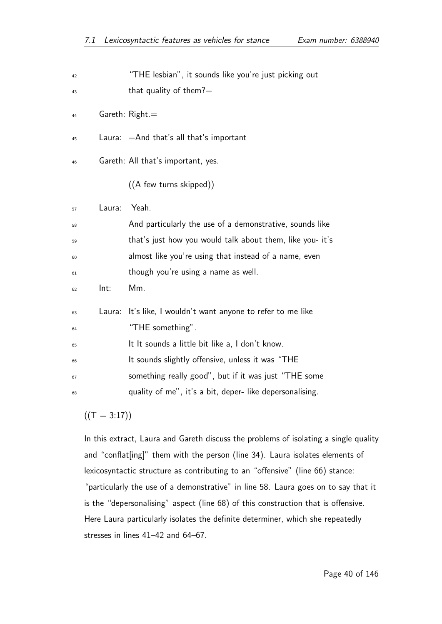| 42 |        | "THE lesbian", it sounds like you're just picking out     |
|----|--------|-----------------------------------------------------------|
| 43 |        | that quality of them? $=$                                 |
| 44 |        | Gareth: $Right =$                                         |
| 45 |        | Laura: $=$ And that's all that's important                |
| 46 |        | Gareth: All that's important, yes.                        |
|    |        | ((A few turns skipped))                                   |
| 57 | Laura: | Yeah.                                                     |
| 58 |        | And particularly the use of a demonstrative, sounds like  |
| 59 |        | that's just how you would talk about them, like you- it's |
| 60 |        | almost like you're using that instead of a name, even     |
| 61 |        | though you're using a name as well.                       |
| 62 | Int:   | Mm.                                                       |
| 63 | Laura: | It's like, I wouldn't want anyone to refer to me like     |
| 64 |        | "THE something".                                          |
| 65 |        | It It sounds a little bit like a, I don't know.           |
| 66 |        | It sounds slightly offensive, unless it was "THE          |
| 67 |        | something really good", but if it was just "THE some      |
| 68 |        | quality of me", it's a bit, deper- like depersonalising.  |
|    |        |                                                           |

 $((T = 3:17))$ 

In this extract, Laura and Gareth discuss the problems of isolating a single quality and "conflat[ing]" them with the person (line 34). Laura isolates elements of lexicosyntactic structure as contributing to an "offensive" (line 66) stance: "particularly the use of a demonstrative" in line 58. Laura goes on to say that it is the "depersonalising" aspect (line 68) of this construction that is offensive. Here Laura particularly isolates the definite determiner, which she repeatedly stresses in lines 41–42 and 64–67.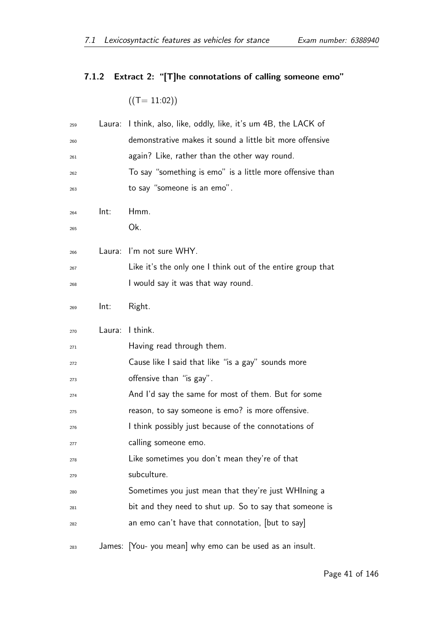# 7.1.2 Extract 2: "[T]he connotations of calling someone emo"

 $((T= 11:02))$ 

| 259 | Laura: | I think, also, like, oddly, like, it's um 4B, the LACK of   |
|-----|--------|-------------------------------------------------------------|
| 260 |        | demonstrative makes it sound a little bit more offensive    |
| 261 |        | again? Like, rather than the other way round.               |
| 262 |        | To say "something is emo" is a little more offensive than   |
| 263 |        | to say "someone is an emo".                                 |
| 264 | Int:   | Hmm.                                                        |
| 265 |        | Ok.                                                         |
| 266 | Laura: | I'm not sure WHY.                                           |
| 267 |        | Like it's the only one I think out of the entire group that |
| 268 |        | I would say it was that way round.                          |
| 269 | Int:   | Right.                                                      |
| 270 | Laura: | I think.                                                    |
| 271 |        | Having read through them.                                   |
| 272 |        | Cause like I said that like "is a gay" sounds more          |
| 273 |        | offensive than "is gay".                                    |
| 274 |        | And I'd say the same for most of them. But for some         |
| 275 |        | reason, to say someone is emo? is more offensive.           |
| 276 |        | I think possibly just because of the connotations of        |
| 277 |        | calling someone emo.                                        |
| 278 |        | Like sometimes you don't mean they're of that               |
| 279 |        | subculture.                                                 |
| 280 |        | Sometimes you just mean that they're just WHIning a         |
| 281 |        | bit and they need to shut up. So to say that someone is     |
| 282 |        | an emo can't have that connotation, [but to say]            |
| 283 |        | James: You- you mean why emo can be used as an insult.      |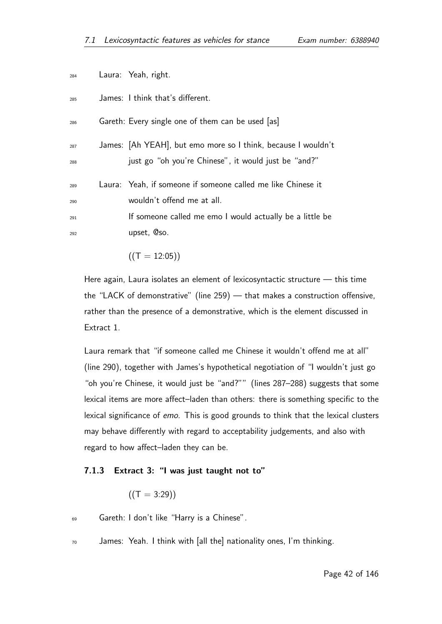| 284                      | Laura: Yeah, right.                                                                                                                                                   |
|--------------------------|-----------------------------------------------------------------------------------------------------------------------------------------------------------------------|
| 285                      | James: I think that's different.                                                                                                                                      |
| 286                      | Gareth: Every single one of them can be used [as]                                                                                                                     |
| 287<br>288               | James: [Ah YEAH], but emo more so I think, because I wouldn't<br>just go "oh you're Chinese", it would just be "and?"                                                 |
| 289<br>290<br>291<br>292 | Laura: Yeah, if someone if someone called me like Chinese it<br>wouldn't offend me at all.<br>If someone called me emo I would actually be a little be<br>upset, @so. |
|                          |                                                                                                                                                                       |

Here again, Laura isolates an element of lexicosyntactic structure — this time the "LACK of demonstrative" (line 259) — that makes a construction offensive, rather than the presence of a demonstrative, which is the element discussed in

Laura remark that "if someone called me Chinese it wouldn't offend me at all" (line 290), together with James's hypothetical negotiation of "I wouldn't just go "oh you're Chinese, it would just be "and?"" (lines 287–288) suggests that some lexical items are more affect–laden than others: there is something specific to the lexical significance of emo. This is good grounds to think that the lexical clusters may behave differently with regard to acceptability judgements, and also with regard to how affect–laden they can be.

#### 7.1.3 Extract 3: "I was just taught not to"

$$
((\mathsf{T} = 3:29))
$$

 $((T = 12:05))$ 

Extract 1.

- $69$  Gareth: I don't like "Harry is a Chinese".
- $70$  James: Yeah. I think with [all the] nationality ones, I'm thinking.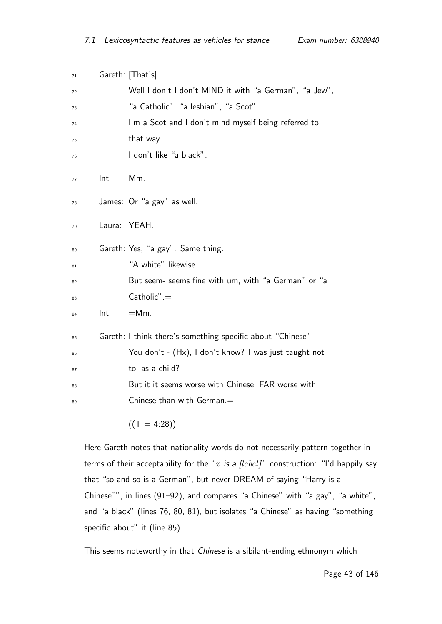| 71 |        | Gareth: [That's].                                           |
|----|--------|-------------------------------------------------------------|
| 72 |        | Well I don't I don't MIND it with "a German", "a Jew",      |
| 73 |        | "a Catholic", "a lesbian", "a Scot".                        |
| 74 |        | I'm a Scot and I don't mind myself being referred to        |
| 75 |        | that way.                                                   |
| 76 |        | I don't like "a black".                                     |
| 77 | Int:   | Mm.                                                         |
| 78 |        | James: Or "a gay" as well.                                  |
| 79 | Laura: | YEAH.                                                       |
| 80 |        | Gareth: Yes, "a gay". Same thing.                           |
| 81 |        | "A white" likewise.                                         |
| 82 |        | But seem- seems fine with um, with "a German" or "a         |
| 83 |        | $Catholic" =$                                               |
| 84 | Int:   | $=$ Mm.                                                     |
| 85 |        | Gareth: I think there's something specific about "Chinese". |
| 86 |        | You don't - (Hx), I don't know? I was just taught not       |
| 87 |        | to, as a child?                                             |
| 88 |        | But it it seems worse with Chinese, FAR worse with          |
| 89 |        | Chinese than with German. $=$                               |
|    |        | $((T = 4:28))$                                              |

Here Gareth notes that nationality words do not necessarily pattern together in terms of their acceptability for the "x is a  $[label]$ " construction: "I'd happily say that "so-and-so is a German", but never DREAM of saying "Harry is a Chinese"", in lines (91–92), and compares "a Chinese" with "a gay", "a white", and "a black" (lines 76, 80, 81), but isolates "a Chinese" as having "something specific about" it (line 85).

This seems noteworthy in that Chinese is a sibilant-ending ethnonym which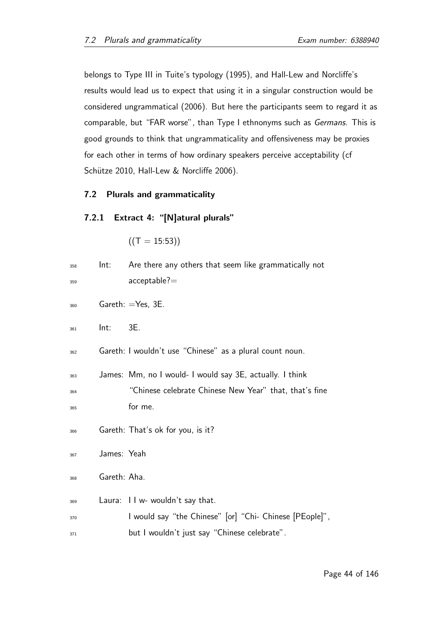belongs to Type III in Tuite's typology (1995), and Hall-Lew and Norcliffe's results would lead us to expect that using it in a singular construction would be considered ungrammatical (2006). But here the participants seem to regard it as comparable, but "FAR worse", than Type I ethnonyms such as Germans. This is good grounds to think that ungrammaticality and offensiveness may be proxies for each other in terms of how ordinary speakers perceive acceptability (cf Schütze 2010, Hall-Lew & Norcliffe 2006).

### 7.2 Plurals and grammaticality

### 7.2.1 Extract 4: "[N]atural plurals"

$$
\left((T=15:53)\right)
$$

| 358 | Int:         | Are there any others that seem like grammatically not    |
|-----|--------------|----------------------------------------------------------|
| 359 |              | $acceptable? =$                                          |
| 360 |              | Gareth: $=$ Yes, 3E.                                     |
| 361 | Int:         | 3E.                                                      |
| 362 |              | Gareth: I wouldn't use "Chinese" as a plural count noun. |
| 363 |              | James: Mm, no I would- I would say 3E, actually. I think |
| 364 |              | "Chinese celebrate Chinese New Year" that, that's fine   |
| 365 |              | for me.                                                  |
| 366 |              | Gareth: That's ok for you, is it?                        |
| 367 | James: Yeah  |                                                          |
| 368 | Gareth: Aha. |                                                          |
| 369 |              | Laura: II w- wouldn't say that.                          |
| 370 |              | I would say "the Chinese" [or] "Chi- Chinese [PEople]",  |
| 371 |              | but I wouldn't just say "Chinese celebrate".             |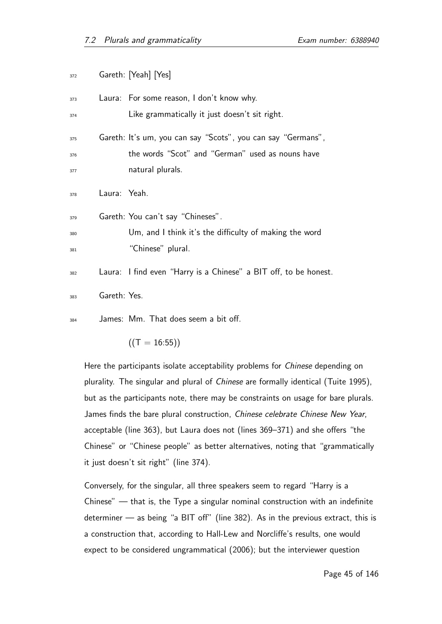| 372 |              | Gareth: [Yeah] [Yes]                                             |
|-----|--------------|------------------------------------------------------------------|
| 373 |              | Laura: For some reason, I don't know why.                        |
| 374 |              | Like grammatically it just doesn't sit right.                    |
| 375 |              | Gareth: It's um, you can say "Scots", you can say "Germans",     |
| 376 |              | the words "Scot" and "German" used as nouns have                 |
| 377 |              | natural plurals.                                                 |
| 378 | Laura: Yeah. |                                                                  |
| 379 |              | Gareth: You can't say "Chineses".                                |
| 380 |              | Um, and I think it's the difficulty of making the word           |
| 381 |              | "Chinese" plural.                                                |
| 382 |              | Laura: I find even "Harry is a Chinese" a BIT off, to be honest. |
| 383 | Gareth: Yes. |                                                                  |
| 384 |              | James: Mm. That does seem a bit off.                             |

 $((T = 16:55))$ 

Here the participants isolate acceptability problems for *Chinese* depending on plurality. The singular and plural of Chinese are formally identical (Tuite 1995), but as the participants note, there may be constraints on usage for bare plurals. James finds the bare plural construction, Chinese celebrate Chinese New Year, acceptable (line 363), but Laura does not (lines 369–371) and she offers "the Chinese" or "Chinese people" as better alternatives, noting that "grammatically it just doesn't sit right" (line 374).

Conversely, for the singular, all three speakers seem to regard "Harry is a Chinese" — that is, the Type a singular nominal construction with an indefinite determiner — as being "a BIT off" (line 382). As in the previous extract, this is a construction that, according to Hall-Lew and Norcliffe's results, one would expect to be considered ungrammatical (2006); but the interviewer question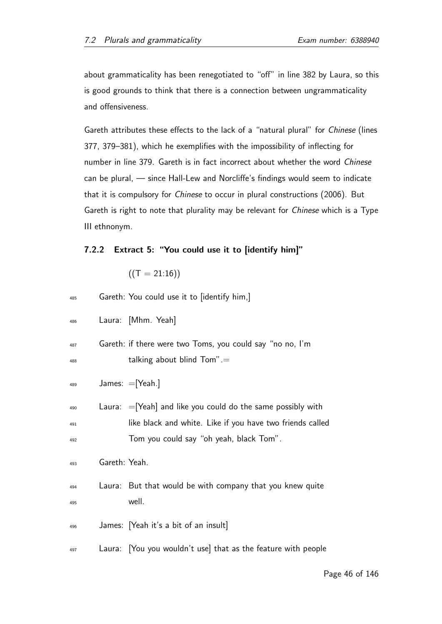about grammaticality has been renegotiated to "off" in line 382 by Laura, so this is good grounds to think that there is a connection between ungrammaticality and offensiveness.

Gareth attributes these effects to the lack of a "natural plural" for Chinese (lines 377, 379–381), which he exemplifies with the impossibility of inflecting for number in line 379. Gareth is in fact incorrect about whether the word Chinese can be plural, — since Hall-Lew and Norcliffe's findings would seem to indicate that it is compulsory for Chinese to occur in plural constructions (2006). But Gareth is right to note that plurality may be relevant for Chinese which is a Type III ethnonym.

### 7.2.2 Extract 5: "You could use it to [identify him]"

 $((T = 21:16))$ 

| 485               |               | Gareth: You could use it to [identify him,]                                                                                                                            |
|-------------------|---------------|------------------------------------------------------------------------------------------------------------------------------------------------------------------------|
| 486               |               | Laura: [Mhm. Yeah]                                                                                                                                                     |
| 487<br>488        |               | Gareth: if there were two Toms, you could say "no no, I'm<br>talking about blind $Tom'' =$                                                                             |
| 489               |               | James: $=$ [Yeah.]                                                                                                                                                     |
| 490<br>491<br>492 |               | Laura: $=$ [Yeah] and like you could do the same possibly with<br>like black and white. Like if you have two friends called<br>Tom you could say "oh yeah, black Tom". |
| 493               | Gareth: Yeah. |                                                                                                                                                                        |
| 494<br>495        | Laura:        | But that would be with company that you knew quite<br>well.                                                                                                            |
| 496               |               | James: [Yeah it's a bit of an insult]                                                                                                                                  |
| 497               |               | Laura: You you wouldn't use that as the feature with people                                                                                                            |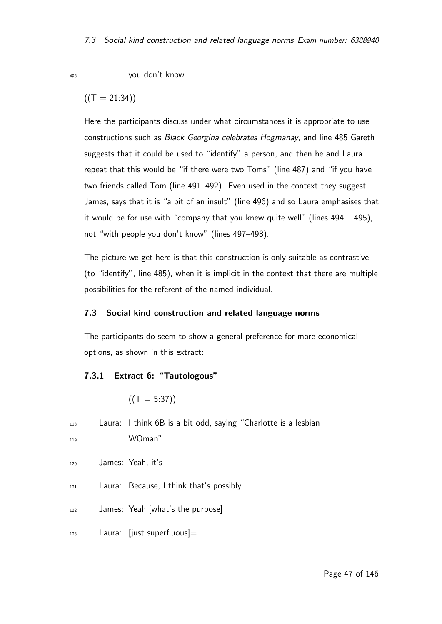<sup>498</sup> you don't know

 $((T = 21:34))$ 

Here the participants discuss under what circumstances it is appropriate to use constructions such as Black Georgina celebrates Hogmanay, and line 485 Gareth suggests that it could be used to "identify" a person, and then he and Laura repeat that this would be "if there were two Toms" (line 487) and "if you have two friends called Tom (line 491–492). Even used in the context they suggest, James, says that it is "a bit of an insult" (line 496) and so Laura emphasises that it would be for use with "company that you knew quite well" (lines 494 – 495), not "with people you don't know" (lines 497–498).

The picture we get here is that this construction is only suitable as contrastive (to "identify", line 485), when it is implicit in the context that there are multiple possibilities for the referent of the named individual.

### 7.3 Social kind construction and related language norms

The participants do seem to show a general preference for more economical options, as shown in this extract:

### 7.3.1 Extract 6: "Tautologous"

$$
((T=5:37))
$$

 $118$  Laura: I think 6B is a bit odd, saying "Charlotte is a lesbian <sup>119</sup> WOman".

- 120 James: Yeah, it's
- $121$  Laura: Because, I think that's possibly
- $122$  James: Yeah [what's the purpose]
- $_{123}$  Laura: [just superfluous]=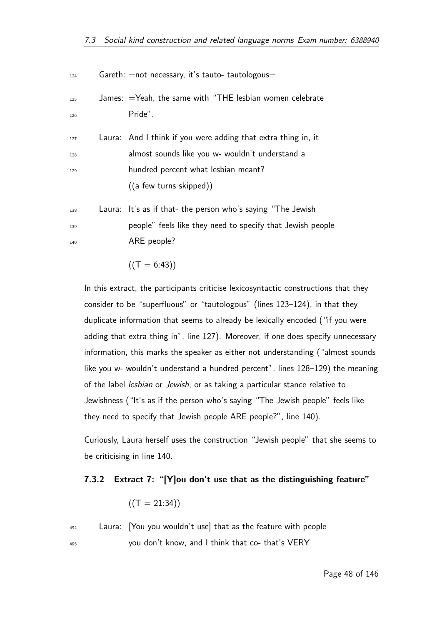| 124               | Gareth: = not necessary, it's tauto- tautologous=                                                                                                       |
|-------------------|---------------------------------------------------------------------------------------------------------------------------------------------------------|
| 125<br>126        | James: $=$ Yeah, the same with "THE lesbian women celebrate<br>Pride".                                                                                  |
| 127<br>128<br>129 | Laura: And I think if you were adding that extra thing in, it<br>almost sounds like you w- wouldn't understand a<br>hundred percent what lesbian meant? |
|                   | ((a few turns skipped))                                                                                                                                 |
| 138               | Laura: It's as if that- the person who's saying "The Jewish                                                                                             |
| 139               | people" feels like they need to specify that Jewish people                                                                                              |
| 140               | ARE people?                                                                                                                                             |

$$
((T = 6:43))
$$

In this extract, the participants criticise lexicosyntactic constructions that they consider to be "superfluous" or "tautologous" (lines 123–124), in that they duplicate information that seems to already be lexically encoded ("if you were adding that extra thing in", line 127). Moreover, if one does specify unnecessary information, this marks the speaker as either not understanding ("almost sounds like you w- wouldn't understand a hundred percent", lines 128–129) the meaning of the label lesbian or Jewish, or as taking a particular stance relative to Jewishness ("It's as if the person who's saying "The Jewish people" feels like they need to specify that Jewish people ARE people?", line 140).

Curiously, Laura herself uses the construction "Jewish people" that she seems to be criticising in line 140.

## 7.3.2 Extract 7: "[Y]ou don't use that as the distinguishing feature"

$$
\left( \left( \mathsf{T=21:34}\right) \right)
$$

494 Laura: You you wouldn't use] that as the feature with people <sup>495</sup> you don't know, and I think that co- that's VERY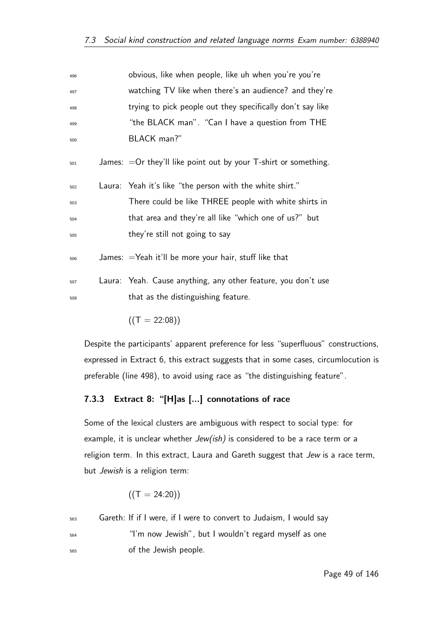| 496 | obvious, like when people, like uh when you're you're              |
|-----|--------------------------------------------------------------------|
| 497 | watching TV like when there's an audience? and they're             |
| 498 | trying to pick people out they specifically don't say like         |
| 499 | "the BLACK man". "Can I have a question from THE                   |
| 500 | BLACK man?"                                                        |
| 501 | James: $=$ Or they'll like point out by your T-shirt or something. |
| 502 | Laura: Yeah it's like "the person with the white shirt."           |
| 503 | There could be like THREE people with white shirts in              |
| 504 | that area and they're all like "which one of us?" but              |
| 505 | they're still not going to say                                     |
| 506 | James: $=$ Yeah it'll be more your hair, stuff like that           |
| 507 | Laura: Yeah. Cause anything, any other feature, you don't use      |
| 508 | that as the distinguishing feature.                                |
|     |                                                                    |

 $((T = 22:08))$ 

Despite the participants' apparent preference for less "superfluous" constructions, expressed in Extract 6, this extract suggests that in some cases, circumlocution is preferable (line 498), to avoid using race as "the distinguishing feature".

## 7.3.3 Extract 8: "[H]as [...] connotations of race

Some of the lexical clusters are ambiguous with respect to social type: for example, it is unclear whether  $Jew(ish)$  is considered to be a race term or a religion term. In this extract, Laura and Gareth suggest that Jew is a race term, but Jewish is a religion term:

$$
\left((T=24:20)\right)
$$

563 Gareth: If if I were, if I were to convert to Judaism, I would say <sup>564</sup> "I'm now Jewish", but I wouldn't regard myself as one <sup>565</sup> of the Jewish people.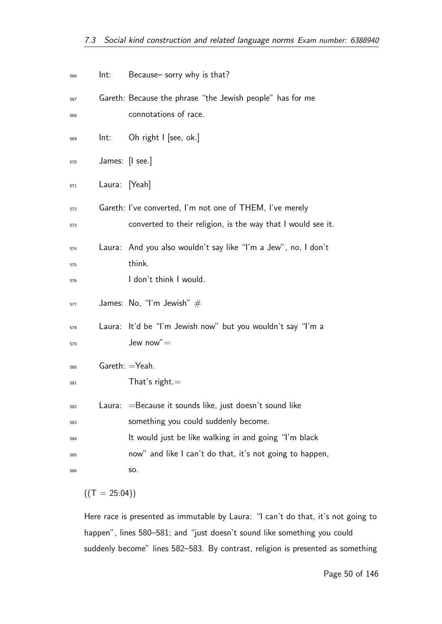| 566 | Int:                      | Because- sorry why is that?                                    |
|-----|---------------------------|----------------------------------------------------------------|
| 567 |                           | Gareth: Because the phrase "the Jewish people" has for me      |
| 568 |                           | connotations of race.                                          |
| 569 | Int:                      | Oh right I [see, ok.]                                          |
| 570 | James: $[1 \text{ sec.}]$ |                                                                |
| 571 | Laura:                    | [Yeah]                                                         |
| 572 |                           | Gareth: I've converted, I'm not one of THEM, I've merely       |
| 573 |                           | converted to their religion, is the way that I would see it.   |
| 574 |                           | Laura: And you also wouldn't say like "I'm a Jew", no, I don't |
| 575 |                           | think.                                                         |
| 576 |                           | I don't think I would.                                         |
| 577 |                           | James: No, "I'm Jewish" $#$                                    |
| 578 | Laura:                    | It'd be "I'm Jewish now" but you wouldn't say "I'm a           |
| 579 |                           | Jew now" $=$                                                   |
| 580 | $Gareth: = Yeah.$         |                                                                |
| 581 |                           | That's right. $=$                                              |
| 582 | Laura:                    | =Because it sounds like, just doesn't sound like               |
| 583 |                           | something you could suddenly become.                           |
| 584 |                           | It would just be like walking in and going "I'm black          |
| 585 |                           | now" and like I can't do that, it's not going to happen,       |
| 586 |                           | SO.                                                            |

 $((T = 25:04))$ 

Here race is presented as immutable by Laura: "I can't do that, it's not going to happen", lines 580–581; and "just doesn't sound like something you could suddenly become" lines 582–583. By contrast, religion is presented as something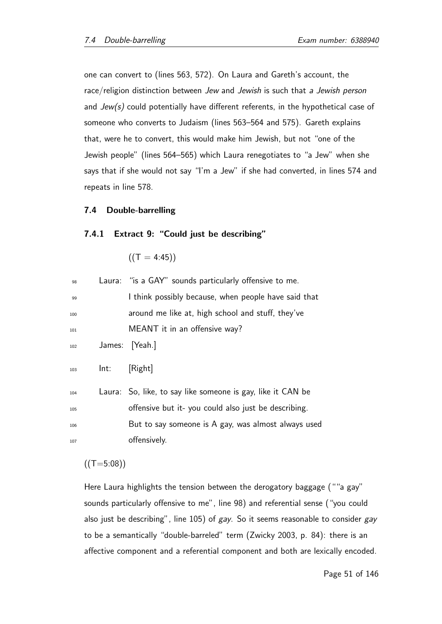one can convert to (lines 563, 572). On Laura and Gareth's account, the race/religion distinction between Jew and Jewish is such that a Jewish person and  $Jew(s)$  could potentially have different referents, in the hypothetical case of someone who converts to Judaism (lines 563–564 and 575). Gareth explains that, were he to convert, this would make him Jewish, but not "one of the Jewish people" (lines 564–565) which Laura renegotiates to "a Jew" when she says that if she would not say "I'm a Jew" if she had converted, in lines 574 and repeats in line 578.

#### 7.4 Double-barrelling

#### 7.4.1 Extract 9: "Could just be describing"

 $((T = 4:45))$ 

| 98  |      | Laura: "is a GAY" sounds particularly offensive to me.      |
|-----|------|-------------------------------------------------------------|
| 99  |      | I think possibly because, when people have said that        |
| 100 |      | around me like at, high school and stuff, they've           |
| 101 |      | MEANT it in an offensive way?                               |
| 102 |      | James: [Yeah.]                                              |
| 103 | Int: | [Right]                                                     |
| 104 |      | Laura: So, like, to say like someone is gay, like it CAN be |
| 105 |      | offensive but it-you could also just be describing.         |
| 106 |      | But to say someone is A gay, was almost always used         |
| 107 |      | offensively.                                                |

 $((T=5:08))$ 

Here Laura highlights the tension between the derogatory baggage (""a gay" sounds particularly offensive to me", line 98) and referential sense ("you could also just be describing", line 105) of gay. So it seems reasonable to consider gay to be a semantically "double-barreled" term (Zwicky 2003, p. 84): there is an affective component and a referential component and both are lexically encoded.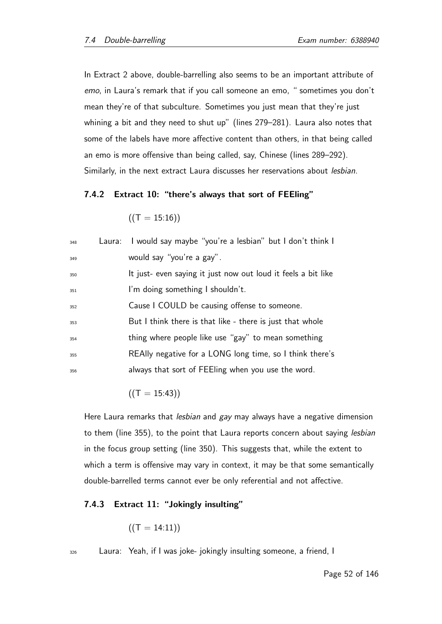In Extract 2 above, double-barrelling also seems to be an important attribute of emo, in Laura's remark that if you call someone an emo, " sometimes you don't mean they're of that subculture. Sometimes you just mean that they're just whining a bit and they need to shut up" (lines 279–281). Laura also notes that some of the labels have more affective content than others, in that being called an emo is more offensive than being called, say, Chinese (lines 289–292). Similarly, in the next extract Laura discusses her reservations about lesbian.

### 7.4.2 Extract 10: "there's always that sort of FEEling"

```
((T = 15:16))
```

| 348 | Laura: I would say maybe "you're a lesbian" but I don't think I |
|-----|-----------------------------------------------------------------|
| 349 | would say "you're a gay".                                       |
| 350 | It just- even saying it just now out loud it feels a bit like   |
| 351 | I'm doing something I shouldn't.                                |
| 352 | Cause I COULD be causing offense to someone.                    |
| 353 | But I think there is that like - there is just that whole       |
| 354 | thing where people like use "gay" to mean something             |
| 355 | REAlly negative for a LONG long time, so I think there's        |
| 356 | always that sort of FEEling when you use the word.              |
|     |                                                                 |

 $((T = 15:43))$ 

Here Laura remarks that lesbian and gay may always have a negative dimension to them (line 355), to the point that Laura reports concern about saying lesbian in the focus group setting (line 350). This suggests that, while the extent to which a term is offensive may vary in context, it may be that some semantically double-barrelled terms cannot ever be only referential and not affective.

### 7.4.3 Extract 11: "Jokingly insulting"

$$
((T = 14:11))
$$

 $326$  Laura: Yeah, if I was joke- jokingly insulting someone, a friend, I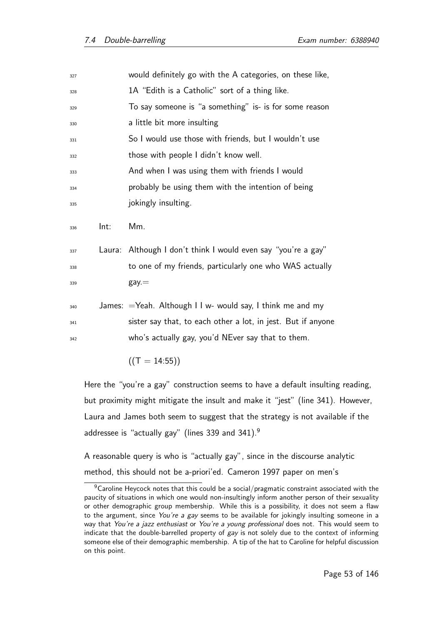| 327 |      | would definitely go with the A categories, on these like,     |
|-----|------|---------------------------------------------------------------|
| 328 |      | 1A "Edith is a Catholic" sort of a thing like.                |
| 329 |      | To say someone is "a something" is- is for some reason        |
| 330 |      | a little bit more insulting                                   |
| 331 |      | So I would use those with friends, but I wouldn't use         |
| 332 |      | those with people I didn't know well.                         |
| 333 |      | And when I was using them with friends I would                |
| 334 |      | probably be using them with the intention of being            |
| 335 |      | jokingly insulting.                                           |
| 336 | Int: | Mm.                                                           |
| 337 |      | Laura: Although I don't think I would even say "you're a gay" |
| 338 |      | to one of my friends, particularly one who WAS actually       |
| 339 |      | $\mathsf{gay} =$                                              |
|     |      | James: $=$ Yeah. Although I I w- would say, I think me and my |
| 340 |      |                                                               |
| 341 |      | sister say that, to each other a lot, in jest. But if anyone  |
| 342 |      | who's actually gay, you'd NEver say that to them.             |
|     |      | $((T = 14:55))$                                               |

Here the "you're a gay" construction seems to have a default insulting reading, but proximity might mitigate the insult and make it "jest" (line 341). However, Laura and James both seem to suggest that the strategy is not available if the addressee is "actually gay" (lines 339 and 341). $9$ 

A reasonable query is who is "actually gay", since in the discourse analytic method, this should not be a-priori'ed. Cameron 1997 paper on men's

<sup>&</sup>lt;sup>9</sup>Caroline Heycock notes that this could be a social/pragmatic constraint associated with the paucity of situations in which one would non-insultingly inform another person of their sexuality or other demographic group membership. While this is a possibility, it does not seem a flaw to the argument, since You're a gay seems to be available for jokingly insulting someone in a way that You're a jazz enthusiast or You're a young professional does not. This would seem to indicate that the double-barrelled property of gay is not solely due to the context of informing someone else of their demographic membership. A tip of the hat to Caroline for helpful discussion on this point.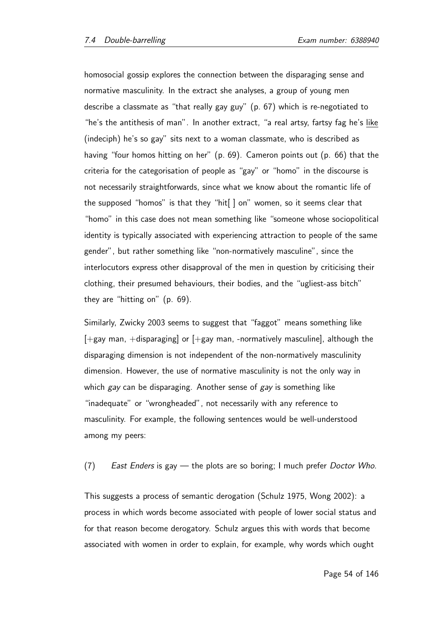homosocial gossip explores the connection between the disparaging sense and normative masculinity. In the extract she analyses, a group of young men describe a classmate as "that really gay guy" (p. 67) which is re-negotiated to "he's the antithesis of man". In another extract, "a real artsy, fartsy fag he's like (indeciph) he's so gay" sits next to a woman classmate, who is described as having "four homos hitting on her" (p. 69). Cameron points out (p. 66) that the criteria for the categorisation of people as "gay" or "homo" in the discourse is not necessarily straightforwards, since what we know about the romantic life of the supposed "homos" is that they "hit[ ] on" women, so it seems clear that "homo" in this case does not mean something like "someone whose sociopolitical identity is typically associated with experiencing attraction to people of the same gender", but rather something like "non-normatively masculine", since the interlocutors express other disapproval of the men in question by criticising their clothing, their presumed behaviours, their bodies, and the "ugliest-ass bitch" they are "hitting on" (p. 69).

Similarly, Zwicky 2003 seems to suggest that "faggot" means something like  $[+$ gay man,  $+$ disparaging] or  $[+$ gay man, -normatively masculine], although the disparaging dimension is not independent of the non-normatively masculinity dimension. However, the use of normative masculinity is not the only way in which gay can be disparaging. Another sense of gay is something like "inadequate" or "wrongheaded", not necessarily with any reference to masculinity. For example, the following sentences would be well-understood among my peers:

(7) East Enders is gay  $-$  the plots are so boring; I much prefer Doctor Who.

This suggests a process of semantic derogation (Schulz 1975, Wong 2002): a process in which words become associated with people of lower social status and for that reason become derogatory. Schulz argues this with words that become associated with women in order to explain, for example, why words which ought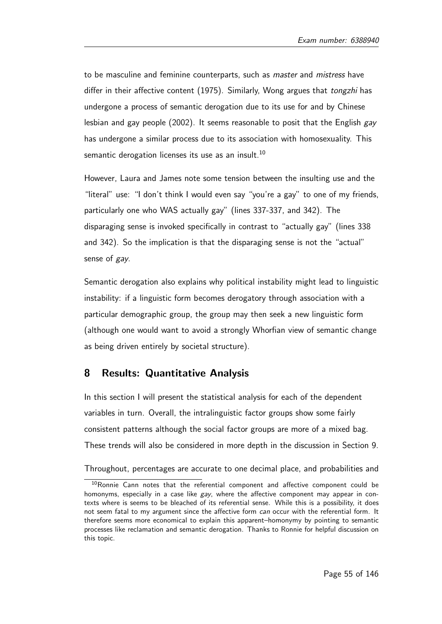to be masculine and feminine counterparts, such as *master* and *mistress* have differ in their affective content (1975). Similarly, Wong argues that tongzhi has undergone a process of semantic derogation due to its use for and by Chinese lesbian and gay people  $(2002)$ . It seems reasonable to posit that the English gay has undergone a similar process due to its association with homosexuality. This semantic derogation licenses its use as an insult.<sup>10</sup>

However, Laura and James note some tension between the insulting use and the "literal" use: "I don't think I would even say "you're a gay" to one of my friends, particularly one who WAS actually gay" (lines 337-337, and 342). The disparaging sense is invoked specifically in contrast to "actually gay" (lines 338 and 342). So the implication is that the disparaging sense is not the "actual" sense of *gay*.

Semantic derogation also explains why political instability might lead to linguistic instability: if a linguistic form becomes derogatory through association with a particular demographic group, the group may then seek a new linguistic form (although one would want to avoid a strongly Whorfian view of semantic change as being driven entirely by societal structure).

## 8 Results: Quantitative Analysis

In this section I will present the statistical analysis for each of the dependent variables in turn. Overall, the intralinguistic factor groups show some fairly consistent patterns although the social factor groups are more of a mixed bag. These trends will also be considered in more depth in the discussion in Section 9.

Throughout, percentages are accurate to one decimal place, and probabilities and

 $10$ Ronnie Cann notes that the referential component and affective component could be homonyms, especially in a case like  $gay$ , where the affective component may appear in contexts where is seems to be bleached of its referential sense. While this is a possibility, it does not seem fatal to my argument since the affective form can occur with the referential form. It therefore seems more economical to explain this apparent–homonymy by pointing to semantic processes like reclamation and semantic derogation. Thanks to Ronnie for helpful discussion on this topic.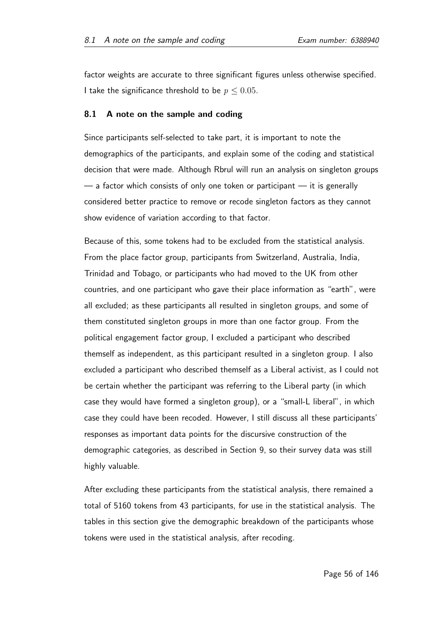factor weights are accurate to three significant figures unless otherwise specified. I take the significance threshold to be  $p \leq 0.05$ .

#### 8.1 A note on the sample and coding

Since participants self-selected to take part, it is important to note the demographics of the participants, and explain some of the coding and statistical decision that were made. Although Rbrul will run an analysis on singleton groups  $-$  a factor which consists of only one token or participant  $-$  it is generally considered better practice to remove or recode singleton factors as they cannot show evidence of variation according to that factor.

Because of this, some tokens had to be excluded from the statistical analysis. From the place factor group, participants from Switzerland, Australia, India, Trinidad and Tobago, or participants who had moved to the UK from other countries, and one participant who gave their place information as "earth", were all excluded; as these participants all resulted in singleton groups, and some of them constituted singleton groups in more than one factor group. From the political engagement factor group, I excluded a participant who described themself as independent, as this participant resulted in a singleton group. I also excluded a participant who described themself as a Liberal activist, as I could not be certain whether the participant was referring to the Liberal party (in which case they would have formed a singleton group), or a "small-L liberal", in which case they could have been recoded. However, I still discuss all these participants' responses as important data points for the discursive construction of the demographic categories, as described in Section 9, so their survey data was still highly valuable.

After excluding these participants from the statistical analysis, there remained a total of 5160 tokens from 43 participants, for use in the statistical analysis. The tables in this section give the demographic breakdown of the participants whose tokens were used in the statistical analysis, after recoding.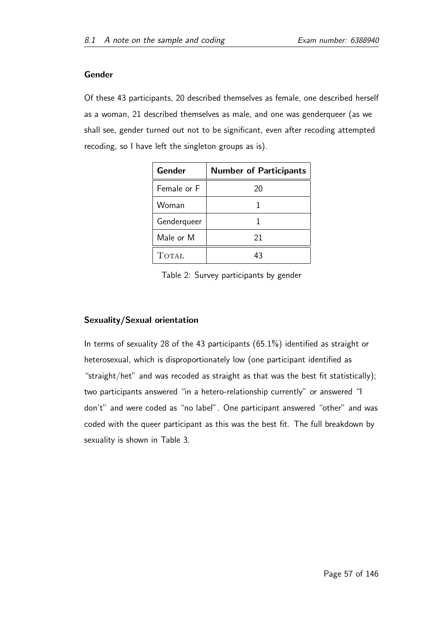### Gender

Of these 43 participants, 20 described themselves as female, one described herself as a woman, 21 described themselves as male, and one was genderqueer (as we shall see, gender turned out not to be significant, even after recoding attempted recoding, so I have left the singleton groups as is).

| Gender       | <b>Number of Participants</b> |  |  |
|--------------|-------------------------------|--|--|
| Female or F  | 20                            |  |  |
| Woman        |                               |  |  |
| Genderqueer  |                               |  |  |
| Male or M    | 21                            |  |  |
| <b>TOTAL</b> | 43                            |  |  |

Table 2: Survey participants by gender

## Sexuality/Sexual orientation

In terms of sexuality 28 of the 43 participants (65.1%) identified as straight or heterosexual, which is disproportionately low (one participant identified as "straight/het" and was recoded as straight as that was the best fit statistically); two participants answered "in a hetero-relationship currently" or answered "I don't" and were coded as "no label". One participant answered "other" and was coded with the queer participant as this was the best fit. The full breakdown by sexuality is shown in Table 3.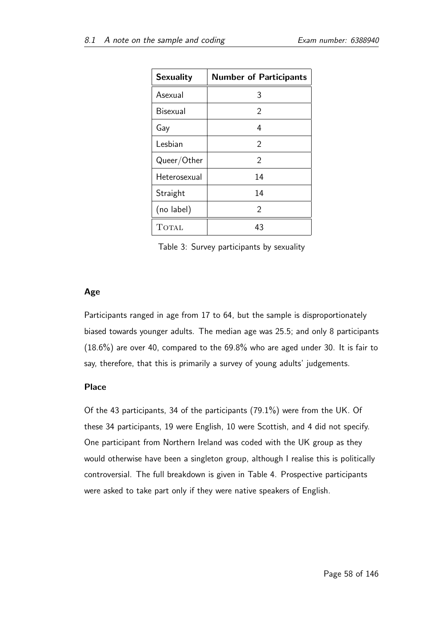| <b>Sexuality</b> | <b>Number of Participants</b> |  |  |
|------------------|-------------------------------|--|--|
| Asexual          | 3                             |  |  |
| <b>Bisexual</b>  | 2                             |  |  |
| Gay              | 4                             |  |  |
| Lesbian          | 2                             |  |  |
| Queer/Other      | 2                             |  |  |
| Heterosexual     | 14                            |  |  |
| Straight         | 14                            |  |  |
| (no label)       | 2                             |  |  |
| <b>TOTAL</b>     | 43                            |  |  |

Table 3: Survey participants by sexuality

## Age

Participants ranged in age from 17 to 64, but the sample is disproportionately biased towards younger adults. The median age was 25.5; and only 8 participants (18.6%) are over 40, compared to the 69.8% who are aged under 30. It is fair to say, therefore, that this is primarily a survey of young adults' judgements.

## Place

Of the 43 participants, 34 of the participants (79.1%) were from the UK. Of these 34 participants, 19 were English, 10 were Scottish, and 4 did not specify. One participant from Northern Ireland was coded with the UK group as they would otherwise have been a singleton group, although I realise this is politically controversial. The full breakdown is given in Table 4. Prospective participants were asked to take part only if they were native speakers of English.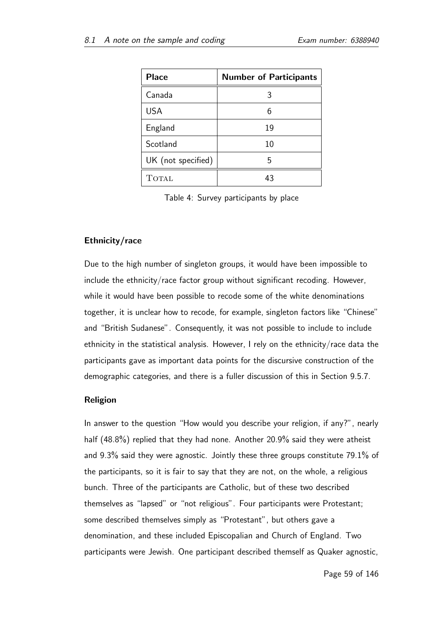| <b>Place</b>       | <b>Number of Participants</b> |
|--------------------|-------------------------------|
| Canada             | 3                             |
| <b>USA</b>         |                               |
| England            | 19                            |
| Scotland           | 10                            |
| UK (not specified) | 5                             |
| <b>TOTAL</b>       | 43                            |

Table 4: Survey participants by place

#### Ethnicity/race

Due to the high number of singleton groups, it would have been impossible to include the ethnicity/race factor group without significant recoding. However, while it would have been possible to recode some of the white denominations together, it is unclear how to recode, for example, singleton factors like "Chinese" and "British Sudanese". Consequently, it was not possible to include to include ethnicity in the statistical analysis. However, I rely on the ethnicity/race data the participants gave as important data points for the discursive construction of the demographic categories, and there is a fuller discussion of this in Section 9.5.7.

#### Religion

In answer to the question "How would you describe your religion, if any?", nearly half (48.8%) replied that they had none. Another 20.9% said they were atheist and 9.3% said they were agnostic. Jointly these three groups constitute 79.1% of the participants, so it is fair to say that they are not, on the whole, a religious bunch. Three of the participants are Catholic, but of these two described themselves as "lapsed" or "not religious". Four participants were Protestant; some described themselves simply as "Protestant", but others gave a denomination, and these included Episcopalian and Church of England. Two participants were Jewish. One participant described themself as Quaker agnostic,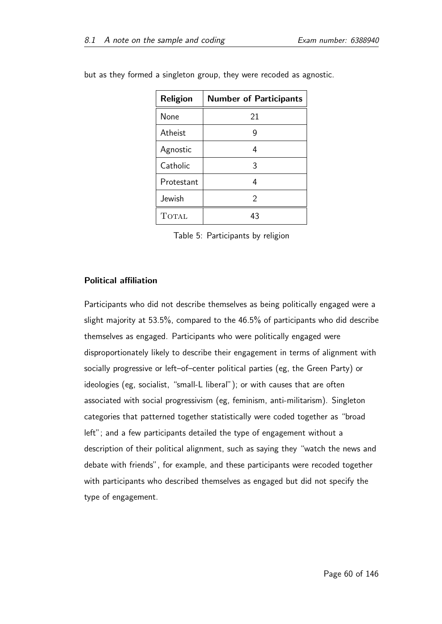| Religion     | <b>Number of Participants</b> |
|--------------|-------------------------------|
| None         | 21                            |
| Atheist      | 9                             |
| Agnostic     | 4                             |
| Catholic     | 3                             |
| Protestant   | 4                             |
| Jewish       | 2                             |
| <b>TOTAL</b> | 43                            |

but as they formed a singleton group, they were recoded as agnostic.

Table 5: Participants by religion

#### Political affiliation

Participants who did not describe themselves as being politically engaged were a slight majority at 53.5%, compared to the 46.5% of participants who did describe themselves as engaged. Participants who were politically engaged were disproportionately likely to describe their engagement in terms of alignment with socially progressive or left–of–center political parties (eg, the Green Party) or ideologies (eg, socialist, "small-L liberal"); or with causes that are often associated with social progressivism (eg, feminism, anti-militarism). Singleton categories that patterned together statistically were coded together as "broad left"; and a few participants detailed the type of engagement without a description of their political alignment, such as saying they "watch the news and debate with friends", for example, and these participants were recoded together with participants who described themselves as engaged but did not specify the type of engagement.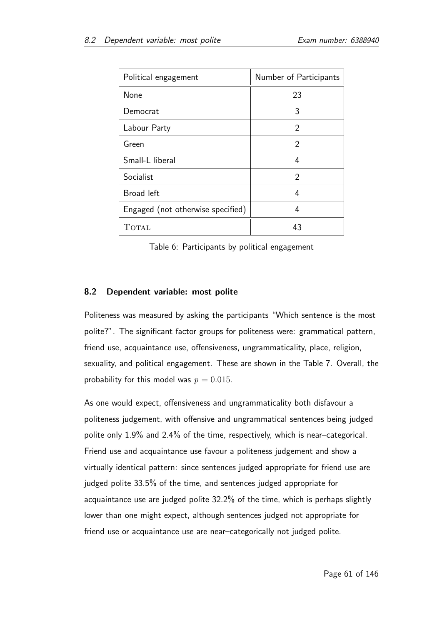| Political engagement              | Number of Participants |
|-----------------------------------|------------------------|
| None                              | 23                     |
| Democrat                          | 3                      |
| Labour Party                      | $\mathcal{P}$          |
| Green                             | 2                      |
| Small-L liberal                   | 4                      |
| Socialist                         | $\mathcal{P}$          |
| Broad left                        | 4                      |
| Engaged (not otherwise specified) | 4                      |
| <b>TOTAL</b>                      | 43                     |

Table 6: Participants by political engagement

## 8.2 Dependent variable: most polite

Politeness was measured by asking the participants "Which sentence is the most polite?". The significant factor groups for politeness were: grammatical pattern, friend use, acquaintance use, offensiveness, ungrammaticality, place, religion, sexuality, and political engagement. These are shown in the Table 7. Overall, the probability for this model was  $p = 0.015$ .

As one would expect, offensiveness and ungrammaticality both disfavour a politeness judgement, with offensive and ungrammatical sentences being judged polite only 1.9% and 2.4% of the time, respectively, which is near–categorical. Friend use and acquaintance use favour a politeness judgement and show a virtually identical pattern: since sentences judged appropriate for friend use are judged polite 33.5% of the time, and sentences judged appropriate for acquaintance use are judged polite 32.2% of the time, which is perhaps slightly lower than one might expect, although sentences judged not appropriate for friend use or acquaintance use are near–categorically not judged polite.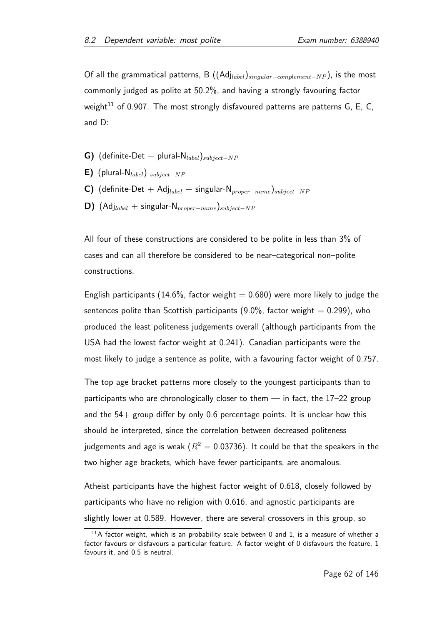Of all the grammatical patterns, B  $((\text{Adj}_{label})_{singular-complement-NP}),$  is the most commonly judged as polite at 50.2%, and having a strongly favouring factor weight<sup>11</sup> of 0.907. The most strongly disfavoured patterns are patterns G, E, C, and D:

- G) (definite-Det + plural- $N_{label}$ ) $_{subject-NP}$
- **E)** (plural-N<sub>label</sub>)  $subject-NP$
- C) (definite-Det + Adj<sub>label</sub> + singular-N<sub>proper</sub><sub>−name</sub>)<sub>subject</sub>-NP
- **D)** (Adj<sub>label</sub> + singular-N<sub>proper</sub><sub>−name</sub>)<sub>subject</sub>−NP</sub>

All four of these constructions are considered to be polite in less than 3% of cases and can all therefore be considered to be near–categorical non–polite constructions.

English participants (14.6%, factor weight  $= 0.680$ ) were more likely to judge the sentences polite than Scottish participants  $(9.0\%$ , factor weight = 0.299), who produced the least politeness judgements overall (although participants from the USA had the lowest factor weight at 0.241). Canadian participants were the most likely to judge a sentence as polite, with a favouring factor weight of 0.757.

The top age bracket patterns more closely to the youngest participants than to participants who are chronologically closer to them — in fact, the 17–22 group and the  $54+$  group differ by only 0.6 percentage points. It is unclear how this should be interpreted, since the correlation between decreased politeness judgements and age is weak ( $R^2 = 0.03736$ ). It could be that the speakers in the two higher age brackets, which have fewer participants, are anomalous.

Atheist participants have the highest factor weight of 0.618, closely followed by participants who have no religion with 0.616, and agnostic participants are slightly lower at 0.589. However, there are several crossovers in this group, so

<sup>&</sup>lt;sup>11</sup>A factor weight, which is an probability scale between 0 and 1, is a measure of whether a factor favours or disfavours a particular feature. A factor weight of 0 disfavours the feature, 1 favours it, and 0.5 is neutral.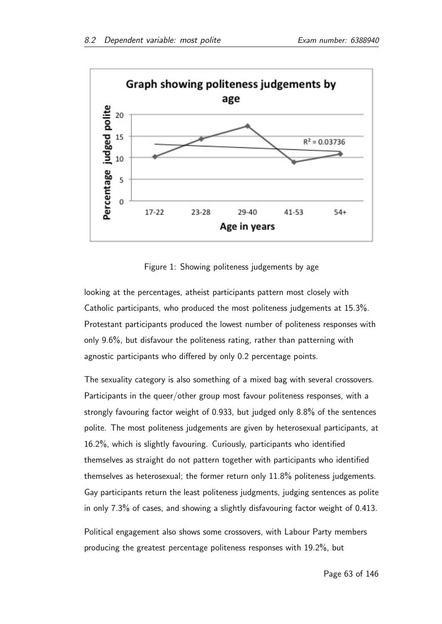

Figure 1: Showing politeness judgements by age

looking at the percentages, atheist participants pattern most closely with Catholic participants, who produced the most politeness judgements at 15.3%. Protestant participants produced the lowest number of politeness responses with only 9.6%, but disfavour the politeness rating, rather than patterning with agnostic participants who differed by only 0.2 percentage points.

The sexuality category is also something of a mixed bag with several crossovers. Participants in the queer/other group most favour politeness responses, with a strongly favouring factor weight of 0.933, but judged only 8.8% of the sentences polite. The most politeness judgements are given by heterosexual participants, at 16.2%, which is slightly favouring. Curiously, participants who identified themselves as straight do not pattern together with participants who identified themselves as heterosexual; the former return only 11.8% politeness judgements. Gay participants return the least politeness judgments, judging sentences as polite in only 7.3% of cases, and showing a slightly disfavouring factor weight of 0.413.

Political engagement also shows some crossovers, with Labour Party members producing the greatest percentage politeness responses with 19.2%, but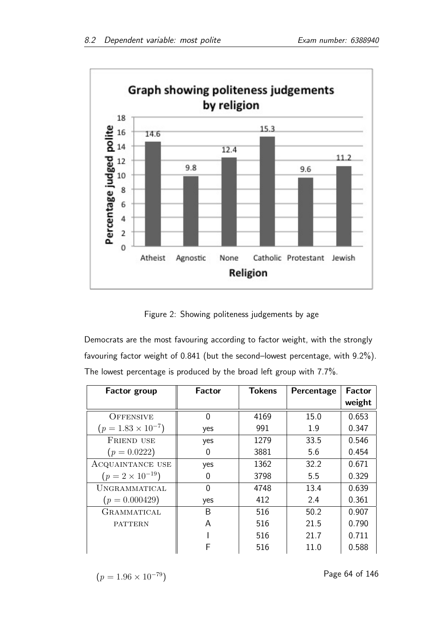

Figure 2: Showing politeness judgements by age

Democrats are the most favouring according to factor weight, with the strongly favouring factor weight of 0.841 (but the second–lowest percentage, with 9.2%). The lowest percentage is produced by the broad left group with 7.7%.

| <b>Factor group</b>         | Factor   | <b>Tokens</b> | Percentage | <b>Factor</b> |
|-----------------------------|----------|---------------|------------|---------------|
|                             |          |               |            | weight        |
| <b>OFFENSIVE</b>            | 0        | 4169          | 15.0       | 0.653         |
| $(p = 1.83 \times 10^{-7})$ | yes      | 991           | 1.9        | 0.347         |
| <b>FRIEND USE</b>           | yes      | 1279          | 33.5       | 0.546         |
| $(p = 0.0222)$              | 0        | 3881          | 5.6        | 0.454         |
| ACQUAINTANCE USE            | yes      | 1362          | 32.2       | 0.671         |
| $(p = 2 \times 10^{-19})$   | 0        | 3798          | 5.5        | 0.329         |
| UNGRAMMATICAL               | $\Omega$ | 4748          | 13.4       | 0.639         |
| $(p = 0.000429)$            | yes      | 412           | 2.4        | 0.361         |
| GRAMMATICAL                 | Β        | 516           | 50.2       | 0.907         |
| <b>PATTERN</b>              | A        | 516           | 21.5       | 0.790         |
|                             |          | 516           | 21.7       | 0.711         |
|                             | F        | 516           | 11.0       | 0.588         |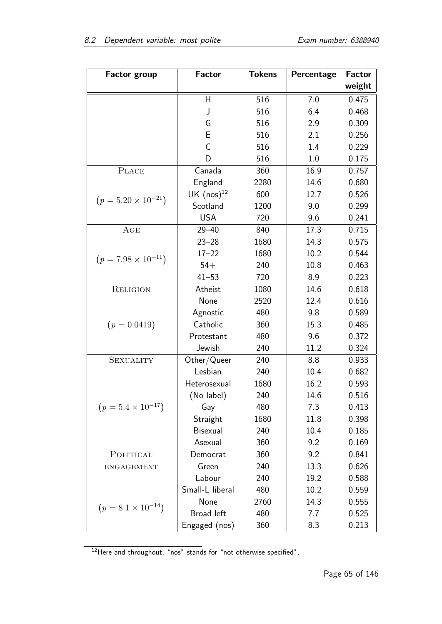| <b>Factor group</b>          | <b>Factor</b>   | <b>Tokens</b> | Percentage | <b>Factor</b> |
|------------------------------|-----------------|---------------|------------|---------------|
|                              |                 |               |            | weight        |
|                              | H               | 516           | 7.0        | 0.475         |
|                              | J               | 516           | 6.4        | 0.468         |
|                              | G               | 516           | 2.9        | 0.309         |
|                              | E               | 516           | 2.1        | 0.256         |
|                              | $\overline{C}$  | 516           | 1.4        | 0.229         |
|                              | D               | 516           | 1.0        | 0.175         |
| <b>PLACE</b>                 | Canada          | 360           | 16.9       | 0.757         |
|                              | England         | 2280          | 14.6       | 0.680         |
| $(p = 5.20 \times 10^{-21})$ | UK $(nos)^{12}$ | 600           | 12.7       | 0.526         |
|                              | Scotland        | 1200          | 9.0        | 0.299         |
|                              | <b>USA</b>      | 720           | 9.6        | 0.241         |
| AGE                          | $29 - 40$       | 840           | 17.3       | 0.715         |
|                              | $23 - 28$       | 1680          | 14.3       | 0.575         |
| $(p = 7.98 \times 10^{-11})$ | $17 - 22$       | 1680          | 10.2       | 0.544         |
|                              | $54+$           | 240           | 10.8       | 0.463         |
|                              | $41 - 53$       | 720           | 8.9        | 0.223         |
| <b>RELIGION</b>              | Atheist         | 1080          | 14.6       | 0.618         |
|                              | None            | 2520          | 12.4       | 0.616         |
|                              | Agnostic        | 480           | 9.8        | 0.589         |
| $(p = 0.0419)$               | Catholic        | 360           | 15.3       | 0.485         |
|                              | Protestant      | 480           | 9.6        | 0.372         |
|                              | Jewish          | 240           | 11.2       | 0.324         |
| <b>SEXUALITY</b>             | Other/Queer     | 240           | 8.8        | 0.933         |
|                              | Lesbian         | 240           | 10.4       | 0.682         |
|                              | Heterosexual    | 1680          | 16.2       | 0.593         |
|                              | (No label)      | 240           | 14.6       | 0.516         |
| $(p = 5.4 \times 10^{-17})$  | Gay             | 480           | 7.3        | 0.413         |
|                              | Straight        | 1680          | 11.8       | 0.398         |
|                              | Bisexual        | 240           | 10.4       | 0.185         |
|                              | Asexual         | 360           | 9.2        | 0.169         |
| POLITICAL                    | Democrat        | 360           | 9.2        | 0.841         |
| <b>ENGAGEMENT</b>            | Green           | 240           | 13.3       | 0.626         |
|                              | Labour          | 240           | 19.2       | 0.588         |
|                              | Small-L liberal | 480           | 10.2       | 0.559         |
| $(p = 8.1 \times 10^{-14})$  | None            | 2760          | 14.3       | 0.555         |
|                              | Broad left      | 480           | 7.7        | 0.525         |
|                              | Engaged (nos)   | 360           | 8.3        | 0.213         |

<sup>12</sup>Here and throughout, "nos" stands for "not otherwise specified".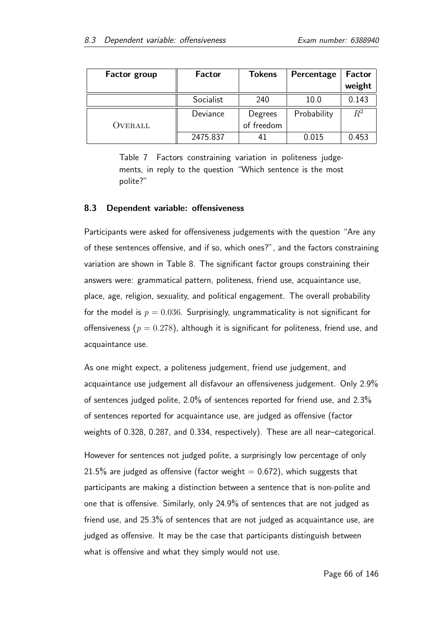| <b>Factor group</b> | <b>Factor</b> | <b>Tokens</b> | Percentage  | <b>Factor</b> |
|---------------------|---------------|---------------|-------------|---------------|
|                     |               |               |             | weight        |
|                     | Socialist     | 240           | 10.0        | 0.143         |
|                     | Deviance      | Degrees       | Probability | $R^2$         |
| OVERALL             |               | of freedom    |             |               |
|                     | 2475.837      | 41            | 0.015       | 0.453         |

Table 7 Factors constraining variation in politeness judgements, in reply to the question "Which sentence is the most polite?"

#### 8.3 Dependent variable: offensiveness

Participants were asked for offensiveness judgements with the question "Are any of these sentences offensive, and if so, which ones?", and the factors constraining variation are shown in Table 8. The significant factor groups constraining their answers were: grammatical pattern, politeness, friend use, acquaintance use, place, age, religion, sexuality, and political engagement. The overall probability for the model is  $p = 0.036$ . Surprisingly, ungrammaticality is not significant for offensiveness ( $p = 0.278$ ), although it is significant for politeness, friend use, and acquaintance use.

As one might expect, a politeness judgement, friend use judgement, and acquaintance use judgement all disfavour an offensiveness judgement. Only 2.9% of sentences judged polite, 2.0% of sentences reported for friend use, and 2.3% of sentences reported for acquaintance use, are judged as offensive (factor weights of 0.328, 0.287, and 0.334, respectively). These are all near–categorical.

However for sentences not judged polite, a surprisingly low percentage of only 21.5% are judged as offensive (factor weight  $= 0.672$ ), which suggests that participants are making a distinction between a sentence that is non-polite and one that is offensive. Similarly, only 24.9% of sentences that are not judged as friend use, and 25.3% of sentences that are not judged as acquaintance use, are judged as offensive. It may be the case that participants distinguish between what is offensive and what they simply would not use.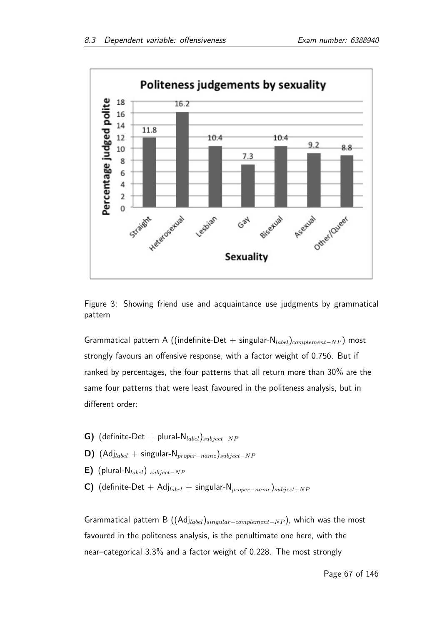

Figure 3: Showing friend use and acquaintance use judgments by grammatical pattern

Grammatical pattern A ((indefinite-Det + singular-N<sub>label</sub>)<sub>complement-NP</sub>) most strongly favours an offensive response, with a factor weight of 0.756. But if ranked by percentages, the four patterns that all return more than 30% are the same four patterns that were least favoured in the politeness analysis, but in different order:

- G) (definite-Det + plural- $N_{label}$ ) $_{subject-NP}$
- D) (Adj<sub>label</sub> + singular-N<sub>proper</sub>−name)<sub>subject</sub>−NP
- E) (plural-N<sub>label</sub>)  $_{subject-NP}$
- C) (definite-Det + Adj<sub>label</sub> + singular-N<sub>proper</sub><sub>-name</sub>)<sub>subject</sub>-NP

Grammatical pattern B ( $(Ad_{Jlabel})_{singular-complement-NP}$ ), which was the most favoured in the politeness analysis, is the penultimate one here, with the near–categorical 3.3% and a factor weight of 0.228. The most strongly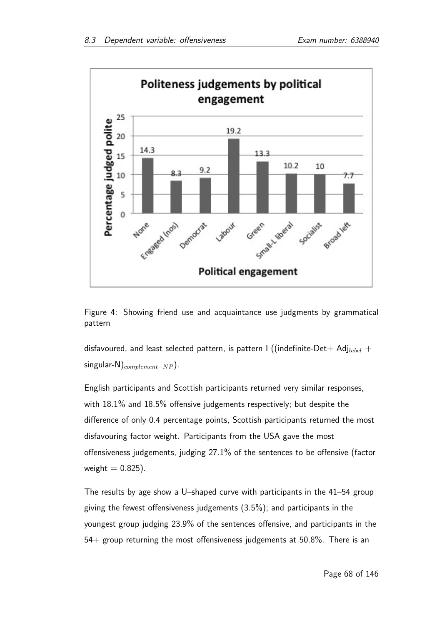

Figure 4: Showing friend use and acquaintance use judgments by grammatical pattern

disfavoured, and least selected pattern, is pattern I ((indefinite-Det+ Adj<sub>label</sub> + singular-N)<sub>complement</sub>-NP $).$ 

English participants and Scottish participants returned very similar responses, with 18.1% and 18.5% offensive judgements respectively; but despite the difference of only 0.4 percentage points, Scottish participants returned the most disfavouring factor weight. Participants from the USA gave the most offensiveness judgements, judging 27.1% of the sentences to be offensive (factor weight  $= 0.825$ ).

The results by age show a U–shaped curve with participants in the 41–54 group giving the fewest offensiveness judgements (3.5%); and participants in the youngest group judging 23.9% of the sentences offensive, and participants in the 54+ group returning the most offensiveness judgements at 50.8%. There is an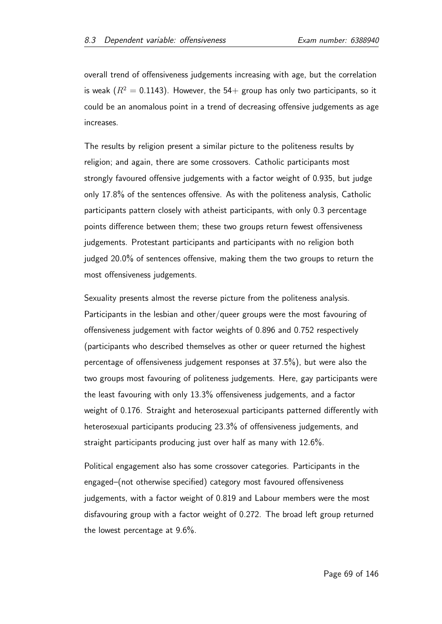overall trend of offensiveness judgements increasing with age, but the correlation is weak ( $R^2 = 0.1143$ ). However, the 54+ group has only two participants, so it could be an anomalous point in a trend of decreasing offensive judgements as age increases.

The results by religion present a similar picture to the politeness results by religion; and again, there are some crossovers. Catholic participants most strongly favoured offensive judgements with a factor weight of 0.935, but judge only 17.8% of the sentences offensive. As with the politeness analysis, Catholic participants pattern closely with atheist participants, with only 0.3 percentage points difference between them; these two groups return fewest offensiveness judgements. Protestant participants and participants with no religion both judged 20.0% of sentences offensive, making them the two groups to return the most offensiveness judgements.

Sexuality presents almost the reverse picture from the politeness analysis. Participants in the lesbian and other/queer groups were the most favouring of offensiveness judgement with factor weights of 0.896 and 0.752 respectively (participants who described themselves as other or queer returned the highest percentage of offensiveness judgement responses at 37.5%), but were also the two groups most favouring of politeness judgements. Here, gay participants were the least favouring with only 13.3% offensiveness judgements, and a factor weight of 0.176. Straight and heterosexual participants patterned differently with heterosexual participants producing 23.3% of offensiveness judgements, and straight participants producing just over half as many with 12.6%.

Political engagement also has some crossover categories. Participants in the engaged–(not otherwise specified) category most favoured offensiveness judgements, with a factor weight of 0.819 and Labour members were the most disfavouring group with a factor weight of 0.272. The broad left group returned the lowest percentage at 9.6%.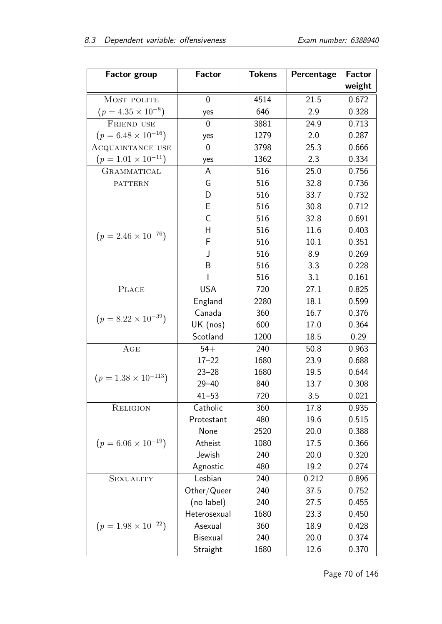| <b>Factor group</b>           | <b>Factor</b>  | <b>Tokens</b> | Percentage | <b>Factor</b> |
|-------------------------------|----------------|---------------|------------|---------------|
|                               |                |               |            | weight        |
| MOST POLITE                   | $\overline{0}$ | 4514          | 21.5       | 0.672         |
| $(p = 4.35 \times 10^{-8})$   | yes            | 646           | 2.9        | 0.328         |
| FRIEND USE                    | $\overline{0}$ | 3881          | 24.9       | 0.713         |
| $(p = 6.48 \times 10^{-16})$  | yes            | 1279          | 2.0        | 0.287         |
| ACQUAINTANCE USE              | $\overline{0}$ | 3798          | 25.3       | 0.666         |
| $(p = 1.01 \times 10^{-11})$  | yes            | 1362          | 2.3        | 0.334         |
| GRAMMATICAL                   | A              | 516           | 25.0       | 0.756         |
| <b>PATTERN</b>                | G              | 516           | 32.8       | 0.736         |
|                               | D              | 516           | 33.7       | 0.732         |
|                               | E              | 516           | 30.8       | 0.712         |
|                               | $\overline{C}$ | 516           | 32.8       | 0.691         |
| $(p = 2.46 \times 10^{-76})$  | Η              | 516           | 11.6       | 0.403         |
|                               | F              | 516           | 10.1       | 0.351         |
|                               | J              | 516           | 8.9        | 0.269         |
|                               | B              | 516           | 3.3        | 0.228         |
|                               |                | 516           | 3.1        | 0.161         |
| PLACE                         | <b>USA</b>     | 720           | 27.1       | 0.825         |
|                               | England        | 2280          | 18.1       | 0.599         |
| $(p = 8.22 \times 10^{-32})$  | Canada         | 360           | 16.7       | 0.376         |
|                               | UK (nos)       | 600           | 17.0       | 0.364         |
|                               | Scotland       | 1200          | 18.5       | 0.29          |
| AGE                           | $54+$          | 240           | 50.8       | 0.963         |
|                               | $17 - 22$      | 1680          | 23.9       | 0.688         |
| $(p = 1.38 \times 10^{-113})$ | $23 - 28$      | 1680          | 19.5       | 0.644         |
|                               | $29 - 40$      | 840           | 13.7       | 0.308         |
|                               | $41 - 53$      | 720           | 3.5        | 0.021         |
| <b>RELIGION</b>               | Catholic       | 360           | 17.8       | 0.935         |
|                               | Protestant     | 480           | 19.6       | 0.515         |
|                               | None           | 2520          | 20.0       | 0.388         |
| $(p = 6.06 \times 10^{-19})$  | Atheist        | 1080          | 17.5       | 0.366         |
|                               | Jewish         | 240           | 20.0       | 0.320         |
|                               | Agnostic       | 480           | 19.2       | 0.274         |
| <b>SEXUALITY</b>              | Lesbian        | 240           | 0.212      | 0.896         |
|                               | Other/Queer    | 240           | 37.5       | 0.752         |
|                               | (no label)     | 240           | 27.5       | 0.455         |
|                               | Heterosexual   | 1680          | 23.3       | 0.450         |
| $(p = 1.98 \times 10^{-22})$  | Asexual        | 360           | 18.9       | 0.428         |
|                               | Bisexual       | 240           | 20.0       | 0.374         |
|                               | Straight       | 1680          | 12.6       | 0.370         |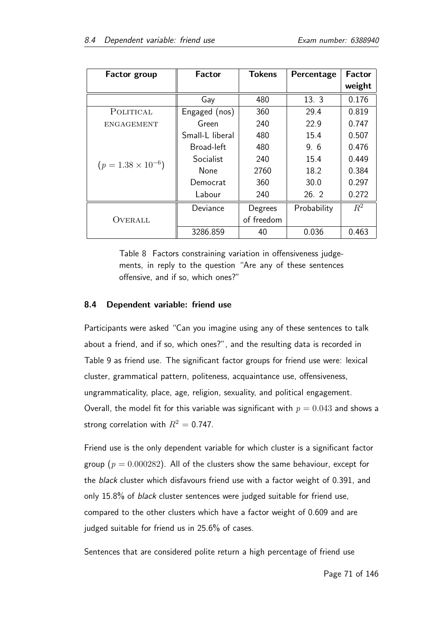| <b>Factor group</b>         | Factor          | <b>Tokens</b> | Percentage  | <b>Factor</b> |
|-----------------------------|-----------------|---------------|-------------|---------------|
|                             |                 |               |             | weight        |
|                             | Gay             | 480           | 13.3        | 0.176         |
| POLITICAL                   | Engaged (nos)   | 360           | 29.4        | 0.819         |
| <b>ENGAGEMENT</b>           | Green           | 240           | 22.9        | 0.747         |
|                             | Small-L liberal | 480           | 15.4        | 0.507         |
|                             | Broad-left      | 480           | 9.6         | 0.476         |
| $(p = 1.38 \times 10^{-6})$ | Socialist       | 240           | 15.4        | 0.449         |
|                             | <b>None</b>     | 2760          | 18.2        | 0.384         |
|                             | Democrat        | 360           | 30.0        | 0.297         |
|                             | Labour          | 240           | 26.2        | 0.272         |
|                             | Deviance        | Degrees       | Probability | $R^2$         |
| OVERALL                     |                 | of freedom    |             |               |
|                             | 3286.859        | 40            | 0.036       | 0.463         |

Table 8 Factors constraining variation in offensiveness judgements, in reply to the question "Are any of these sentences offensive, and if so, which ones?"

## 8.4 Dependent variable: friend use

Participants were asked "Can you imagine using any of these sentences to talk about a friend, and if so, which ones?", and the resulting data is recorded in Table 9 as friend use. The significant factor groups for friend use were: lexical cluster, grammatical pattern, politeness, acquaintance use, offensiveness, ungrammaticality, place, age, religion, sexuality, and political engagement. Overall, the model fit for this variable was significant with  $p = 0.043$  and shows a strong correlation with  $R^2 = 0.747$ .

Friend use is the only dependent variable for which cluster is a significant factor group ( $p = 0.000282$ ). All of the clusters show the same behaviour, except for the *black* cluster which disfavours friend use with a factor weight of 0.391, and only 15.8% of black cluster sentences were judged suitable for friend use, compared to the other clusters which have a factor weight of 0.609 and are judged suitable for friend us in 25.6% of cases.

Sentences that are considered polite return a high percentage of friend use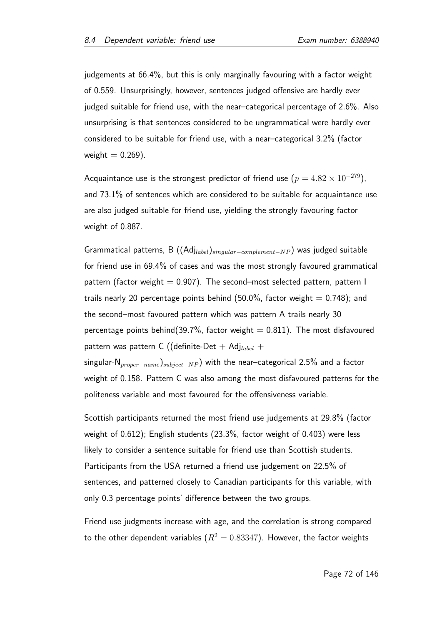judgements at 66.4%, but this is only marginally favouring with a factor weight of 0.559. Unsurprisingly, however, sentences judged offensive are hardly ever judged suitable for friend use, with the near–categorical percentage of 2.6%. Also unsurprising is that sentences considered to be ungrammatical were hardly ever considered to be suitable for friend use, with a near–categorical 3.2% (factor weight  $= 0.269$ ).

Acquaintance use is the strongest predictor of friend use ( $p = 4.82 \times 10^{-279}$ ), and 73.1% of sentences which are considered to be suitable for acquaintance use are also judged suitable for friend use, yielding the strongly favouring factor weight of 0.887.

Grammatical patterns, B ((Adjlabel)singular−complement−NP ) was judged suitable for friend use in 69.4% of cases and was the most strongly favoured grammatical pattern (factor weight  $= 0.907$ ). The second–most selected pattern, pattern I trails nearly 20 percentage points behind (50.0%, factor weight  $= 0.748$ ); and the second–most favoured pattern which was pattern A trails nearly 30 percentage points behind(39.7%, factor weight  $= 0.811$ ). The most disfavoured pattern was pattern C ((definite-Det + Adj<sub>label</sub> + singular-N<sub>proper</sub><sub>−name</sub>)<sub>subject</sub>−NP) with the near–categorical 2.5% and a factor weight of 0.158. Pattern C was also among the most disfavoured patterns for the

politeness variable and most favoured for the offensiveness variable.

Scottish participants returned the most friend use judgements at 29.8% (factor weight of 0.612); English students (23.3%, factor weight of 0.403) were less likely to consider a sentence suitable for friend use than Scottish students. Participants from the USA returned a friend use judgement on 22.5% of sentences, and patterned closely to Canadian participants for this variable, with only 0.3 percentage points' difference between the two groups.

Friend use judgments increase with age, and the correlation is strong compared to the other dependent variables ( $R^2 = 0.83347$ ). However, the factor weights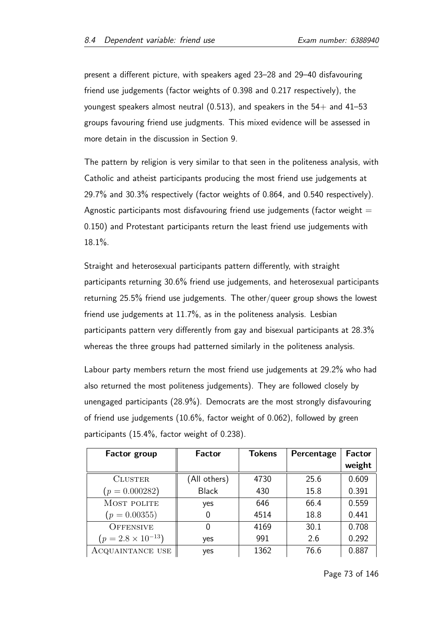present a different picture, with speakers aged 23–28 and 29–40 disfavouring friend use judgements (factor weights of 0.398 and 0.217 respectively), the youngest speakers almost neutral (0.513), and speakers in the  $54+$  and  $41-53$ groups favouring friend use judgments. This mixed evidence will be assessed in more detain in the discussion in Section 9.

The pattern by religion is very similar to that seen in the politeness analysis, with Catholic and atheist participants producing the most friend use judgements at 29.7% and 30.3% respectively (factor weights of 0.864, and 0.540 respectively). Agnostic participants most disfavouring friend use judgements (factor weight  $=$ 0.150) and Protestant participants return the least friend use judgements with 18.1%.

Straight and heterosexual participants pattern differently, with straight participants returning 30.6% friend use judgements, and heterosexual participants returning 25.5% friend use judgements. The other/queer group shows the lowest friend use judgements at 11.7%, as in the politeness analysis. Lesbian participants pattern very differently from gay and bisexual participants at 28.3% whereas the three groups had patterned similarly in the politeness analysis.

Labour party members return the most friend use judgements at 29.2% who had also returned the most politeness judgements). They are followed closely by unengaged participants (28.9%). Democrats are the most strongly disfavouring of friend use judgements (10.6%, factor weight of 0.062), followed by green participants (15.4%, factor weight of 0.238).

| <b>Factor group</b>         | <b>Factor</b> | <b>Tokens</b> | Percentage | <b>Factor</b> |
|-----------------------------|---------------|---------------|------------|---------------|
|                             |               |               |            | weight        |
| <b>CLUSTER</b>              | (All others)  | 4730          | 25.6       | 0.609         |
| $(p = 0.000282)$            | <b>Black</b>  | 430           | 15.8       | 0.391         |
| MOST POLITE                 | yes           | 646           | 66.4       | 0.559         |
| $(p = 0.00355)$             |               | 4514          | 18.8       | 0.441         |
| <b>OFFENSIVE</b>            |               | 4169          | 30.1       | 0.708         |
| $(p = 2.8 \times 10^{-13})$ | yes           | 991           | 2.6        | 0.292         |
| ACQUAINTANCE USE            | yes           | 1362          | 76.6       | 0.887         |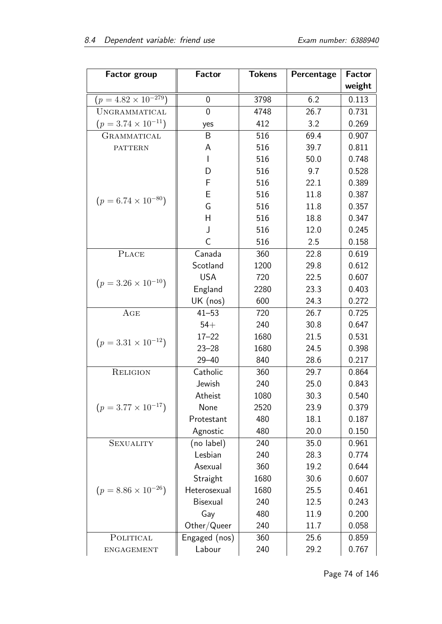| <b>Factor group</b>           | <b>Factor</b>  | <b>Tokens</b> | Percentage | <b>Factor</b> |
|-------------------------------|----------------|---------------|------------|---------------|
|                               |                |               |            | weight        |
| $(p = 4.82 \times 10^{-279})$ | 0              | 3798          | 6.2        | 0.113         |
| UNGRAMMATICAL                 | $\overline{0}$ | 4748          | 26.7       | 0.731         |
| $(p = 3.74 \times 10^{-11})$  | yes            | 412           | 3.2        | 0.269         |
| GRAMMATICAL                   | B              | 516           | 69.4       | 0.907         |
| <b>PATTERN</b>                | A              | 516           | 39.7       | 0.811         |
|                               | L              | 516           | 50.0       | 0.748         |
|                               | D              | 516           | 9.7        | 0.528         |
|                               | F              | 516           | 22.1       | 0.389         |
| $(p = 6.74 \times 10^{-80})$  | Е              | 516           | 11.8       | 0.387         |
|                               | G              | 516           | 11.8       | 0.357         |
|                               | H              | 516           | 18.8       | 0.347         |
|                               | J              | 516           | 12.0       | 0.245         |
|                               | C              | 516           | 2.5        | 0.158         |
| <b>PLACE</b>                  | Canada         | 360           | 22.8       | 0.619         |
|                               | Scotland       | 1200          | 29.8       | 0.612         |
| $(p = 3.26 \times 10^{-10})$  | <b>USA</b>     | 720           | 22.5       | 0.607         |
|                               | England        | 2280          | 23.3       | 0.403         |
|                               | UK (nos)       | 600           | 24.3       | 0.272         |
| AGE                           | $41 - 53$      | 720           | 26.7       | 0.725         |
|                               | $54+$          | 240           | 30.8       | 0.647         |
| $(p = 3.31 \times 10^{-12})$  | $17 - 22$      | 1680          | 21.5       | 0.531         |
|                               | $23 - 28$      | 1680          | 24.5       | 0.398         |
|                               | $29 - 40$      | 840           | 28.6       | 0.217         |
| <b>RELIGION</b>               | Catholic       | 360           | 29.7       | 0.864         |
|                               | Jewish         | 240           | 25.0       | 0.843         |
|                               | Atheist        | 1080          | 30.3       | 0.540         |
| $(p = 3.77 \times 10^{-17})$  | None           | 2520          | 23.9       | 0.379         |
|                               | Protestant     | 480           | 18.1       | 0.187         |
|                               | Agnostic       | 480           | 20.0       | 0.150         |
| <b>SEXUALITY</b>              | (no label)     | 240           | 35.0       | 0.961         |
|                               | Lesbian        | 240           | 28.3       | 0.774         |
|                               | Asexual        | 360           | 19.2       | 0.644         |
|                               | Straight       | 1680          | 30.6       | 0.607         |
| $(p = 8.86 \times 10^{-26})$  | Heterosexual   | 1680          | 25.5       | 0.461         |
|                               | Bisexual       | 240           | 12.5       | 0.243         |
|                               | Gay            | 480           | 11.9       | 0.200         |
|                               | Other/Queer    | 240           | 11.7       | 0.058         |
| POLITICAL                     | Engaged (nos)  | 360           | 25.6       | 0.859         |
| ENGAGEMENT                    | Labour         | 240           | 29.2       | 0.767         |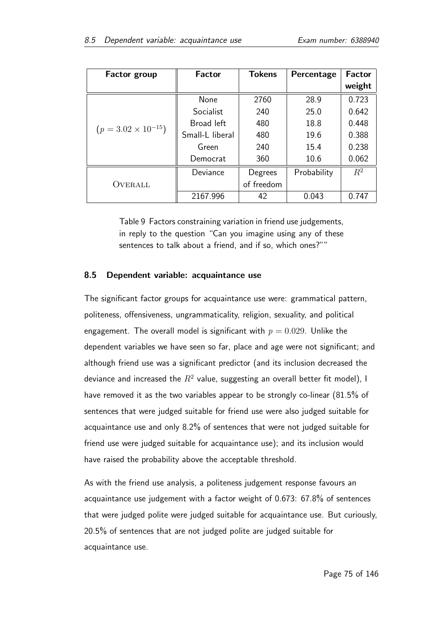| <b>Factor group</b>          | Factor          | <b>Tokens</b> | Percentage  | <b>Factor</b> |
|------------------------------|-----------------|---------------|-------------|---------------|
|                              |                 |               |             | weight        |
|                              | <b>None</b>     | 2760          | 28.9        | 0.723         |
|                              | Socialist       | 240           | 25.0        | 0.642         |
| $(p = 3.02 \times 10^{-15})$ | Broad left      | 480           | 18.8        | 0.448         |
|                              | Small-L liberal | 480           | 19.6        | 0.388         |
|                              | Green           | 240           | 15.4        | 0.238         |
|                              | Democrat        | 360           | 10.6        | 0.062         |
| OVERALL                      | Deviance        | Degrees       | Probability | $R^2$         |
|                              |                 | of freedom    |             |               |
|                              | 2167.996        | 42            | 0.043       | 0.747         |

Table 9 Factors constraining variation in friend use judgements, in reply to the question "Can you imagine using any of these sentences to talk about a friend, and if so, which ones?""

# 8.5 Dependent variable: acquaintance use

The significant factor groups for acquaintance use were: grammatical pattern, politeness, offensiveness, ungrammaticality, religion, sexuality, and political engagement. The overall model is significant with  $p = 0.029$ . Unlike the dependent variables we have seen so far, place and age were not significant; and although friend use was a significant predictor (and its inclusion decreased the deviance and increased the  $R^2$  value, suggesting an overall better fit model), I have removed it as the two variables appear to be strongly co-linear (81.5% of sentences that were judged suitable for friend use were also judged suitable for acquaintance use and only 8.2% of sentences that were not judged suitable for friend use were judged suitable for acquaintance use); and its inclusion would have raised the probability above the acceptable threshold.

As with the friend use analysis, a politeness judgement response favours an acquaintance use judgement with a factor weight of 0.673: 67.8% of sentences that were judged polite were judged suitable for acquaintance use. But curiously, 20.5% of sentences that are not judged polite are judged suitable for acquaintance use.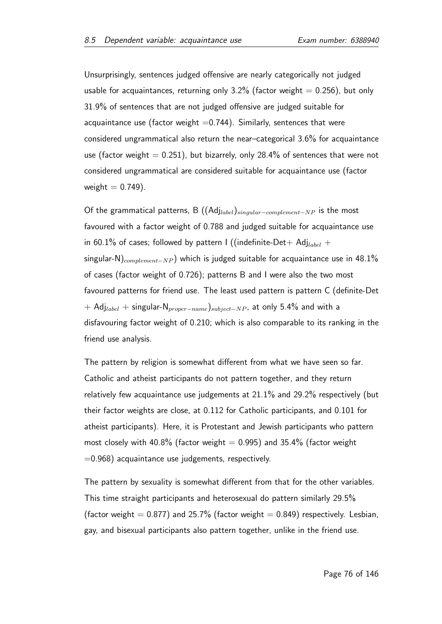Unsurprisingly, sentences judged offensive are nearly categorically not judged usable for acquaintances, returning only  $3.2\%$  (factor weight  $= 0.256$ ), but only 31.9% of sentences that are not judged offensive are judged suitable for acquaintance use (factor weight  $=0.744$ ). Similarly, sentences that were considered ungrammatical also return the near–categorical 3.6% for acquaintance use (factor weight  $= 0.251$ ), but bizarrely, only 28.4% of sentences that were not considered ungrammatical are considered suitable for acquaintance use (factor weight  $= 0.749$ ).

Of the grammatical patterns, B  $((\text{Adj}_{label})_{sincular-complement-NP}$  is the most favoured with a factor weight of 0.788 and judged suitable for acquaintance use in 60.1% of cases; followed by pattern I ((indefinite-Det+ Adj<sub>label</sub> + singular-N)<sub>complement−NP</sub>) which is judged suitable for acquaintance use in 48.1% of cases (factor weight of 0.726); patterns B and I were also the two most favoured patterns for friend use. The least used pattern is pattern C (definite-Det + Adj<sub>label</sub> + singular-N<sub>proper</sub><sub>−name</sub>)<sub>subject</sub><sub>−NP</sub>, at only 5.4% and with a disfavouring factor weight of 0.210; which is also comparable to its ranking in the friend use analysis.

The pattern by religion is somewhat different from what we have seen so far. Catholic and atheist participants do not pattern together, and they return relatively few acquaintance use judgements at 21.1% and 29.2% respectively (but their factor weights are close, at 0.112 for Catholic participants, and 0.101 for atheist participants). Here, it is Protestant and Jewish participants who pattern most closely with 40.8% (factor weight  $= 0.995$ ) and 35.4% (factor weight  $=0.968$ ) acquaintance use judgements, respectively.

The pattern by sexuality is somewhat different from that for the other variables. This time straight participants and heterosexual do pattern similarly 29.5% (factor weight  $= 0.877$ ) and 25.7% (factor weight  $= 0.849$ ) respectively. Lesbian, gay, and bisexual participants also pattern together, unlike in the friend use.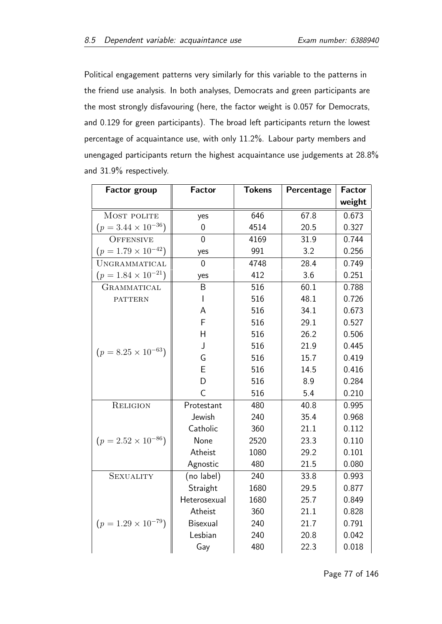Political engagement patterns very similarly for this variable to the patterns in the friend use analysis. In both analyses, Democrats and green participants are the most strongly disfavouring (here, the factor weight is 0.057 for Democrats, and 0.129 for green participants). The broad left participants return the lowest percentage of acquaintance use, with only 11.2%. Labour party members and unengaged participants return the highest acquaintance use judgements at 28.8% and 31.9% respectively.

| <b>Factor group</b>          | <b>Factor</b>   | <b>Tokens</b> | Percentage | <b>Factor</b> |
|------------------------------|-----------------|---------------|------------|---------------|
|                              |                 |               |            | weight        |
| MOST POLITE                  | yes             | 646           | 67.8       | 0.673         |
| $(p = 3.44 \times 10^{-36})$ | 0               | 4514          | 20.5       | 0.327         |
| <b>OFFENSIVE</b>             | $\overline{0}$  | 4169          | 31.9       | 0.744         |
| $(p = 1.79 \times 10^{-42})$ | yes             | 991           | 3.2        | 0.256         |
| UNGRAMMATICAL                | $\overline{0}$  | 4748          | 28.4       | 0.749         |
| $(p = 1.84 \times 10^{-21})$ | yes             | 412           | 3.6        | 0.251         |
| GRAMMATICAL                  | B               | 516           | 60.1       | 0.788         |
| <b>PATTERN</b>               | I               | 516           | 48.1       | 0.726         |
|                              | A               | 516           | 34.1       | 0.673         |
|                              | F               | 516           | 29.1       | 0.527         |
|                              | H               | 516           | 26.2       | 0.506         |
| $(p = 8.25 \times 10^{-63})$ | J               | 516           | 21.9       | 0.445         |
|                              | G               | 516           | 15.7       | 0.419         |
|                              | E               | 516           | 14.5       | 0.416         |
|                              | D               | 516           | 8.9        | 0.284         |
|                              | $\overline{C}$  | 516           | 5.4        | 0.210         |
| <b>RELIGION</b>              | Protestant      | 480           | 40.8       | 0.995         |
|                              | Jewish          | 240           | 35.4       | 0.968         |
|                              | Catholic        | 360           | 21.1       | 0.112         |
| $(p = 2.52 \times 10^{-86})$ | None            | 2520          | 23.3       | 0.110         |
|                              | Atheist         | 1080          | 29.2       | 0.101         |
|                              | Agnostic        | 480           | 21.5       | 0.080         |
| <b>SEXUALITY</b>             | (no label)      | 240           | 33.8       | 0.993         |
|                              | Straight        | 1680          | 29.5       | 0.877         |
|                              | Heterosexual    | 1680          | 25.7       | 0.849         |
|                              | Atheist         | 360           | 21.1       | 0.828         |
| $(p = 1.29 \times 10^{-79})$ | <b>Bisexual</b> | 240           | 21.7       | 0.791         |
|                              | Lesbian         | 240           | 20.8       | 0.042         |
|                              | Gay             | 480           | 22.3       | 0.018         |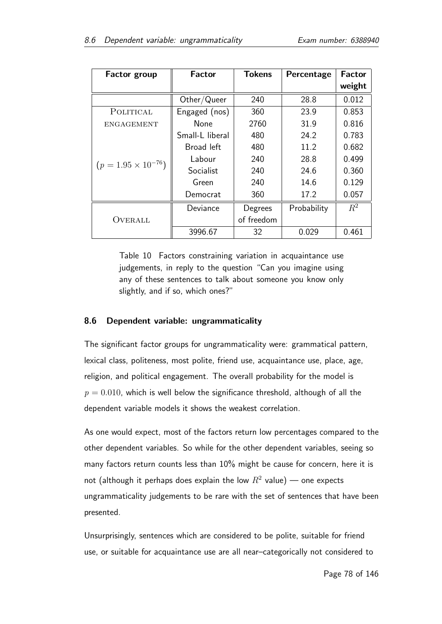| <b>Factor group</b>          | Factor          | <b>Tokens</b> | Percentage  | <b>Factor</b> |
|------------------------------|-----------------|---------------|-------------|---------------|
|                              |                 |               |             | weight        |
|                              | Other/Queer     | 240           | 28.8        | 0.012         |
| POLITICAL                    | Engaged (nos)   | 360           | 23.9        | 0.853         |
| <b>ENGAGEMENT</b>            | None            | 2760          | 31.9        | 0.816         |
| $(p = 1.95 \times 10^{-76})$ | Small-L liberal | 480           | 24.2        | 0.783         |
|                              | Broad left      | 480           | 11.2        | 0.682         |
|                              | Labour          | 240           | 28.8        | 0.499         |
|                              | Socialist       | 240           | 24.6        | 0.360         |
|                              | Green           | 240           | 14.6        | 0.129         |
|                              | Democrat        | 360           | 17.2        | 0.057         |
| OVERALL                      | Deviance        | Degrees       | Probability | $R^2$         |
|                              |                 | of freedom    |             |               |
|                              | 3996.67         | 32            | 0.029       | 0.461         |

Table 10 Factors constraining variation in acquaintance use judgements, in reply to the question "Can you imagine using any of these sentences to talk about someone you know only slightly, and if so, which ones?"

# 8.6 Dependent variable: ungrammaticality

The significant factor groups for ungrammaticality were: grammatical pattern, lexical class, politeness, most polite, friend use, acquaintance use, place, age, religion, and political engagement. The overall probability for the model is  $p = 0.010$ , which is well below the significance threshold, although of all the dependent variable models it shows the weakest correlation.

As one would expect, most of the factors return low percentages compared to the other dependent variables. So while for the other dependent variables, seeing so many factors return counts less than 10% might be cause for concern, here it is not (although it perhaps does explain the low  $R^2$  value) — one expects ungrammaticality judgements to be rare with the set of sentences that have been presented.

Unsurprisingly, sentences which are considered to be polite, suitable for friend use, or suitable for acquaintance use are all near–categorically not considered to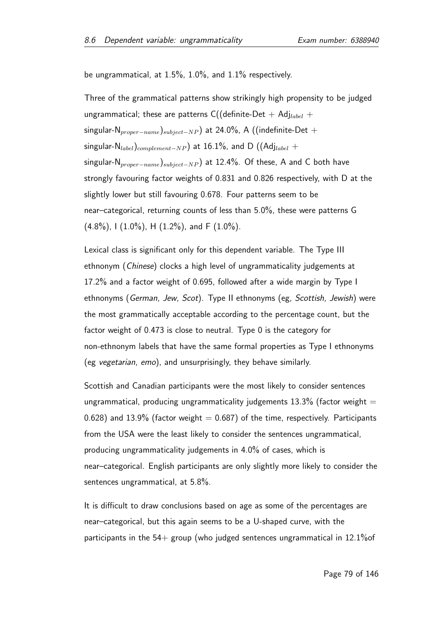be ungrammatical, at 1.5%, 1.0%, and 1.1% respectively.

Three of the grammatical patterns show strikingly high propensity to be judged ungrammatical; these are patterns C((definite-Det + Adj<sub>label</sub> + singular-N<sub>proper</sub>−<sub>name</sub>)<sub>subject</sub>−NP) at 24.0%, A ((indefinite-Det + singular-N<sub>label</sub>)<sub>complement-NP</sub>) at 16.1%, and D ((Adj<sub>label</sub> + singular-N<sub>proper</sub><sub>−name</sub>)<sub>subject</sub>−NP) at 12.4%. Of these, A and C both have strongly favouring factor weights of 0.831 and 0.826 respectively, with D at the slightly lower but still favouring 0.678. Four patterns seem to be near–categorical, returning counts of less than 5.0%, these were patterns G  $(4.8\%)$ , I  $(1.0\%)$ , H  $(1.2\%)$ , and F  $(1.0\%)$ .

Lexical class is significant only for this dependent variable. The Type III ethnonym (Chinese) clocks a high level of ungrammaticality judgements at 17.2% and a factor weight of 0.695, followed after a wide margin by Type I ethnonyms (German, Jew, Scot). Type II ethnonyms (eg, Scottish, Jewish) were the most grammatically acceptable according to the percentage count, but the factor weight of 0.473 is close to neutral. Type 0 is the category for non-ethnonym labels that have the same formal properties as Type I ethnonyms (eg vegetarian, emo), and unsurprisingly, they behave similarly.

Scottish and Canadian participants were the most likely to consider sentences ungrammatical, producing ungrammaticality judgements  $13.3\%$  (factor weight = 0.628) and 13.9% (factor weight  $= 0.687$ ) of the time, respectively. Participants from the USA were the least likely to consider the sentences ungrammatical, producing ungrammaticality judgements in 4.0% of cases, which is near–categorical. English participants are only slightly more likely to consider the sentences ungrammatical, at 5.8%.

It is difficult to draw conclusions based on age as some of the percentages are near–categorical, but this again seems to be a U-shaped curve, with the participants in the  $54+$  group (who judged sentences ungrammatical in 12.1% of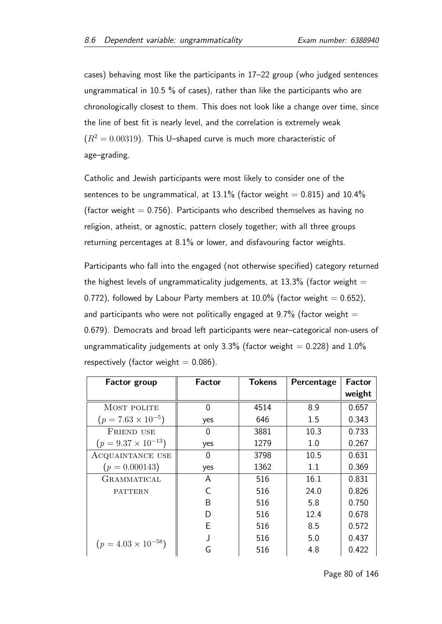cases) behaving most like the participants in 17–22 group (who judged sentences ungrammatical in 10.5 % of cases), rather than like the participants who are chronologically closest to them. This does not look like a change over time, since the line of best fit is nearly level, and the correlation is extremely weak  $(R^2 = 0.00319)$ . This U-shaped curve is much more characteristic of age–grading.

Catholic and Jewish participants were most likely to consider one of the sentences to be ungrammatical, at 13.1% (factor weight  $= 0.815$ ) and 10.4% (factor weight  $= 0.756$ ). Participants who described themselves as having no religion, atheist, or agnostic, pattern closely together; with all three groups returning percentages at 8.1% or lower, and disfavouring factor weights.

Participants who fall into the engaged (not otherwise specified) category returned the highest levels of ungrammaticality judgements, at  $13.3\%$  (factor weight = 0.772), followed by Labour Party members at 10.0% (factor weight  $= 0.652$ ), and participants who were not politically engaged at  $9.7\%$  (factor weight  $=$ 0.679). Democrats and broad left participants were near–categorical non-users of ungrammaticality judgements at only 3.3% (factor weight  $= 0.228$ ) and 1.0% respectively (factor weight  $= 0.086$ ).

| <b>Factor group</b>          | Factor | <b>Tokens</b> | Percentage | <b>Factor</b> |
|------------------------------|--------|---------------|------------|---------------|
|                              |        |               |            | weight        |
| MOST POLITE                  | 0      | 4514          | 8.9        | 0.657         |
| $(p = 7.63 \times 10^{-5})$  | yes    | 646           | 1.5        | 0.343         |
| <b>FRIEND USE</b>            | 0      | 3881          | 10.3       | 0.733         |
| $(p = 9.37 \times 10^{-13})$ | yes    | 1279          | 1.0        | 0.267         |
| ACQUAINTANCE USE             | 0      | 3798          | 10.5       | 0.631         |
| $(p = 0.000143)$             | yes    | 1362          | 1.1        | 0.369         |
| <b>GRAMMATICAL</b>           | A      | 516           | 16.1       | 0.831         |
| <b>PATTERN</b>               | C      | 516           | 24.0       | 0.826         |
|                              | B      | 516           | 5.8        | 0.750         |
|                              | D      | 516           | 12.4       | 0.678         |
|                              | E      | 516           | 8.5        | 0.572         |
|                              |        | 516           | 5.0        | 0.437         |
| $(p = 4.03 \times 10^{-58})$ | G      | 516           | 4.8        | 0.422         |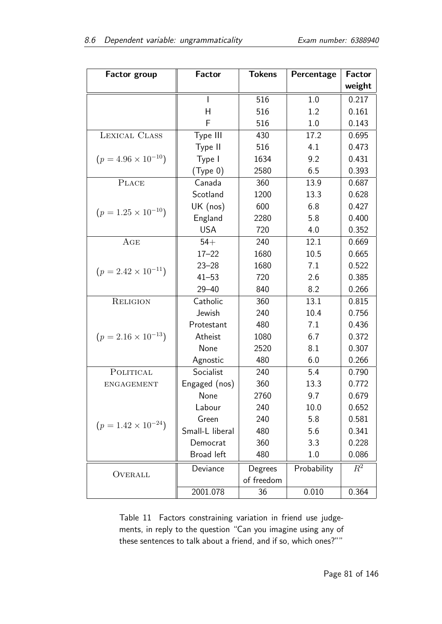| <b>Factor group</b>          | <b>Factor</b>   | <b>Tokens</b> | Percentage  | <b>Factor</b> |
|------------------------------|-----------------|---------------|-------------|---------------|
|                              |                 |               |             | weight        |
|                              | L               | 516           | 1.0         | 0.217         |
|                              | H               | 516           | 1.2         | 0.161         |
|                              | F               | 516           | 1.0         | 0.143         |
| LEXICAL CLASS                | Type III        | 430           | 17.2        | 0.695         |
|                              | Type II         | 516           | 4.1         | 0.473         |
| $(p = 4.96 \times 10^{-10})$ | Type I          | 1634          | 9.2         | 0.431         |
|                              | (Type 0)        | 2580          | 6.5         | 0.393         |
| <b>PLACE</b>                 | Canada          | 360           | 13.9        | 0.687         |
|                              | Scotland        | 1200          | 13.3        | 0.628         |
| $(p = 1.25 \times 10^{-10})$ | UK (nos)        | 600           | 6.8         | 0.427         |
|                              | England         | 2280          | 5.8         | 0.400         |
|                              | <b>USA</b>      | 720           | 4.0         | 0.352         |
| AGE                          | $54+$           | 240           | 12.1        | 0.669         |
|                              | $17 - 22$       | 1680          | 10.5        | 0.665         |
| $(p = 2.42 \times 10^{-11})$ | $23 - 28$       | 1680          | 7.1         | 0.522         |
|                              | $41 - 53$       | 720           | 2.6         | 0.385         |
|                              | $29 - 40$       | 840           | 8.2         | 0.266         |
| <b>RELIGION</b>              | Catholic        | 360           | 13.1        | 0.815         |
|                              | Jewish          | 240           | 10.4        | 0.756         |
|                              | Protestant      | 480           | 7.1         | 0.436         |
| $(p = 2.16 \times 10^{-13})$ | Atheist         | 1080          | 6.7         | 0.372         |
|                              | None            | 2520          | 8.1         | 0.307         |
|                              | Agnostic        | 480           | 6.0         | 0.266         |
| POLITICAL                    | Socialist       | 240           | 5.4         | 0.790         |
| <b>ENGAGEMENT</b>            | Engaged (nos)   | 360           | 13.3        | 0.772         |
|                              | None            | 2760          | 9.7         | 0.679         |
|                              | Labour          | 240           | 10.0        | 0.652         |
| $(p = 1.42 \times 10^{-24})$ | Green           | 240           | 5.8         | 0.581         |
|                              | Small-L liberal | 480           | 5.6         | 0.341         |
|                              | Democrat        | 360           | 3.3         | 0.228         |
|                              | Broad left      | 480           | 1.0         | 0.086         |
|                              | Deviance        | Degrees       | Probability | $R^2$         |
| OVERALL                      |                 | of freedom    |             |               |
|                              | 2001.078        | 36            | 0.010       | 0.364         |

Table 11 Factors constraining variation in friend use judgements, in reply to the question "Can you imagine using any of these sentences to talk about a friend, and if so, which ones?""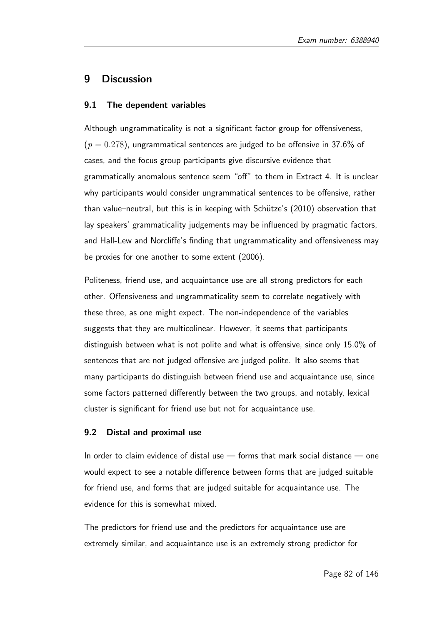# 9 Discussion

### 9.1 The dependent variables

Although ungrammaticality is not a significant factor group for offensiveness,  $(p = 0.278)$ , ungrammatical sentences are judged to be offensive in 37.6% of cases, and the focus group participants give discursive evidence that grammatically anomalous sentence seem "off" to them in Extract 4. It is unclear why participants would consider ungrammatical sentences to be offensive, rather than value–neutral, but this is in keeping with Schütze's (2010) observation that lay speakers' grammaticality judgements may be influenced by pragmatic factors, and Hall-Lew and Norcliffe's finding that ungrammaticality and offensiveness may be proxies for one another to some extent (2006).

Politeness, friend use, and acquaintance use are all strong predictors for each other. Offensiveness and ungrammaticality seem to correlate negatively with these three, as one might expect. The non-independence of the variables suggests that they are multicolinear. However, it seems that participants distinguish between what is not polite and what is offensive, since only 15.0% of sentences that are not judged offensive are judged polite. It also seems that many participants do distinguish between friend use and acquaintance use, since some factors patterned differently between the two groups, and notably, lexical cluster is significant for friend use but not for acquaintance use.

#### 9.2 Distal and proximal use

In order to claim evidence of distal use — forms that mark social distance — one would expect to see a notable difference between forms that are judged suitable for friend use, and forms that are judged suitable for acquaintance use. The evidence for this is somewhat mixed.

The predictors for friend use and the predictors for acquaintance use are extremely similar, and acquaintance use is an extremely strong predictor for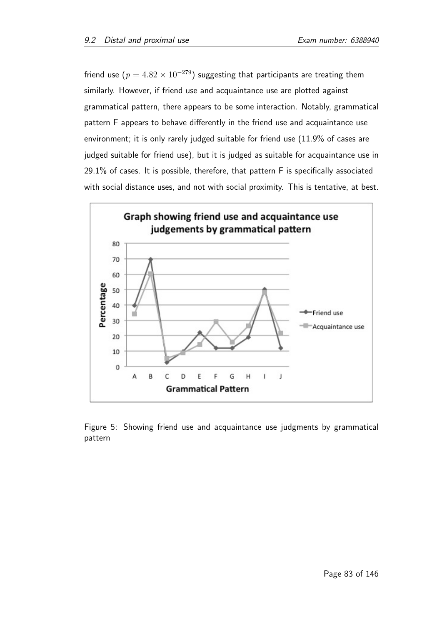friend use  $(p = 4.82 \times 10^{-279})$  suggesting that participants are treating them similarly. However, if friend use and acquaintance use are plotted against grammatical pattern, there appears to be some interaction. Notably, grammatical pattern F appears to behave differently in the friend use and acquaintance use environment; it is only rarely judged suitable for friend use (11.9% of cases are judged suitable for friend use), but it is judged as suitable for acquaintance use in 29.1% of cases. It is possible, therefore, that pattern F is specifically associated with social distance uses, and not with social proximity. This is tentative, at best.



Figure 5: Showing friend use and acquaintance use judgments by grammatical pattern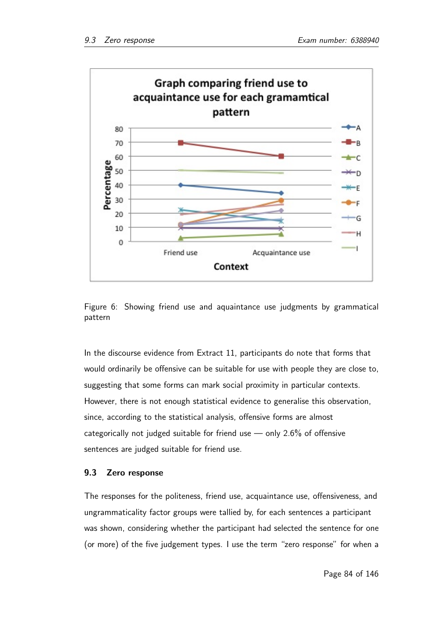



In the discourse evidence from Extract 11, participants do note that forms that would ordinarily be offensive can be suitable for use with people they are close to, suggesting that some forms can mark social proximity in particular contexts. However, there is not enough statistical evidence to generalise this observation, since, according to the statistical analysis, offensive forms are almost categorically not judged suitable for friend use — only 2.6% of offensive sentences are judged suitable for friend use.

## 9.3 Zero response

The responses for the politeness, friend use, acquaintance use, offensiveness, and ungrammaticality factor groups were tallied by, for each sentences a participant was shown, considering whether the participant had selected the sentence for one (or more) of the five judgement types. I use the term "zero response" for when a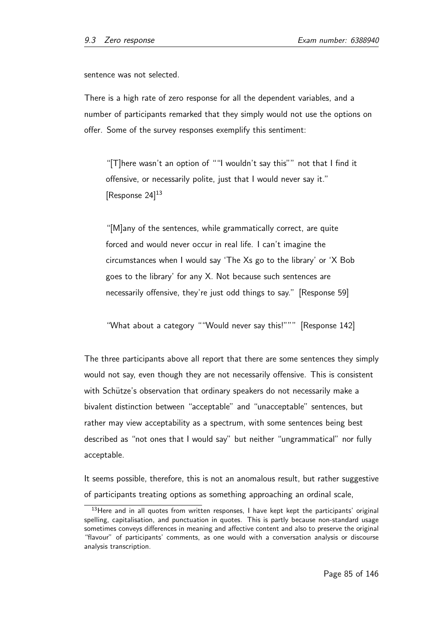sentence was not selected.

There is a high rate of zero response for all the dependent variables, and a number of participants remarked that they simply would not use the options on offer. Some of the survey responses exemplify this sentiment:

"[T]here wasn't an option of ""I wouldn't say this"" not that I find it offensive, or necessarily polite, just that I would never say it." [Response 24]<sup>13</sup>

"[M]any of the sentences, while grammatically correct, are quite forced and would never occur in real life. I can't imagine the circumstances when I would say 'The Xs go to the library' or 'X Bob goes to the library' for any X. Not because such sentences are necessarily offensive, they're just odd things to say." [Response 59]

"What about a category ""Would never say this!""" [Response 142]

The three participants above all report that there are some sentences they simply would not say, even though they are not necessarily offensive. This is consistent with Schütze's observation that ordinary speakers do not necessarily make a bivalent distinction between "acceptable" and "unacceptable" sentences, but rather may view acceptability as a spectrum, with some sentences being best described as "not ones that I would say" but neither "ungrammatical" nor fully acceptable.

It seems possible, therefore, this is not an anomalous result, but rather suggestive of participants treating options as something approaching an ordinal scale,

<sup>&</sup>lt;sup>13</sup>Here and in all quotes from written responses, I have kept kept the participants' original spelling, capitalisation, and punctuation in quotes. This is partly because non-standard usage sometimes conveys differences in meaning and affective content and also to preserve the original "flavour" of participants' comments, as one would with a conversation analysis or discourse analysis transcription.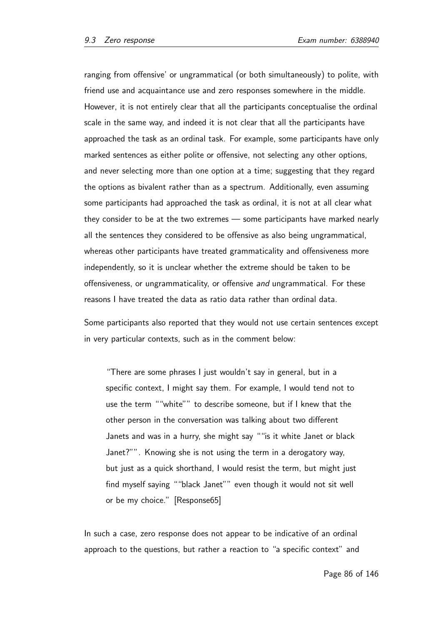ranging from offensive' or ungrammatical (or both simultaneously) to polite, with friend use and acquaintance use and zero responses somewhere in the middle. However, it is not entirely clear that all the participants conceptualise the ordinal scale in the same way, and indeed it is not clear that all the participants have approached the task as an ordinal task. For example, some participants have only marked sentences as either polite or offensive, not selecting any other options, and never selecting more than one option at a time; suggesting that they regard the options as bivalent rather than as a spectrum. Additionally, even assuming some participants had approached the task as ordinal, it is not at all clear what they consider to be at the two extremes — some participants have marked nearly all the sentences they considered to be offensive as also being ungrammatical, whereas other participants have treated grammaticality and offensiveness more independently, so it is unclear whether the extreme should be taken to be offensiveness, or ungrammaticality, or offensive and ungrammatical. For these reasons I have treated the data as ratio data rather than ordinal data.

Some participants also reported that they would not use certain sentences except in very particular contexts, such as in the comment below:

"There are some phrases I just wouldn't say in general, but in a specific context, I might say them. For example, I would tend not to use the term ""white"" to describe someone, but if I knew that the other person in the conversation was talking about two different Janets and was in a hurry, she might say ""is it white Janet or black Janet?"". Knowing she is not using the term in a derogatory way, but just as a quick shorthand, I would resist the term, but might just find myself saying ""black Janet"" even though it would not sit well or be my choice." [Response65]

In such a case, zero response does not appear to be indicative of an ordinal approach to the questions, but rather a reaction to "a specific context" and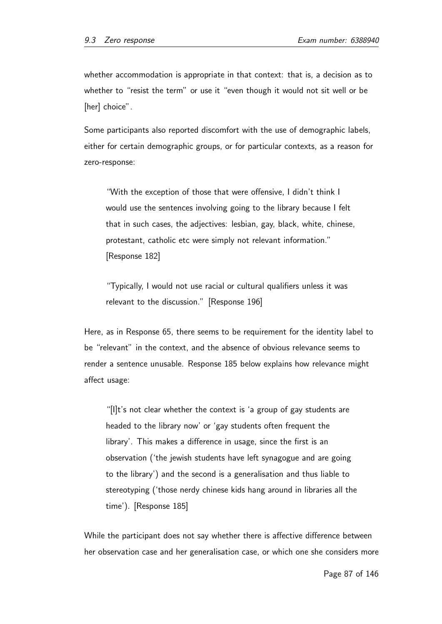whether accommodation is appropriate in that context: that is, a decision as to whether to "resist the term" or use it "even though it would not sit well or be [her] choice".

Some participants also reported discomfort with the use of demographic labels, either for certain demographic groups, or for particular contexts, as a reason for zero-response:

"With the exception of those that were offensive, I didn't think I would use the sentences involving going to the library because I felt that in such cases, the adjectives: lesbian, gay, black, white, chinese, protestant, catholic etc were simply not relevant information." [Response 182]

"Typically, I would not use racial or cultural qualifiers unless it was relevant to the discussion." [Response 196]

Here, as in Response 65, there seems to be requirement for the identity label to be "relevant" in the context, and the absence of obvious relevance seems to render a sentence unusable. Response 185 below explains how relevance might affect usage:

"[I]t's not clear whether the context is 'a group of gay students are headed to the library now' or 'gay students often frequent the library'. This makes a difference in usage, since the first is an observation ('the jewish students have left synagogue and are going to the library') and the second is a generalisation and thus liable to stereotyping ('those nerdy chinese kids hang around in libraries all the time'). [Response 185]

While the participant does not say whether there is affective difference between her observation case and her generalisation case, or which one she considers more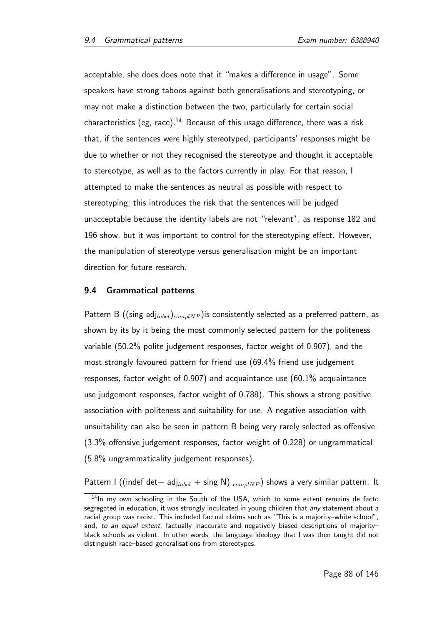acceptable, she does does note that it "makes a difference in usage". Some speakers have strong taboos against both generalisations and stereotyping, or may not make a distinction between the two, particularly for certain social characteristics (eg, race).<sup>14</sup> Because of this usage difference, there was a risk that, if the sentences were highly stereotyped, participants' responses might be due to whether or not they recognised the stereotype and thought it acceptable to stereotype, as well as to the factors currently in play. For that reason, I attempted to make the sentences as neutral as possible with respect to stereotyping; this introduces the risk that the sentences will be judged unacceptable because the identity labels are not "relevant", as response 182 and 196 show, but it was important to control for the stereotyping effect. However, the manipulation of stereotype versus generalisation might be an important direction for future research.

#### 9.4 Grammatical patterns

Pattern B ((sing adj<sub>label</sub>)<sub>complNP</sub>) is consistently selected as a preferred pattern, as shown by its by it being the most commonly selected pattern for the politeness variable (50.2% polite judgement responses, factor weight of 0.907), and the most strongly favoured pattern for friend use (69.4% friend use judgement responses, factor weight of 0.907) and acquaintance use (60.1% acquaintance use judgement responses, factor weight of 0.788). This shows a strong positive association with politeness and suitability for use. A negative association with unsuitability can also be seen in pattern B being very rarely selected as offensive (3.3% offensive judgement responses, factor weight of 0.228) or ungrammatical (5.8% ungrammaticality judgement responses).

Pattern I ((indef det+ adj<sub>label</sub> + sing N)  $_{complNP}$ ) shows a very similar pattern. It

<sup>&</sup>lt;sup>14</sup>In my own schooling in the South of the USA, which to some extent remains de facto segregated in education, it was strongly inculcated in young children that any statement about a racial group was racist. This included factual claims such as "This is a majority–white school", and, to an equal extent, factually inaccurate and negatively biased descriptions of majority– black schools as violent. In other words, the language ideology that I was then taught did not distinguish race–based generalisations from stereotypes.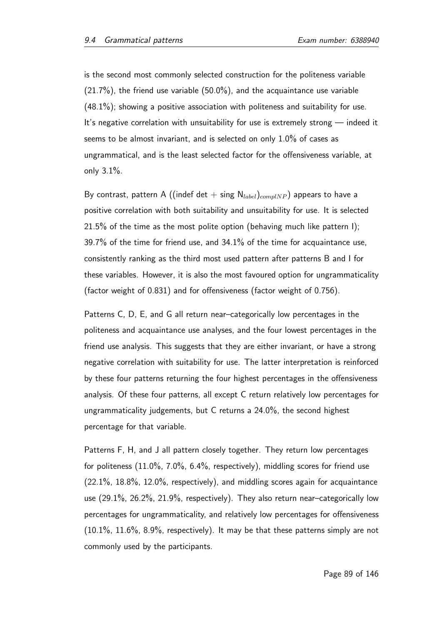is the second most commonly selected construction for the politeness variable  $(21.7%)$ , the friend use variable  $(50.0%)$ , and the acquaintance use variable  $(48.1\%)$ ; showing a positive association with politeness and suitability for use. It's negative correlation with unsuitability for use is extremely strong — indeed it seems to be almost invariant, and is selected on only 1.0% of cases as ungrammatical, and is the least selected factor for the offensiveness variable, at only 3.1%.

By contrast, pattern A ((indef det + sing  $N_{label}$ )<sub>complNP</sub>) appears to have a positive correlation with both suitability and unsuitability for use. It is selected 21.5% of the time as the most polite option (behaving much like pattern I); 39.7% of the time for friend use, and 34.1% of the time for acquaintance use, consistently ranking as the third most used pattern after patterns B and I for these variables. However, it is also the most favoured option for ungrammaticality (factor weight of 0.831) and for offensiveness (factor weight of 0.756).

Patterns C, D, E, and G all return near–categorically low percentages in the politeness and acquaintance use analyses, and the four lowest percentages in the friend use analysis. This suggests that they are either invariant, or have a strong negative correlation with suitability for use. The latter interpretation is reinforced by these four patterns returning the four highest percentages in the offensiveness analysis. Of these four patterns, all except C return relatively low percentages for ungrammaticality judgements, but C returns a 24.0%, the second highest percentage for that variable.

Patterns F, H, and J all pattern closely together. They return low percentages for politeness (11.0%, 7.0%, 6.4%, respectively), middling scores for friend use (22.1%, 18.8%, 12.0%, respectively), and middling scores again for acquaintance use (29.1%, 26.2%, 21.9%, respectively). They also return near–categorically low percentages for ungrammaticality, and relatively low percentages for offensiveness  $(10.1\%, 11.6\%, 8.9\%,$  respectively). It may be that these patterns simply are not commonly used by the participants.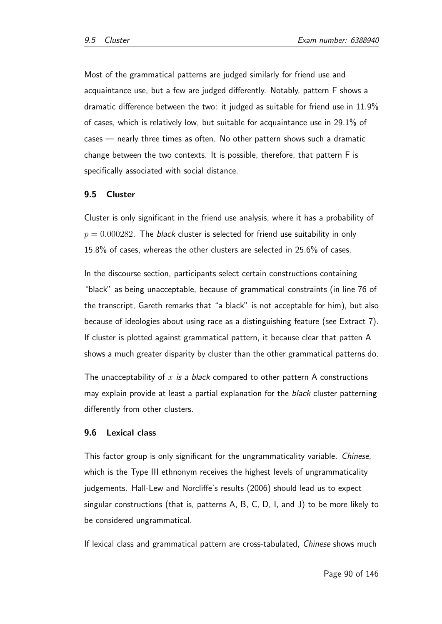Most of the grammatical patterns are judged similarly for friend use and acquaintance use, but a few are judged differently. Notably, pattern F shows a dramatic difference between the two: it judged as suitable for friend use in 11.9% of cases, which is relatively low, but suitable for acquaintance use in 29.1% of cases — nearly three times as often. No other pattern shows such a dramatic change between the two contexts. It is possible, therefore, that pattern F is specifically associated with social distance.

## 9.5 Cluster

Cluster is only significant in the friend use analysis, where it has a probability of  $p = 0.000282$ . The *black* cluster is selected for friend use suitability in only 15.8% of cases, whereas the other clusters are selected in 25.6% of cases.

In the discourse section, participants select certain constructions containing "black" as being unacceptable, because of grammatical constraints (in line 76 of the transcript, Gareth remarks that "a black" is not acceptable for him), but also because of ideologies about using race as a distinguishing feature (see Extract 7). If cluster is plotted against grammatical pattern, it because clear that patten A shows a much greater disparity by cluster than the other grammatical patterns do.

The unacceptability of  $x$  is a black compared to other pattern A constructions may explain provide at least a partial explanation for the *black* cluster patterning differently from other clusters.

## 9.6 Lexical class

This factor group is only significant for the ungrammaticality variable. Chinese, which is the Type III ethnonym receives the highest levels of ungrammaticality judgements. Hall-Lew and Norcliffe's results (2006) should lead us to expect singular constructions (that is, patterns A, B, C, D, I, and J) to be more likely to be considered ungrammatical.

If lexical class and grammatical pattern are cross-tabulated, Chinese shows much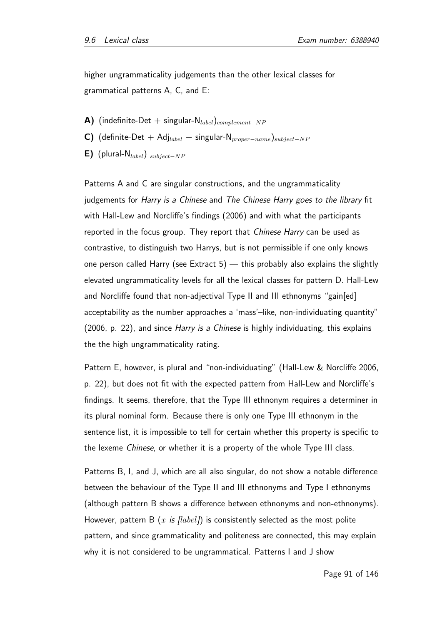higher ungrammaticality judgements than the other lexical classes for grammatical patterns A, C, and E:

- A) (indefinite-Det + singular- $N_{label}$ )<sub>complement-NP</sub>
- C) (definite-Det + Adj<sub>label</sub> + singular-N<sub>proper</sub><sub>−name</sub>)<sub>subject</sub>-NP
- E) (plural-N<sub>label</sub>)  $_{subject-NP}$

Patterns A and C are singular constructions, and the ungrammaticality judgements for Harry is a Chinese and The Chinese Harry goes to the library fit with Hall-Lew and Norcliffe's findings (2006) and with what the participants reported in the focus group. They report that Chinese Harry can be used as contrastive, to distinguish two Harrys, but is not permissible if one only knows one person called Harry (see Extract 5)  $-$  this probably also explains the slightly elevated ungrammaticality levels for all the lexical classes for pattern D. Hall-Lew and Norcliffe found that non-adjectival Type II and III ethnonyms "gain[ed] acceptability as the number approaches a 'mass'–like, non-individuating quantity" (2006, p. 22), and since Harry is a Chinese is highly individuating, this explains the the high ungrammaticality rating.

Pattern E, however, is plural and "non-individuating" (Hall-Lew & Norcliffe 2006, p. 22), but does not fit with the expected pattern from Hall-Lew and Norcliffe's findings. It seems, therefore, that the Type III ethnonym requires a determiner in its plural nominal form. Because there is only one Type III ethnonym in the sentence list, it is impossible to tell for certain whether this property is specific to the lexeme Chinese, or whether it is a property of the whole Type III class.

Patterns B, I, and J, which are all also singular, do not show a notable difference between the behaviour of the Type II and III ethnonyms and Type I ethnonyms (although pattern B shows a difference between ethnonyms and non-ethnonyms). However, pattern B  $(x \text{ is } \text{[label]})$  is consistently selected as the most polite pattern, and since grammaticality and politeness are connected, this may explain why it is not considered to be ungrammatical. Patterns I and J show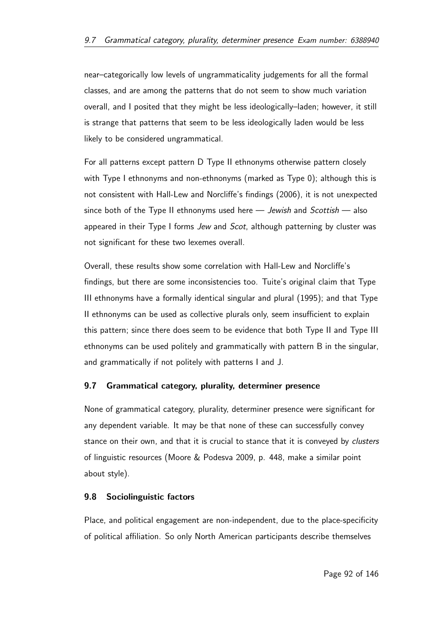near–categorically low levels of ungrammaticality judgements for all the formal classes, and are among the patterns that do not seem to show much variation overall, and I posited that they might be less ideologically–laden; however, it still is strange that patterns that seem to be less ideologically laden would be less likely to be considered ungrammatical.

For all patterns except pattern D Type II ethnonyms otherwise pattern closely with Type I ethnonyms and non-ethnonyms (marked as Type 0); although this is not consistent with Hall-Lew and Norcliffe's findings (2006), it is not unexpected since both of the Type II ethnonyms used here  $-$  Jewish and Scottish  $-$  also appeared in their Type I forms Jew and Scot, although patterning by cluster was not significant for these two lexemes overall.

Overall, these results show some correlation with Hall-Lew and Norcliffe's findings, but there are some inconsistencies too. Tuite's original claim that Type III ethnonyms have a formally identical singular and plural (1995); and that Type II ethnonyms can be used as collective plurals only, seem insufficient to explain this pattern; since there does seem to be evidence that both Type II and Type III ethnonyms can be used politely and grammatically with pattern B in the singular, and grammatically if not politely with patterns I and J.

# 9.7 Grammatical category, plurality, determiner presence

None of grammatical category, plurality, determiner presence were significant for any dependent variable. It may be that none of these can successfully convey stance on their own, and that it is crucial to stance that it is conveyed by clusters of linguistic resources (Moore & Podesva 2009, p. 448, make a similar point about style).

# 9.8 Sociolinguistic factors

Place, and political engagement are non-independent, due to the place-specificity of political affiliation. So only North American participants describe themselves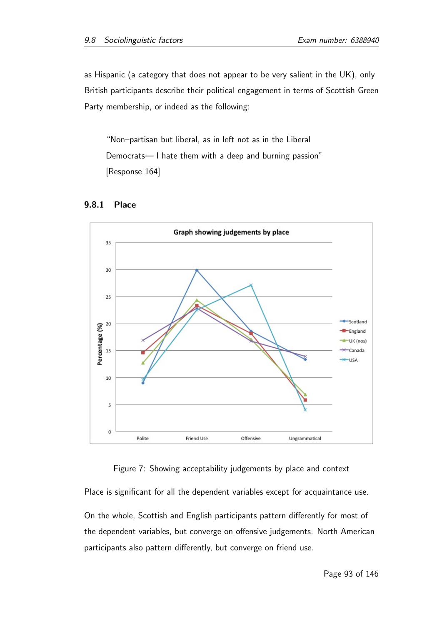as Hispanic (a category that does not appear to be very salient in the UK), only British participants describe their political engagement in terms of Scottish Green Party membership, or indeed as the following:

"Non–partisan but liberal, as in left not as in the Liberal Democrats— I hate them with a deep and burning passion" [Response 164]



## 9.8.1 Place

Figure 7: Showing acceptability judgements by place and context

Place is significant for all the dependent variables except for acquaintance use.

On the whole, Scottish and English participants pattern differently for most of the dependent variables, but converge on offensive judgements. North American participants also pattern differently, but converge on friend use.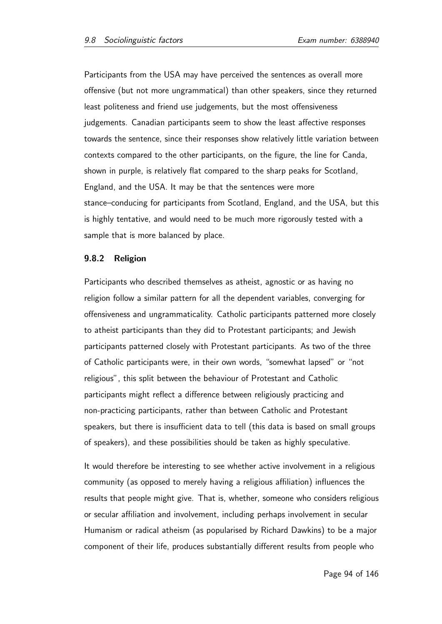Participants from the USA may have perceived the sentences as overall more offensive (but not more ungrammatical) than other speakers, since they returned least politeness and friend use judgements, but the most offensiveness judgements. Canadian participants seem to show the least affective responses towards the sentence, since their responses show relatively little variation between contexts compared to the other participants, on the figure, the line for Canda, shown in purple, is relatively flat compared to the sharp peaks for Scotland, England, and the USA. It may be that the sentences were more stance–conducing for participants from Scotland, England, and the USA, but this is highly tentative, and would need to be much more rigorously tested with a sample that is more balanced by place.

## 9.8.2 Religion

Participants who described themselves as atheist, agnostic or as having no religion follow a similar pattern for all the dependent variables, converging for offensiveness and ungrammaticality. Catholic participants patterned more closely to atheist participants than they did to Protestant participants; and Jewish participants patterned closely with Protestant participants. As two of the three of Catholic participants were, in their own words, "somewhat lapsed" or "not religious", this split between the behaviour of Protestant and Catholic participants might reflect a difference between religiously practicing and non-practicing participants, rather than between Catholic and Protestant speakers, but there is insufficient data to tell (this data is based on small groups of speakers), and these possibilities should be taken as highly speculative.

It would therefore be interesting to see whether active involvement in a religious community (as opposed to merely having a religious affiliation) influences the results that people might give. That is, whether, someone who considers religious or secular affiliation and involvement, including perhaps involvement in secular Humanism or radical atheism (as popularised by Richard Dawkins) to be a major component of their life, produces substantially different results from people who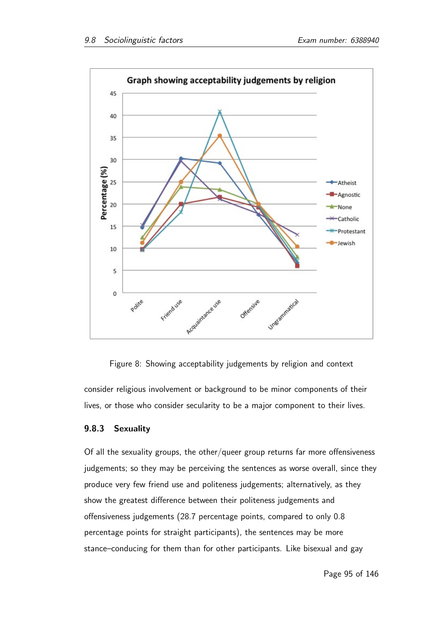

Figure 8: Showing acceptability judgements by religion and context

consider religious involvement or background to be minor components of their lives, or those who consider secularity to be a major component to their lives.

# 9.8.3 Sexuality

Of all the sexuality groups, the other/queer group returns far more offensiveness judgements; so they may be perceiving the sentences as worse overall, since they produce very few friend use and politeness judgements; alternatively, as they show the greatest difference between their politeness judgements and offensiveness judgements (28.7 percentage points, compared to only 0.8 percentage points for straight participants), the sentences may be more stance–conducing for them than for other participants. Like bisexual and gay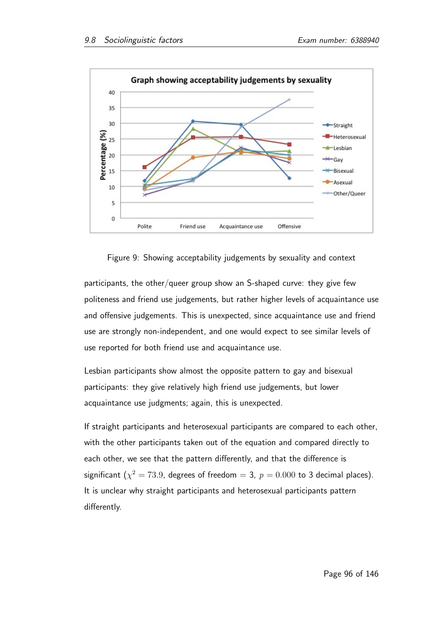

Figure 9: Showing acceptability judgements by sexuality and context

participants, the other/queer group show an S-shaped curve: they give few politeness and friend use judgements, but rather higher levels of acquaintance use and offensive judgements. This is unexpected, since acquaintance use and friend use are strongly non-independent, and one would expect to see similar levels of use reported for both friend use and acquaintance use.

Lesbian participants show almost the opposite pattern to gay and bisexual participants: they give relatively high friend use judgements, but lower acquaintance use judgments; again, this is unexpected.

If straight participants and heterosexual participants are compared to each other, with the other participants taken out of the equation and compared directly to each other, we see that the pattern differently, and that the difference is significant ( $\chi^2=73.9$ , degrees of freedom  $=$  3,  $\,p=0.000$  to 3 decimal places). It is unclear why straight participants and heterosexual participants pattern differently.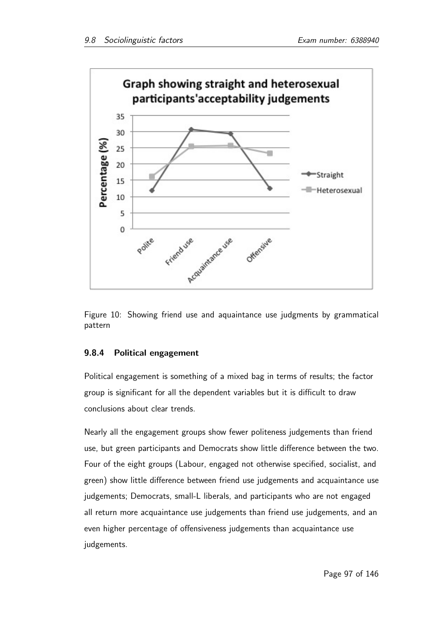



# 9.8.4 Political engagement

Political engagement is something of a mixed bag in terms of results; the factor group is significant for all the dependent variables but it is difficult to draw conclusions about clear trends.

Nearly all the engagement groups show fewer politeness judgements than friend use, but green participants and Democrats show little difference between the two. Four of the eight groups (Labour, engaged not otherwise specified, socialist, and green) show little difference between friend use judgements and acquaintance use judgements; Democrats, small-L liberals, and participants who are not engaged all return more acquaintance use judgements than friend use judgements, and an even higher percentage of offensiveness judgements than acquaintance use judgements.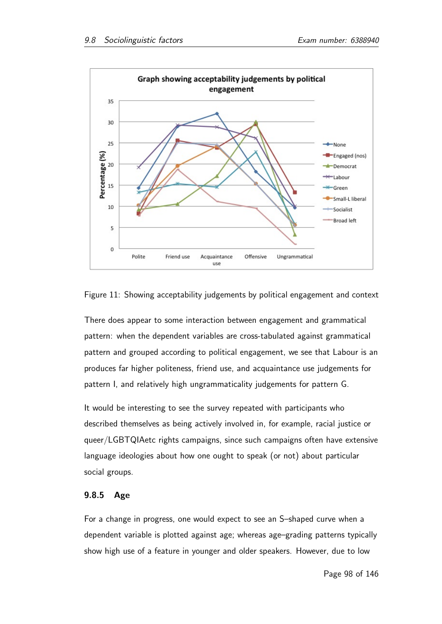



There does appear to some interaction between engagement and grammatical pattern: when the dependent variables are cross-tabulated against grammatical pattern and grouped according to political engagement, we see that Labour is an produces far higher politeness, friend use, and acquaintance use judgements for pattern I, and relatively high ungrammaticality judgements for pattern G.

It would be interesting to see the survey repeated with participants who described themselves as being actively involved in, for example, racial justice or queer/LGBTQIAetc rights campaigns, since such campaigns often have extensive language ideologies about how one ought to speak (or not) about particular social groups.

# 9.8.5 Age

For a change in progress, one would expect to see an S–shaped curve when a dependent variable is plotted against age; whereas age–grading patterns typically show high use of a feature in younger and older speakers. However, due to low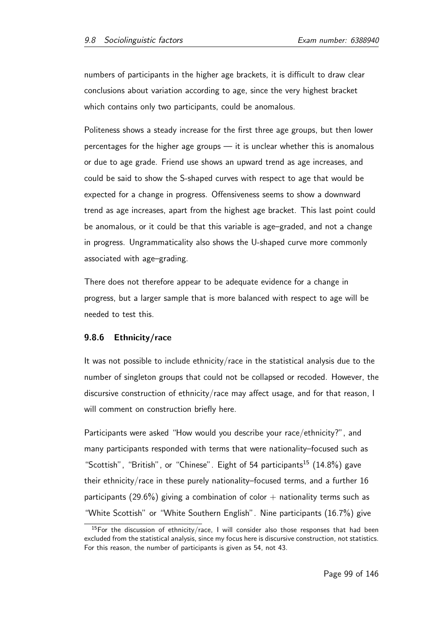numbers of participants in the higher age brackets, it is difficult to draw clear conclusions about variation according to age, since the very highest bracket which contains only two participants, could be anomalous.

Politeness shows a steady increase for the first three age groups, but then lower percentages for the higher age groups — it is unclear whether this is anomalous or due to age grade. Friend use shows an upward trend as age increases, and could be said to show the S-shaped curves with respect to age that would be expected for a change in progress. Offensiveness seems to show a downward trend as age increases, apart from the highest age bracket. This last point could be anomalous, or it could be that this variable is age–graded, and not a change in progress. Ungrammaticality also shows the U-shaped curve more commonly associated with age–grading.

There does not therefore appear to be adequate evidence for a change in progress, but a larger sample that is more balanced with respect to age will be needed to test this.

# 9.8.6 Ethnicity/race

It was not possible to include ethnicity/race in the statistical analysis due to the number of singleton groups that could not be collapsed or recoded. However, the discursive construction of ethnicity/race may affect usage, and for that reason, I will comment on construction briefly here.

Participants were asked "How would you describe your race/ethnicity?", and many participants responded with terms that were nationality–focused such as "Scottish", "British", or "Chinese". Eight of 54 participants<sup>15</sup> (14.8%) gave their ethnicity/race in these purely nationality–focused terms, and a further 16 participants (29.6%) giving a combination of color  $+$  nationality terms such as "White Scottish" or "White Southern English". Nine participants (16.7%) give

 $15$ For the discussion of ethnicity/race, I will consider also those responses that had been excluded from the statistical analysis, since my focus here is discursive construction, not statistics. For this reason, the number of participants is given as 54, not 43.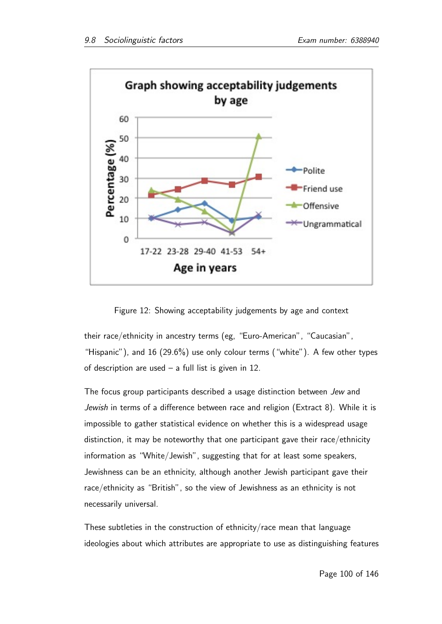

Figure 12: Showing acceptability judgements by age and context

their race/ethnicity in ancestry terms (eg, "Euro-American", "Caucasian", "Hispanic"), and 16  $(29.6\%)$  use only colour terms ("white"). A few other types of description are used  $-$  a full list is given in 12.

The focus group participants described a usage distinction between Jew and Jewish in terms of a difference between race and religion (Extract 8). While it is impossible to gather statistical evidence on whether this is a widespread usage distinction, it may be noteworthy that one participant gave their race/ethnicity information as "White/Jewish", suggesting that for at least some speakers, Jewishness can be an ethnicity, although another Jewish participant gave their race/ethnicity as "British", so the view of Jewishness as an ethnicity is not necessarily universal.

These subtleties in the construction of ethnicity/race mean that language ideologies about which attributes are appropriate to use as distinguishing features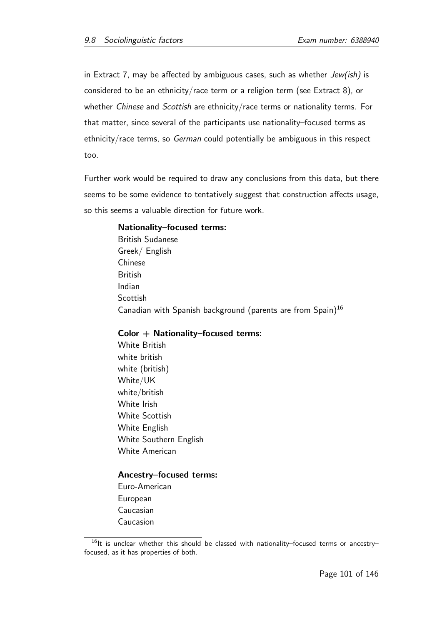in Extract 7, may be affected by ambiguous cases, such as whether  $Jew(ish)$  is considered to be an ethnicity/race term or a religion term (see Extract 8), or whether Chinese and Scottish are ethnicity/race terms or nationality terms. For that matter, since several of the participants use nationality–focused terms as ethnicity/race terms, so German could potentially be ambiguous in this respect too.

Further work would be required to draw any conclusions from this data, but there seems to be some evidence to tentatively suggest that construction affects usage, so this seems a valuable direction for future work.

## Nationality–focused terms:

British Sudanese Greek/ English Chinese British Indian **Scottish** Canadian with Spanish background (parents are from Spain)<sup>16</sup>

## Color + Nationality–focused terms:

White British white british white (british) White/UK white/british White Irish White Scottish White English White Southern English White American

#### Ancestry–focused terms:

Euro-American European Caucasian Caucasion

 $16$ It is unclear whether this should be classed with nationality–focused terms or ancestry– focused, as it has properties of both.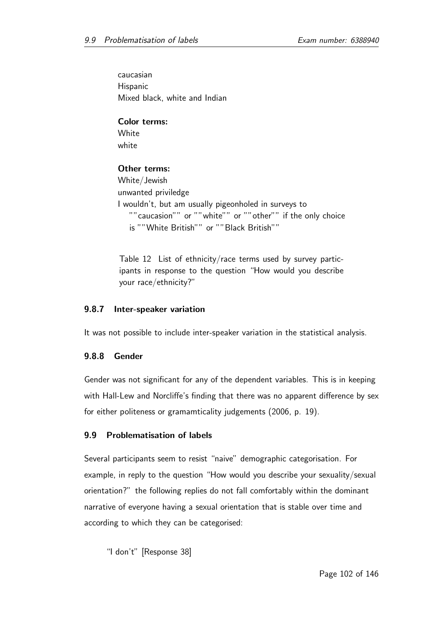caucasian Hispanic Mixed black, white and Indian

Color terms: **White** white

# Other terms:

```
White/Jewish
unwanted priviledge
I wouldn't, but am usually pigeonholed in surveys to
  ""caucasion"" or ""white"" or ""other"" if the only choice
   is ""White British"" or ""Black British""
```
Table 12 List of ethnicity/race terms used by survey participants in response to the question "How would you describe your race/ethnicity?"

## 9.8.7 Inter-speaker variation

It was not possible to include inter-speaker variation in the statistical analysis.

# 9.8.8 Gender

Gender was not significant for any of the dependent variables. This is in keeping with Hall-Lew and Norcliffe's finding that there was no apparent difference by sex for either politeness or gramamticality judgements (2006, p. 19).

# 9.9 Problematisation of labels

Several participants seem to resist "naive" demographic categorisation. For example, in reply to the question "How would you describe your sexuality/sexual orientation?" the following replies do not fall comfortably within the dominant narrative of everyone having a sexual orientation that is stable over time and according to which they can be categorised:

"I don't" [Response 38]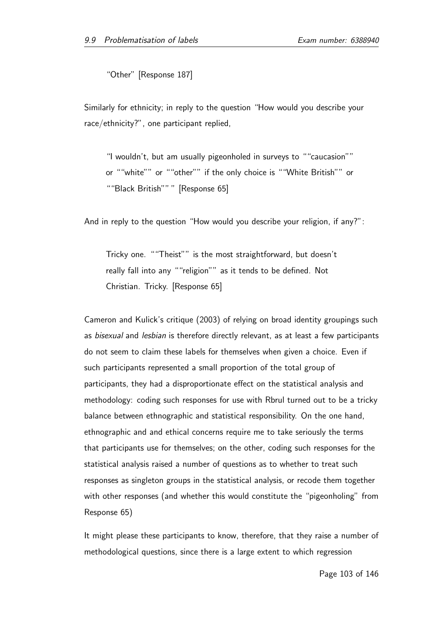"Other" [Response 187]

Similarly for ethnicity; in reply to the question "How would you describe your race/ethnicity?", one participant replied,

"I wouldn't, but am usually pigeonholed in surveys to ""caucasion"" or ""white"" or ""other"" if the only choice is ""White British"" or ""Black British"" " [Response 65]

And in reply to the question "How would you describe your religion, if any?":

Tricky one. ""Theist"" is the most straightforward, but doesn't really fall into any ""religion"" as it tends to be defined. Not Christian. Tricky. [Response 65]

Cameron and Kulick's critique (2003) of relying on broad identity groupings such as bisexual and lesbian is therefore directly relevant, as at least a few participants do not seem to claim these labels for themselves when given a choice. Even if such participants represented a small proportion of the total group of participants, they had a disproportionate effect on the statistical analysis and methodology: coding such responses for use with Rbrul turned out to be a tricky balance between ethnographic and statistical responsibility. On the one hand, ethnographic and and ethical concerns require me to take seriously the terms that participants use for themselves; on the other, coding such responses for the statistical analysis raised a number of questions as to whether to treat such responses as singleton groups in the statistical analysis, or recode them together with other responses (and whether this would constitute the "pigeonholing" from Response 65)

It might please these participants to know, therefore, that they raise a number of methodological questions, since there is a large extent to which regression

Page 103 of 146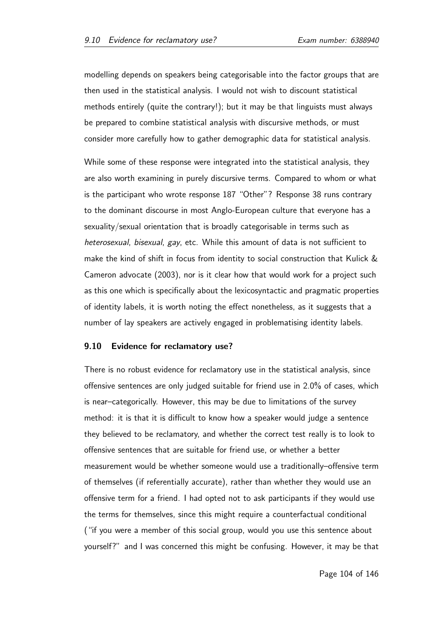modelling depends on speakers being categorisable into the factor groups that are then used in the statistical analysis. I would not wish to discount statistical methods entirely (quite the contrary!); but it may be that linguists must always be prepared to combine statistical analysis with discursive methods, or must consider more carefully how to gather demographic data for statistical analysis.

While some of these response were integrated into the statistical analysis, they are also worth examining in purely discursive terms. Compared to whom or what is the participant who wrote response 187 "Other"? Response 38 runs contrary to the dominant discourse in most Anglo-European culture that everyone has a sexuality/sexual orientation that is broadly categorisable in terms such as heterosexual, bisexual, gay, etc. While this amount of data is not sufficient to make the kind of shift in focus from identity to social construction that Kulick & Cameron advocate (2003), nor is it clear how that would work for a project such as this one which is specifically about the lexicosyntactic and pragmatic properties of identity labels, it is worth noting the effect nonetheless, as it suggests that a number of lay speakers are actively engaged in problematising identity labels.

## 9.10 Evidence for reclamatory use?

There is no robust evidence for reclamatory use in the statistical analysis, since offensive sentences are only judged suitable for friend use in 2.0% of cases, which is near–categorically. However, this may be due to limitations of the survey method: it is that it is difficult to know how a speaker would judge a sentence they believed to be reclamatory, and whether the correct test really is to look to offensive sentences that are suitable for friend use, or whether a better measurement would be whether someone would use a traditionally–offensive term of themselves (if referentially accurate), rather than whether they would use an offensive term for a friend. I had opted not to ask participants if they would use the terms for themselves, since this might require a counterfactual conditional ("if you were a member of this social group, would you use this sentence about yourself?" and I was concerned this might be confusing. However, it may be that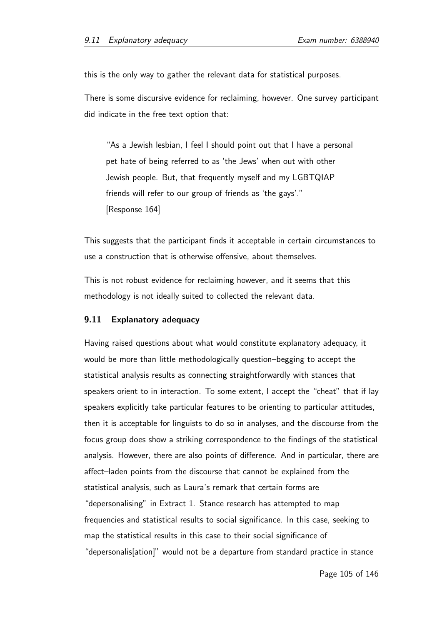this is the only way to gather the relevant data for statistical purposes.

There is some discursive evidence for reclaiming, however. One survey participant did indicate in the free text option that:

"As a Jewish lesbian, I feel I should point out that I have a personal pet hate of being referred to as 'the Jews' when out with other Jewish people. But, that frequently myself and my LGBTQIAP friends will refer to our group of friends as 'the gays'." [Response 164]

This suggests that the participant finds it acceptable in certain circumstances to use a construction that is otherwise offensive, about themselves.

This is not robust evidence for reclaiming however, and it seems that this methodology is not ideally suited to collected the relevant data.

## 9.11 Explanatory adequacy

Having raised questions about what would constitute explanatory adequacy, it would be more than little methodologically question–begging to accept the statistical analysis results as connecting straightforwardly with stances that speakers orient to in interaction. To some extent, I accept the "cheat" that if lay speakers explicitly take particular features to be orienting to particular attitudes, then it is acceptable for linguists to do so in analyses, and the discourse from the focus group does show a striking correspondence to the findings of the statistical analysis. However, there are also points of difference. And in particular, there are affect–laden points from the discourse that cannot be explained from the statistical analysis, such as Laura's remark that certain forms are "depersonalising" in Extract 1. Stance research has attempted to map frequencies and statistical results to social significance. In this case, seeking to map the statistical results in this case to their social significance of "depersonalis[ation]" would not be a departure from standard practice in stance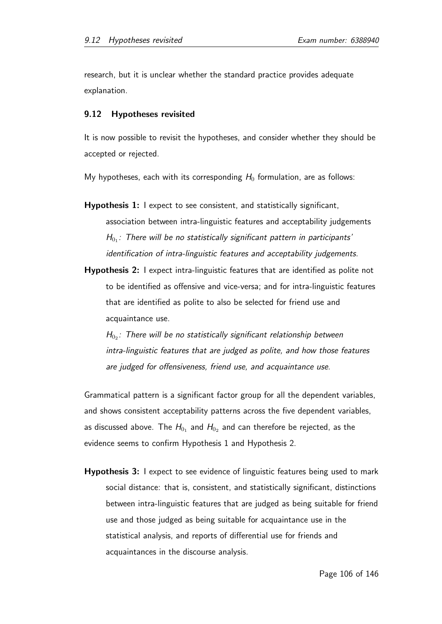research, but it is unclear whether the standard practice provides adequate explanation.

### 9.12 Hypotheses revisited

It is now possible to revisit the hypotheses, and consider whether they should be accepted or rejected.

My hypotheses, each with its corresponding  $H_0$  formulation, are as follows:

- Hypothesis 1: I expect to see consistent, and statistically significant, association between intra-linguistic features and acceptability judgements  $H_{0_1}$ : There will be no statistically significant pattern in participants' identification of intra-linguistic features and acceptability judgements.
- Hypothesis 2: I expect intra-linguistic features that are identified as polite not to be identified as offensive and vice-versa; and for intra-linguistic features that are identified as polite to also be selected for friend use and acquaintance use.

 $H_{0_2}$ : There will be no statistically significant relationship between intra-linguistic features that are judged as polite, and how those features are judged for offensiveness, friend use, and acquaintance use.

Grammatical pattern is a significant factor group for all the dependent variables, and shows consistent acceptability patterns across the five dependent variables, as discussed above. The  $H_{0_{1}}$  and  $H_{0_{2}}$  and can therefore be rejected, as the evidence seems to confirm Hypothesis 1 and Hypothesis 2.

Hypothesis 3: I expect to see evidence of linguistic features being used to mark social distance: that is, consistent, and statistically significant, distinctions between intra-linguistic features that are judged as being suitable for friend use and those judged as being suitable for acquaintance use in the statistical analysis, and reports of differential use for friends and acquaintances in the discourse analysis.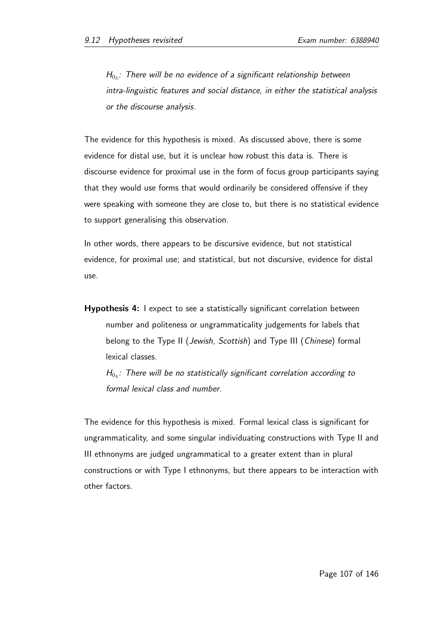$H_{0_3}$ : There will be no evidence of a significant relationship between intra-linguistic features and social distance, in either the statistical analysis or the discourse analysis.

The evidence for this hypothesis is mixed. As discussed above, there is some evidence for distal use, but it is unclear how robust this data is. There is discourse evidence for proximal use in the form of focus group participants saying that they would use forms that would ordinarily be considered offensive if they were speaking with someone they are close to, but there is no statistical evidence to support generalising this observation.

In other words, there appears to be discursive evidence, but not statistical evidence, for proximal use; and statistical, but not discursive, evidence for distal use.

Hypothesis 4: I expect to see a statistically significant correlation between number and politeness or ungrammaticality judgements for labels that belong to the Type II (Jewish, Scottish) and Type III (Chinese) formal lexical classes.

 $H_{0_4}$ : There will be no statistically significant correlation according to formal lexical class and number.

The evidence for this hypothesis is mixed. Formal lexical class is significant for ungrammaticality, and some singular individuating constructions with Type II and III ethnonyms are judged ungrammatical to a greater extent than in plural constructions or with Type I ethnonyms, but there appears to be interaction with other factors.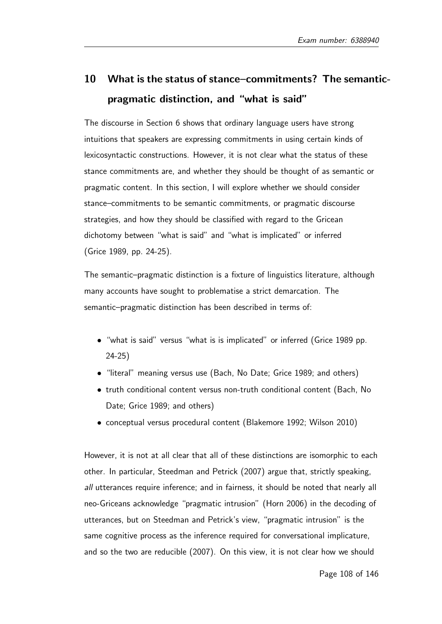# 10 What is the status of stance–commitments? The semanticpragmatic distinction, and "what is said"

The discourse in Section 6 shows that ordinary language users have strong intuitions that speakers are expressing commitments in using certain kinds of lexicosyntactic constructions. However, it is not clear what the status of these stance commitments are, and whether they should be thought of as semantic or pragmatic content. In this section, I will explore whether we should consider stance–commitments to be semantic commitments, or pragmatic discourse strategies, and how they should be classified with regard to the Gricean dichotomy between "what is said" and "what is implicated" or inferred (Grice 1989, pp. 24-25).

The semantic–pragmatic distinction is a fixture of linguistics literature, although many accounts have sought to problematise a strict demarcation. The semantic–pragmatic distinction has been described in terms of:

- "what is said" versus "what is is implicated" or inferred (Grice 1989 pp. 24-25)
- "literal" meaning versus use (Bach, No Date; Grice 1989; and others)
- truth conditional content versus non-truth conditional content (Bach, No Date; Grice 1989; and others)
- conceptual versus procedural content (Blakemore 1992; Wilson 2010)

However, it is not at all clear that all of these distinctions are isomorphic to each other. In particular, Steedman and Petrick (2007) argue that, strictly speaking, all utterances require inference; and in fairness, it should be noted that nearly all neo-Griceans acknowledge "pragmatic intrusion" (Horn 2006) in the decoding of utterances, but on Steedman and Petrick's view, "pragmatic intrusion" is the same cognitive process as the inference required for conversational implicature, and so the two are reducible (2007). On this view, it is not clear how we should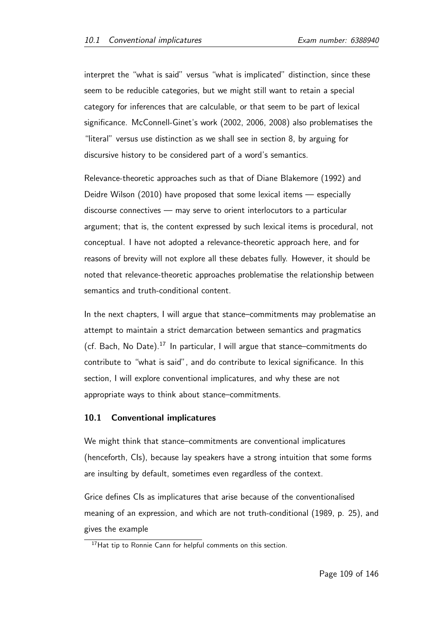interpret the "what is said" versus "what is implicated" distinction, since these seem to be reducible categories, but we might still want to retain a special category for inferences that are calculable, or that seem to be part of lexical significance. McConnell-Ginet's work (2002, 2006, 2008) also problematises the "literal" versus use distinction as we shall see in section 8, by arguing for discursive history to be considered part of a word's semantics.

Relevance-theoretic approaches such as that of Diane Blakemore (1992) and Deidre Wilson (2010) have proposed that some lexical items — especially discourse connectives — may serve to orient interlocutors to a particular argument; that is, the content expressed by such lexical items is procedural, not conceptual. I have not adopted a relevance-theoretic approach here, and for reasons of brevity will not explore all these debates fully. However, it should be noted that relevance-theoretic approaches problematise the relationship between semantics and truth-conditional content.

In the next chapters, I will argue that stance–commitments may problematise an attempt to maintain a strict demarcation between semantics and pragmatics (cf. Bach, No Date). $^{17}$  In particular, I will argue that stance–commitments do contribute to "what is said", and do contribute to lexical significance. In this section, I will explore conventional implicatures, and why these are not appropriate ways to think about stance–commitments.

### 10.1 Conventional implicatures

We might think that stance–commitments are conventional implicatures (henceforth, CIs), because lay speakers have a strong intuition that some forms are insulting by default, sometimes even regardless of the context.

Grice defines CIs as implicatures that arise because of the conventionalised meaning of an expression, and which are not truth-conditional (1989, p. 25), and gives the example

<sup>&</sup>lt;sup>17</sup>Hat tip to Ronnie Cann for helpful comments on this section.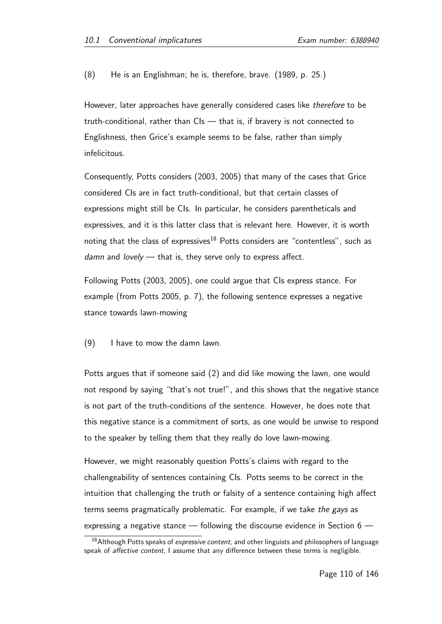(8) He is an Englishman; he is, therefore, brave. (1989, p. 25.)

However, later approaches have generally considered cases like therefore to be truth-conditional, rather than CIs — that is, if bravery is not connected to Englishness, then Grice's example seems to be false, rather than simply infelicitous.

Consequently, Potts considers (2003, 2005) that many of the cases that Grice considered CIs are in fact truth-conditional, but that certain classes of expressions might still be CIs. In particular, he considers parentheticals and expressives, and it is this latter class that is relevant here. However, it is worth noting that the class of expressives<sup>18</sup> Potts considers are "contentless", such as  $d$ amn and  $lovely$  — that is, they serve only to express affect.

Following Potts (2003, 2005), one could argue that CIs express stance. For example (from Potts 2005, p. 7), the following sentence expresses a negative stance towards lawn-mowing

(9) I have to mow the damn lawn.

Potts argues that if someone said (2) and did like mowing the lawn, one would not respond by saying "that's not true!", and this shows that the negative stance is not part of the truth-conditions of the sentence. However, he does note that this negative stance is a commitment of sorts, as one would be unwise to respond to the speaker by telling them that they really do love lawn-mowing.

However, we might reasonably question Potts's claims with regard to the challengeability of sentences containing CIs. Potts seems to be correct in the intuition that challenging the truth or falsity of a sentence containing high affect terms seems pragmatically problematic. For example, if we take the gays as expressing a negative stance — following the discourse evidence in Section 6 —

<sup>&</sup>lt;sup>18</sup> Although Potts speaks of expressive content, and other linguists and philosophers of language speak of *affective content*. I assume that any difference between these terms is negligible.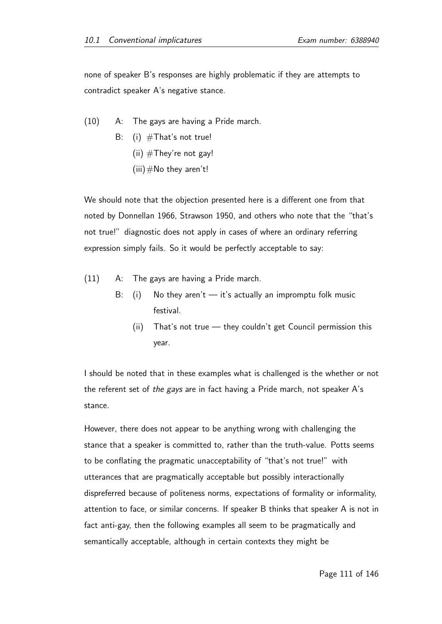none of speaker B's responses are highly problematic if they are attempts to contradict speaker A's negative stance.

(10) A: The gays are having a Pride march. B: (i)  $#That's not true!$ (ii)  $#$ They're not gay!  $(iii)$  #No they aren't!

We should note that the objection presented here is a different one from that noted by Donnellan 1966, Strawson 1950, and others who note that the "that's not true!" diagnostic does not apply in cases of where an ordinary referring expression simply fails. So it would be perfectly acceptable to say:

- (11) A: The gays are having a Pride march.
	- B: (i) No they aren't  $-$  it's actually an impromptu folk music festival.
		- (ii) That's not true they couldn't get Council permission this year.

I should be noted that in these examples what is challenged is the whether or not the referent set of the gays are in fact having a Pride march, not speaker A's stance.

However, there does not appear to be anything wrong with challenging the stance that a speaker is committed to, rather than the truth-value. Potts seems to be conflating the pragmatic unacceptability of "that's not true!" with utterances that are pragmatically acceptable but possibly interactionally dispreferred because of politeness norms, expectations of formality or informality, attention to face, or similar concerns. If speaker B thinks that speaker A is not in fact anti-gay, then the following examples all seem to be pragmatically and semantically acceptable, although in certain contexts they might be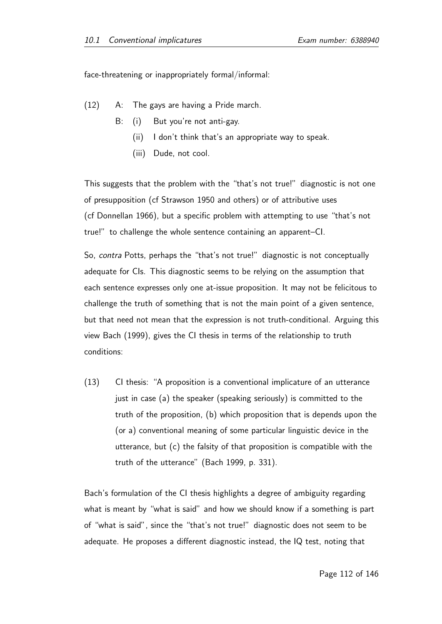face-threatening or inappropriately formal/informal:

- (12) A: The gays are having a Pride march.
	- B: (i) But you're not anti-gay.
		- (ii) I don't think that's an appropriate way to speak.
		- (iii) Dude, not cool.

This suggests that the problem with the "that's not true!" diagnostic is not one of presupposition (cf Strawson 1950 and others) or of attributive uses (cf Donnellan 1966), but a specific problem with attempting to use "that's not true!" to challenge the whole sentence containing an apparent–CI.

So, contra Potts, perhaps the "that's not true!" diagnostic is not conceptually adequate for CIs. This diagnostic seems to be relying on the assumption that each sentence expresses only one at-issue proposition. It may not be felicitous to challenge the truth of something that is not the main point of a given sentence, but that need not mean that the expression is not truth-conditional. Arguing this view Bach (1999), gives the CI thesis in terms of the relationship to truth conditions:

(13) CI thesis: "A proposition is a conventional implicature of an utterance just in case (a) the speaker (speaking seriously) is committed to the truth of the proposition, (b) which proposition that is depends upon the (or a) conventional meaning of some particular linguistic device in the utterance, but (c) the falsity of that proposition is compatible with the truth of the utterance" (Bach 1999, p. 331).

Bach's formulation of the CI thesis highlights a degree of ambiguity regarding what is meant by "what is said" and how we should know if a something is part of "what is said", since the "that's not true!" diagnostic does not seem to be adequate. He proposes a different diagnostic instead, the IQ test, noting that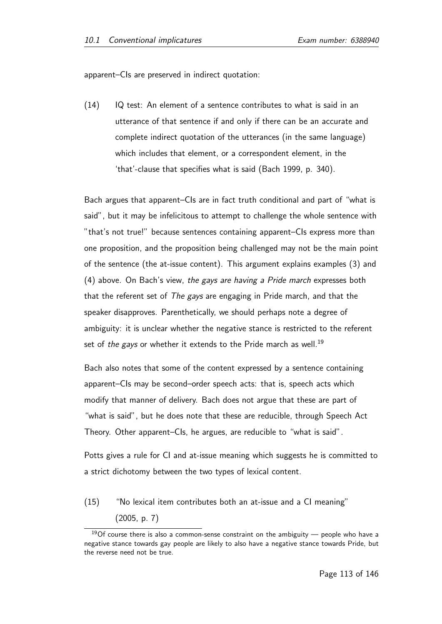apparent–CIs are preserved in indirect quotation:

(14) IQ test: An element of a sentence contributes to what is said in an utterance of that sentence if and only if there can be an accurate and complete indirect quotation of the utterances (in the same language) which includes that element, or a correspondent element, in the 'that'-clause that specifies what is said (Bach 1999, p. 340).

Bach argues that apparent–CIs are in fact truth conditional and part of "what is said", but it may be infelicitous to attempt to challenge the whole sentence with "that's not true!" because sentences containing apparent–CIs express more than one proposition, and the proposition being challenged may not be the main point of the sentence (the at-issue content). This argument explains examples (3) and (4) above. On Bach's view, the gays are having a Pride march expresses both that the referent set of The gays are engaging in Pride march, and that the speaker disapproves. Parenthetically, we should perhaps note a degree of ambiguity: it is unclear whether the negative stance is restricted to the referent set of the gays or whether it extends to the Pride march as well.<sup>19</sup>

Bach also notes that some of the content expressed by a sentence containing apparent–CIs may be second–order speech acts: that is, speech acts which modify that manner of delivery. Bach does not argue that these are part of "what is said", but he does note that these are reducible, through Speech Act Theory. Other apparent–CIs, he argues, are reducible to "what is said".

Potts gives a rule for CI and at-issue meaning which suggests he is committed to a strict dichotomy between the two types of lexical content.

(15) "No lexical item contributes both an at-issue and a CI meaning" (2005, p. 7)

 $19$ Of course there is also a common-sense constraint on the ambiguity — people who have a negative stance towards gay people are likely to also have a negative stance towards Pride, but the reverse need not be true.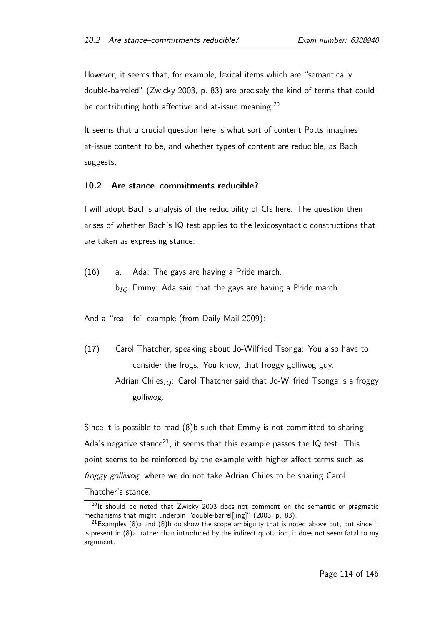However, it seems that, for example, lexical items which are "semantically double-barreled" (Zwicky 2003, p. 83) are precisely the kind of terms that could be contributing both affective and at-issue meaning.<sup>20</sup>

It seems that a crucial question here is what sort of content Potts imagines at-issue content to be, and whether types of content are reducible, as Bach suggests.

#### 10.2 Are stance–commitments reducible?

I will adopt Bach's analysis of the reducibility of CIs here. The question then arises of whether Bach's IQ test applies to the lexicosyntactic constructions that are taken as expressing stance:

(16) a. Ada: The gays are having a Pride march.  $b_{IO}$  Emmy: Ada said that the gays are having a Pride march.

And a "real-life" example (from Daily Mail 2009):

(17) Carol Thatcher, speaking about Jo-Wilfried Tsonga: You also have to consider the frogs. You know, that froggy golliwog guy. Adrian Chiles<sub>IQ</sub>: Carol Thatcher said that Jo-Wilfried Tsonga is a froggy golliwog.

Since it is possible to read (8)b such that Emmy is not committed to sharing Ada's negative stance<sup>21</sup>, it seems that this example passes the IQ test. This point seems to be reinforced by the example with higher affect terms such as froggy golliwog, where we do not take Adrian Chiles to be sharing Carol Thatcher's stance.

 $20$ It should be noted that Zwicky 2003 does not comment on the semantic or pragmatic mechanisms that might underpin "double-barrel[ling]" (2003, p. 83).

 $21$  Examples (8)a and (8)b do show the scope ambiguity that is noted above but, but since it is present in (8)a, rather than introduced by the indirect quotation, it does not seem fatal to my argument.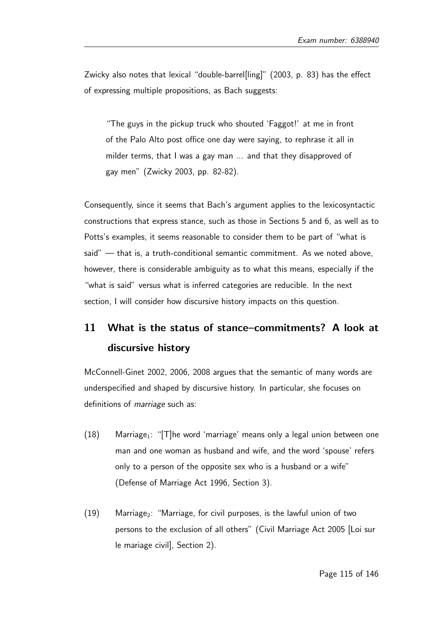Zwicky also notes that lexical "double-barrel[ling]" (2003, p. 83) has the effect of expressing multiple propositions, as Bach suggests:

"The guys in the pickup truck who shouted 'Faggot!' at me in front of the Palo Alto post office one day were saying, to rephrase it all in milder terms, that I was a gay man ... and that they disapproved of gay men" (Zwicky 2003, pp. 82-82).

Consequently, since it seems that Bach's argument applies to the lexicosyntactic constructions that express stance, such as those in Sections 5 and 6, as well as to Potts's examples, it seems reasonable to consider them to be part of "what is said" — that is, a truth-conditional semantic commitment. As we noted above, however, there is considerable ambiguity as to what this means, especially if the "what is said" versus what is inferred categories are reducible. In the next section, I will consider how discursive history impacts on this question.

# 11 What is the status of stance–commitments? A look at discursive history

McConnell-Ginet 2002, 2006, 2008 argues that the semantic of many words are underspecified and shaped by discursive history. In particular, she focuses on definitions of *marriage* such as:

- $(18)$  Marriage<sub>1</sub>: "[T] he word 'marriage' means only a legal union between one man and one woman as husband and wife, and the word 'spouse' refers only to a person of the opposite sex who is a husband or a wife" (Defense of Marriage Act 1996, Section 3).
- $(19)$  Marriage<sub>2</sub>: "Marriage, for civil purposes, is the lawful union of two persons to the exclusion of all others" (Civil Marriage Act 2005 [Loi sur le mariage civil], Section 2).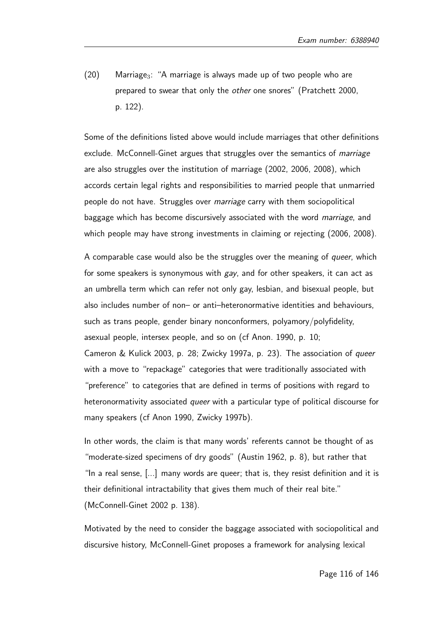$(20)$  Marriage<sub>3</sub>: "A marriage is always made up of two people who are prepared to swear that only the other one snores" (Pratchett 2000, p. 122).

Some of the definitions listed above would include marriages that other definitions exclude. McConnell-Ginet argues that struggles over the semantics of marriage are also struggles over the institution of marriage (2002, 2006, 2008), which accords certain legal rights and responsibilities to married people that unmarried people do not have. Struggles over marriage carry with them sociopolitical baggage which has become discursively associated with the word *marriage*, and which people may have strong investments in claiming or rejecting (2006, 2008).

A comparable case would also be the struggles over the meaning of queer, which for some speakers is synonymous with gay, and for other speakers, it can act as an umbrella term which can refer not only gay, lesbian, and bisexual people, but also includes number of non– or anti–heteronormative identities and behaviours, such as trans people, gender binary nonconformers, polyamory/polyfidelity, asexual people, intersex people, and so on (cf Anon. 1990, p. 10; Cameron & Kulick 2003, p. 28; Zwicky 1997a, p. 23). The association of queer with a move to "repackage" categories that were traditionally associated with "preference" to categories that are defined in terms of positions with regard to heteronormativity associated *queer* with a particular type of political discourse for many speakers (cf Anon 1990, Zwicky 1997b).

In other words, the claim is that many words' referents cannot be thought of as "moderate-sized specimens of dry goods" (Austin 1962, p. 8), but rather that "In a real sense, [...] many words are queer; that is, they resist definition and it is their definitional intractability that gives them much of their real bite." (McConnell-Ginet 2002 p. 138).

Motivated by the need to consider the baggage associated with sociopolitical and discursive history, McConnell-Ginet proposes a framework for analysing lexical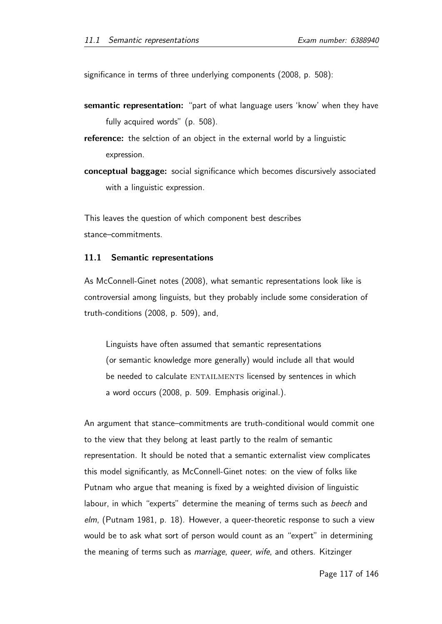significance in terms of three underlying components (2008, p. 508):

- semantic representation: "part of what language users 'know' when they have fully acquired words" (p. 508).
- reference: the selction of an object in the external world by a linguistic expression.
- conceptual baggage: social significance which becomes discursively associated with a linguistic expression.

This leaves the question of which component best describes stance–commitments.

### 11.1 Semantic representations

As McConnell-Ginet notes (2008), what semantic representations look like is controversial among linguists, but they probably include some consideration of truth-conditions (2008, p. 509), and,

Linguists have often assumed that semantic representations (or semantic knowledge more generally) would include all that would be needed to calculate ENTAILMENTS licensed by sentences in which a word occurs (2008, p. 509. Emphasis original.).

An argument that stance–commitments are truth-conditional would commit one to the view that they belong at least partly to the realm of semantic representation. It should be noted that a semantic externalist view complicates this model significantly, as McConnell-Ginet notes: on the view of folks like Putnam who argue that meaning is fixed by a weighted division of linguistic labour, in which "experts" determine the meaning of terms such as beech and elm, (Putnam 1981, p. 18). However, a queer-theoretic response to such a view would be to ask what sort of person would count as an "expert" in determining the meaning of terms such as *marriage*, queer, wife, and others. Kitzinger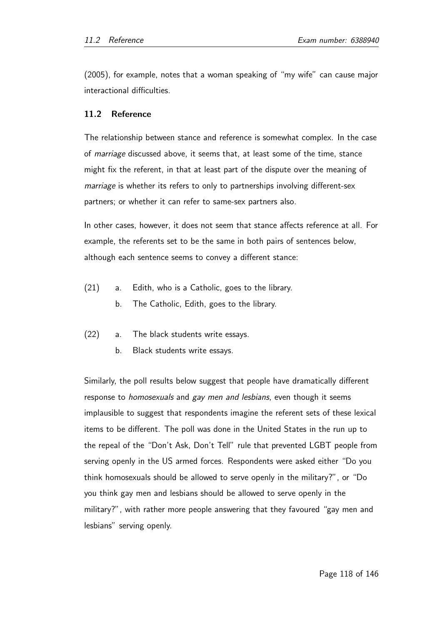(2005), for example, notes that a woman speaking of "my wife" can cause major interactional difficulties.

### 11.2 Reference

The relationship between stance and reference is somewhat complex. In the case of *marriage* discussed above, it seems that, at least some of the time, stance might fix the referent, in that at least part of the dispute over the meaning of marriage is whether its refers to only to partnerships involving different-sex partners; or whether it can refer to same-sex partners also.

In other cases, however, it does not seem that stance affects reference at all. For example, the referents set to be the same in both pairs of sentences below, although each sentence seems to convey a different stance:

- (21) a. Edith, who is a Catholic, goes to the library.
	- b. The Catholic, Edith, goes to the library.
- (22) a. The black students write essays.
	- b. Black students write essays.

Similarly, the poll results below suggest that people have dramatically different response to *homosexuals* and *gay men and lesbians*, even though it seems implausible to suggest that respondents imagine the referent sets of these lexical items to be different. The poll was done in the United States in the run up to the repeal of the "Don't Ask, Don't Tell" rule that prevented LGBT people from serving openly in the US armed forces. Respondents were asked either "Do you think homosexuals should be allowed to serve openly in the military?", or "Do you think gay men and lesbians should be allowed to serve openly in the military?", with rather more people answering that they favoured "gay men and lesbians" serving openly.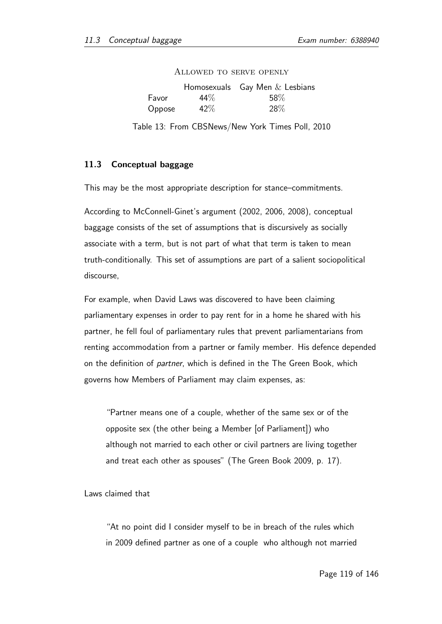|        |        | Homosexuals Gay Men $&$ Lesbians |
|--------|--------|----------------------------------|
| Favor  | $44\%$ | 58%                              |
| Oppose | 42%    | 28\%                             |

Allowed to serve openly

Table 13: From CBSNews/New York Times Poll, 2010

### 11.3 Conceptual baggage

This may be the most appropriate description for stance–commitments.

According to McConnell-Ginet's argument (2002, 2006, 2008), conceptual baggage consists of the set of assumptions that is discursively as socially associate with a term, but is not part of what that term is taken to mean truth-conditionally. This set of assumptions are part of a salient sociopolitical discourse,

For example, when David Laws was discovered to have been claiming parliamentary expenses in order to pay rent for in a home he shared with his partner, he fell foul of parliamentary rules that prevent parliamentarians from renting accommodation from a partner or family member. His defence depended on the definition of partner, which is defined in the The Green Book, which governs how Members of Parliament may claim expenses, as:

"Partner means one of a couple, whether of the same sex or of the opposite sex (the other being a Member [of Parliament]) who although not married to each other or civil partners are living together and treat each other as spouses" (The Green Book 2009, p. 17).

Laws claimed that

"At no point did I consider myself to be in breach of the rules which in 2009 defined partner as one of a couple who although not married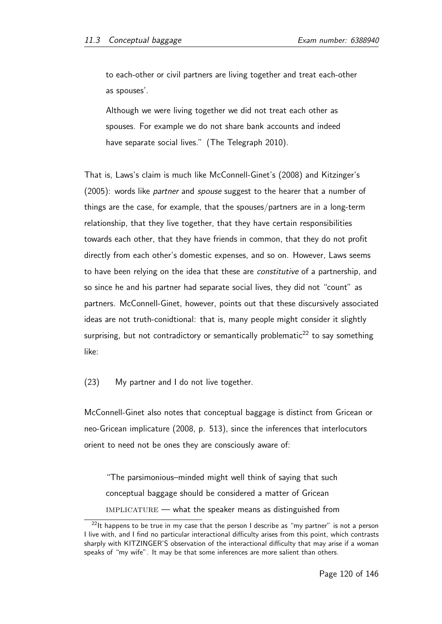to each-other or civil partners are living together and treat each-other as spouses'.

Although we were living together we did not treat each other as spouses. For example we do not share bank accounts and indeed have separate social lives." (The Telegraph 2010).

That is, Laws's claim is much like McConnell-Ginet's (2008) and Kitzinger's (2005): words like *partner* and *spouse* suggest to the hearer that a number of things are the case, for example, that the spouses/partners are in a long-term relationship, that they live together, that they have certain responsibilities towards each other, that they have friends in common, that they do not profit directly from each other's domestic expenses, and so on. However, Laws seems to have been relying on the idea that these are *constitutive* of a partnership, and so since he and his partner had separate social lives, they did not "count" as partners. McConnell-Ginet, however, points out that these discursively associated ideas are not truth-conidtional: that is, many people might consider it slightly surprising, but not contradictory or semantically problematic<sup>22</sup> to say something like:

(23) My partner and I do not live together.

McConnell-Ginet also notes that conceptual baggage is distinct from Gricean or neo-Gricean implicature (2008, p. 513), since the inferences that interlocutors orient to need not be ones they are consciously aware of:

"The parsimonious–minded might well think of saying that such conceptual baggage should be considered a matter of Gricean  $IMPLICATURE$  — what the speaker means as distinguished from

 $^{22}$ It happens to be true in my case that the person I describe as "my partner" is not a person I live with, and I find no particular interactional difficulty arises from this point, which contrasts sharply with KITZINGER'S observation of the interactional difficulty that may arise if a woman speaks of "my wife". It may be that some inferences are more salient than others.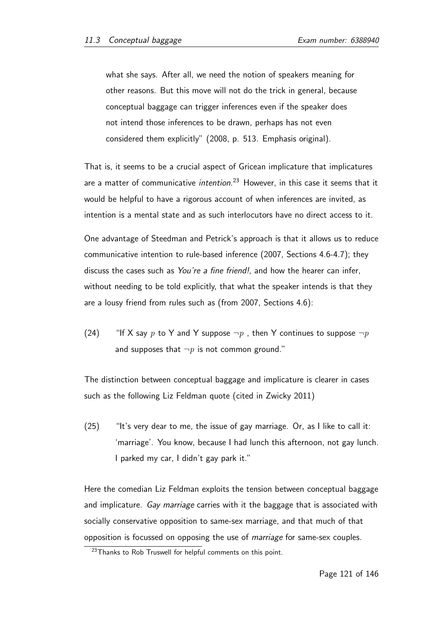what she says. After all, we need the notion of speakers meaning for other reasons. But this move will not do the trick in general, because conceptual baggage can trigger inferences even if the speaker does not intend those inferences to be drawn, perhaps has not even considered them explicitly" (2008, p. 513. Emphasis original).

That is, it seems to be a crucial aspect of Gricean implicature that implicatures are a matter of communicative *intention*.<sup>23</sup> However, in this case it seems that it would be helpful to have a rigorous account of when inferences are invited, as intention is a mental state and as such interlocutors have no direct access to it.

One advantage of Steedman and Petrick's approach is that it allows us to reduce communicative intention to rule-based inference (2007, Sections 4.6-4.7); they discuss the cases such as You're a fine friend!, and how the hearer can infer, without needing to be told explicitly, that what the speaker intends is that they are a lousy friend from rules such as (from 2007, Sections 4.6):

(24) "If X say p to Y and Y suppose  $\neg p$ , then Y continues to suppose  $\neg p$ and supposes that  $\neg p$  is not common ground."

The distinction between conceptual baggage and implicature is clearer in cases such as the following Liz Feldman quote (cited in Zwicky 2011)

 $(25)$  "It's very dear to me, the issue of gay marriage. Or, as I like to call it: 'marriage'. You know, because I had lunch this afternoon, not gay lunch. I parked my car, I didn't gay park it."

Here the comedian Liz Feldman exploits the tension between conceptual baggage and implicature. Gay marriage carries with it the baggage that is associated with socially conservative opposition to same-sex marriage, and that much of that opposition is focussed on opposing the use of marriage for same-sex couples.

<sup>&</sup>lt;sup>23</sup>Thanks to Rob Truswell for helpful comments on this point.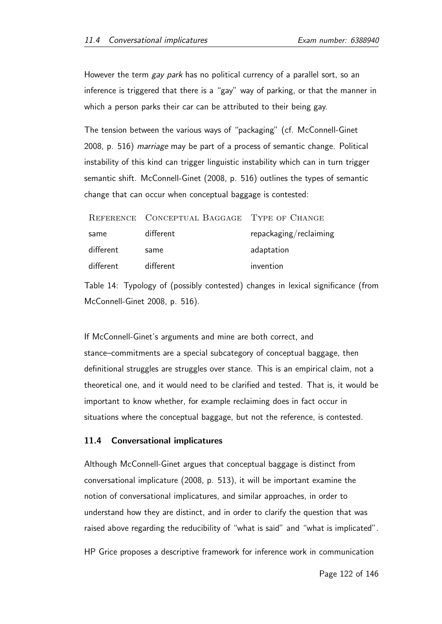However the term gay park has no political currency of a parallel sort, so an inference is triggered that there is a "gay" way of parking, or that the manner in which a person parks their car can be attributed to their being gay.

The tension between the various ways of "packaging" (cf. McConnell-Ginet 2008, p. 516) marriage may be part of a process of semantic change. Political instability of this kind can trigger linguistic instability which can in turn trigger semantic shift. McConnell-Ginet (2008, p. 516) outlines the types of semantic change that can occur when conceptual baggage is contested:

|           | REFERENCE CONCEPTUAL BAGGAGE TYPE OF CHANGE |                        |
|-----------|---------------------------------------------|------------------------|
| same      | different                                   | repackaging/reclaiming |
| different | same                                        | adaptation             |
| different | different                                   | invention              |

Table 14: Typology of (possibly contested) changes in lexical significance (from McConnell-Ginet 2008, p. 516).

If McConnell-Ginet's arguments and mine are both correct, and stance–commitments are a special subcategory of conceptual baggage, then definitional struggles are struggles over stance. This is an empirical claim, not a theoretical one, and it would need to be clarified and tested. That is, it would be important to know whether, for example reclaiming does in fact occur in situations where the conceptual baggage, but not the reference, is contested.

### 11.4 Conversational implicatures

Although McConnell-Ginet argues that conceptual baggage is distinct from conversational implicature (2008, p. 513), it will be important examine the notion of conversational implicatures, and similar approaches, in order to understand how they are distinct, and in order to clarify the question that was raised above regarding the reducibility of "what is said" and "what is implicated".

HP Grice proposes a descriptive framework for inference work in communication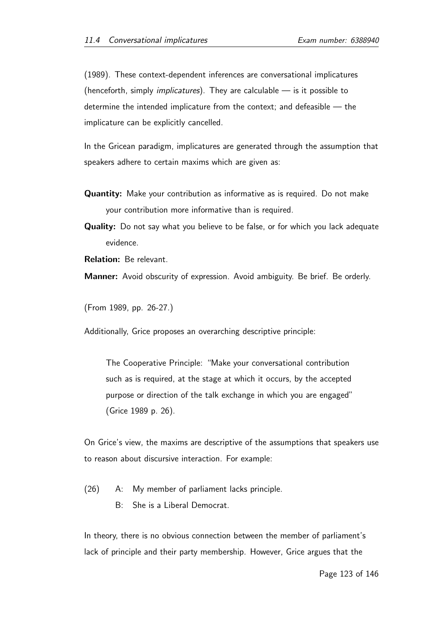(1989). These context-dependent inferences are conversational implicatures (henceforth, simply *implicatures*). They are calculable  $\frac{1}{x}$  is it possible to determine the intended implicature from the context; and defeasible — the implicature can be explicitly cancelled.

In the Gricean paradigm, implicatures are generated through the assumption that speakers adhere to certain maxims which are given as:

- Quantity: Make your contribution as informative as is required. Do not make your contribution more informative than is required.
- Quality: Do not say what you believe to be false, or for which you lack adequate evidence.
- Relation: Be relevant.

Manner: Avoid obscurity of expression. Avoid ambiguity. Be brief. Be orderly.

(From 1989, pp. 26-27.)

Additionally, Grice proposes an overarching descriptive principle:

The Cooperative Principle: "Make your conversational contribution such as is required, at the stage at which it occurs, by the accepted purpose or direction of the talk exchange in which you are engaged" (Grice 1989 p. 26).

On Grice's view, the maxims are descriptive of the assumptions that speakers use to reason about discursive interaction. For example:

(26) A: My member of parliament lacks principle.

B: She is a Liberal Democrat.

In theory, there is no obvious connection between the member of parliament's lack of principle and their party membership. However, Grice argues that the

Page 123 of 146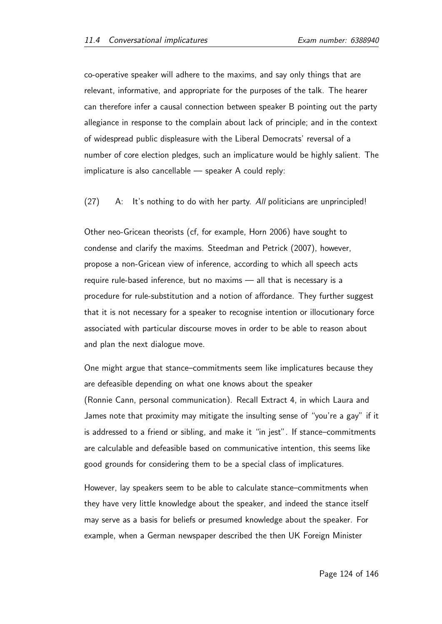co-operative speaker will adhere to the maxims, and say only things that are relevant, informative, and appropriate for the purposes of the talk. The hearer can therefore infer a causal connection between speaker B pointing out the party allegiance in response to the complain about lack of principle; and in the context of widespread public displeasure with the Liberal Democrats' reversal of a number of core election pledges, such an implicature would be highly salient. The implicature is also cancellable — speaker A could reply:

(27) A: It's nothing to do with her party. All politicians are unprincipled!

Other neo-Gricean theorists (cf, for example, Horn 2006) have sought to condense and clarify the maxims. Steedman and Petrick (2007), however, propose a non-Gricean view of inference, according to which all speech acts require rule-based inference, but no maxims — all that is necessary is a procedure for rule-substitution and a notion of affordance. They further suggest that it is not necessary for a speaker to recognise intention or illocutionary force associated with particular discourse moves in order to be able to reason about and plan the next dialogue move.

One might argue that stance–commitments seem like implicatures because they are defeasible depending on what one knows about the speaker (Ronnie Cann, personal communication). Recall Extract 4, in which Laura and James note that proximity may mitigate the insulting sense of "you're a gay" if it is addressed to a friend or sibling, and make it "in jest". If stance–commitments are calculable and defeasible based on communicative intention, this seems like good grounds for considering them to be a special class of implicatures.

However, lay speakers seem to be able to calculate stance–commitments when they have very little knowledge about the speaker, and indeed the stance itself may serve as a basis for beliefs or presumed knowledge about the speaker. For example, when a German newspaper described the then UK Foreign Minister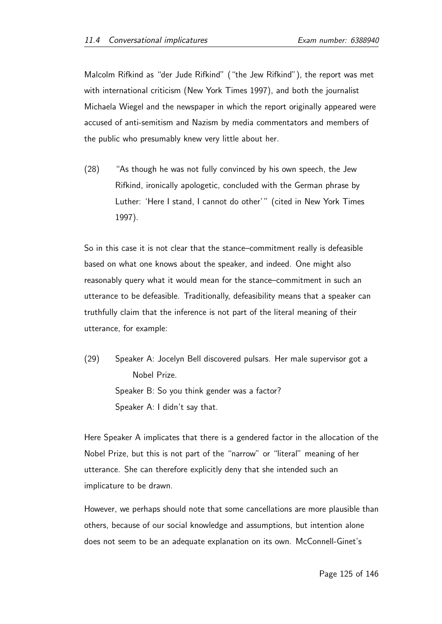Malcolm Rifkind as "der Jude Rifkind" ("the Jew Rifkind"), the report was met with international criticism (New York Times 1997), and both the journalist Michaela Wiegel and the newspaper in which the report originally appeared were accused of anti-semitism and Nazism by media commentators and members of the public who presumably knew very little about her.

(28) "As though he was not fully convinced by his own speech, the Jew Rifkind, ironically apologetic, concluded with the German phrase by Luther: 'Here I stand, I cannot do other'" (cited in New York Times 1997).

So in this case it is not clear that the stance–commitment really is defeasible based on what one knows about the speaker, and indeed. One might also reasonably query what it would mean for the stance–commitment in such an utterance to be defeasible. Traditionally, defeasibility means that a speaker can truthfully claim that the inference is not part of the literal meaning of their utterance, for example:

(29) Speaker A: Jocelyn Bell discovered pulsars. Her male supervisor got a Nobel Prize. Speaker B: So you think gender was a factor? Speaker A: I didn't say that.

Here Speaker A implicates that there is a gendered factor in the allocation of the Nobel Prize, but this is not part of the "narrow" or "literal" meaning of her utterance. She can therefore explicitly deny that she intended such an implicature to be drawn.

However, we perhaps should note that some cancellations are more plausible than others, because of our social knowledge and assumptions, but intention alone does not seem to be an adequate explanation on its own. McConnell-Ginet's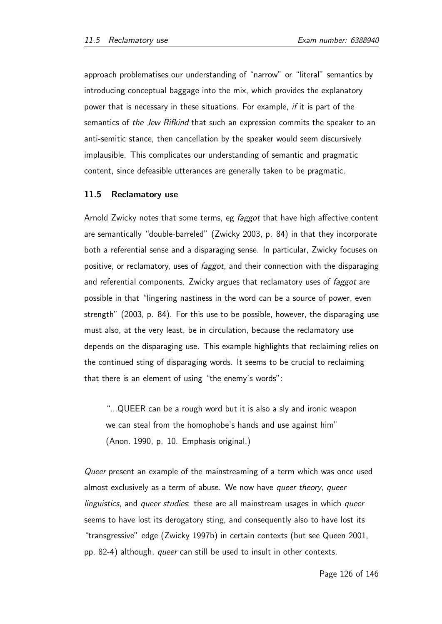approach problematises our understanding of "narrow" or "literal" semantics by introducing conceptual baggage into the mix, which provides the explanatory power that is necessary in these situations. For example, if it is part of the semantics of the Jew Rifkind that such an expression commits the speaker to an anti-semitic stance, then cancellation by the speaker would seem discursively implausible. This complicates our understanding of semantic and pragmatic content, since defeasible utterances are generally taken to be pragmatic.

### 11.5 Reclamatory use

Arnold Zwicky notes that some terms, eg *faggot* that have high affective content are semantically "double-barreled" (Zwicky 2003, p. 84) in that they incorporate both a referential sense and a disparaging sense. In particular, Zwicky focuses on positive, or reclamatory, uses of *faggot*, and their connection with the disparaging and referential components. Zwicky argues that reclamatory uses of faggot are possible in that "lingering nastiness in the word can be a source of power, even strength" (2003, p. 84). For this use to be possible, however, the disparaging use must also, at the very least, be in circulation, because the reclamatory use depends on the disparaging use. This example highlights that reclaiming relies on the continued sting of disparaging words. It seems to be crucial to reclaiming that there is an element of using "the enemy's words":

"...QUEER can be a rough word but it is also a sly and ironic weapon we can steal from the homophobe's hands and use against him" (Anon. 1990, p. 10. Emphasis original.)

Queer present an example of the mainstreaming of a term which was once used almost exclusively as a term of abuse. We now have queer theory, queer linguistics, and queer studies: these are all mainstream usages in which queer seems to have lost its derogatory sting, and consequently also to have lost its "transgressive" edge (Zwicky 1997b) in certain contexts (but see Queen 2001, pp. 82-4) although, queer can still be used to insult in other contexts.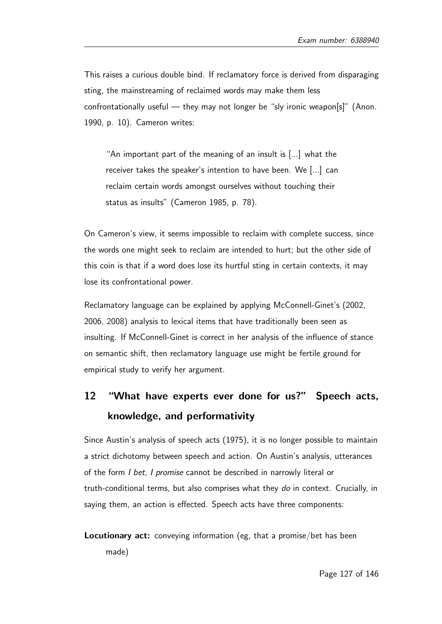This raises a curious double bind. If reclamatory force is derived from disparaging sting, the mainstreaming of reclaimed words may make them less confrontationally useful  $-$  they may not longer be "sly ironic weapon[s]" (Anon. 1990, p. 10). Cameron writes:

"An important part of the meaning of an insult is [...] what the receiver takes the speaker's intention to have been. We [...] can reclaim certain words amongst ourselves without touching their status as insults" (Cameron 1985, p. 78).

On Cameron's view, it seems impossible to reclaim with complete success, since the words one might seek to reclaim are intended to hurt; but the other side of this coin is that if a word does lose its hurtful sting in certain contexts, it may lose its confrontational power.

Reclamatory language can be explained by applying McConnell-Ginet's (2002, 2006, 2008) analysis to lexical items that have traditionally been seen as insulting. If McConnell-Ginet is correct in her analysis of the influence of stance on semantic shift, then reclamatory language use might be fertile ground for empirical study to verify her argument.

# 12 "What have experts ever done for us?" Speech acts, knowledge, and performativity

Since Austin's analysis of speech acts (1975), it is no longer possible to maintain a strict dichotomy between speech and action. On Austin's analysis, utterances of the form I bet, I promise cannot be described in narrowly literal or truth-conditional terms, but also comprises what they do in context. Crucially, in saying them, an action is effected. Speech acts have three components:

Locutionary act: conveying information (eg, that a promise/bet has been made)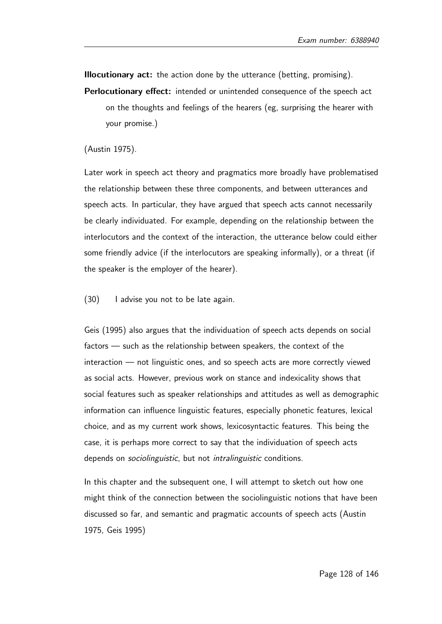Illocutionary act: the action done by the utterance (betting, promising).

- Perlocutionary effect: intended or unintended consequence of the speech act on the thoughts and feelings of the hearers (eg, surprising the hearer with your promise.)
- (Austin 1975).

Later work in speech act theory and pragmatics more broadly have problematised the relationship between these three components, and between utterances and speech acts. In particular, they have argued that speech acts cannot necessarily be clearly individuated. For example, depending on the relationship between the interlocutors and the context of the interaction, the utterance below could either some friendly advice (if the interlocutors are speaking informally), or a threat (if the speaker is the employer of the hearer).

(30) I advise you not to be late again.

Geis (1995) also argues that the individuation of speech acts depends on social factors — such as the relationship between speakers, the context of the interaction — not linguistic ones, and so speech acts are more correctly viewed as social acts. However, previous work on stance and indexicality shows that social features such as speaker relationships and attitudes as well as demographic information can influence linguistic features, especially phonetic features, lexical choice, and as my current work shows, lexicosyntactic features. This being the case, it is perhaps more correct to say that the individuation of speech acts depends on *sociolinguistic*, but not *intralinguistic* conditions.

In this chapter and the subsequent one, I will attempt to sketch out how one might think of the connection between the sociolinguistic notions that have been discussed so far, and semantic and pragmatic accounts of speech acts (Austin 1975, Geis 1995)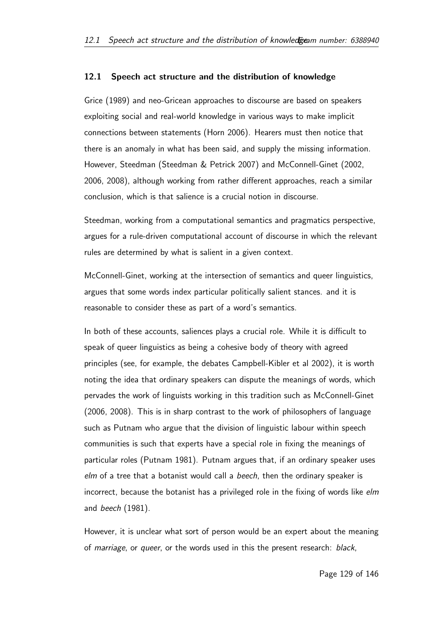### 12.1 Speech act structure and the distribution of knowledge

Grice (1989) and neo-Gricean approaches to discourse are based on speakers exploiting social and real-world knowledge in various ways to make implicit connections between statements (Horn 2006). Hearers must then notice that there is an anomaly in what has been said, and supply the missing information. However, Steedman (Steedman & Petrick 2007) and McConnell-Ginet (2002, 2006, 2008), although working from rather different approaches, reach a similar conclusion, which is that salience is a crucial notion in discourse.

Steedman, working from a computational semantics and pragmatics perspective, argues for a rule-driven computational account of discourse in which the relevant rules are determined by what is salient in a given context.

McConnell-Ginet, working at the intersection of semantics and queer linguistics, argues that some words index particular politically salient stances. and it is reasonable to consider these as part of a word's semantics.

In both of these accounts, saliences plays a crucial role. While it is difficult to speak of queer linguistics as being a cohesive body of theory with agreed principles (see, for example, the debates Campbell-Kibler et al 2002), it is worth noting the idea that ordinary speakers can dispute the meanings of words, which pervades the work of linguists working in this tradition such as McConnell-Ginet (2006, 2008). This is in sharp contrast to the work of philosophers of language such as Putnam who argue that the division of linguistic labour within speech communities is such that experts have a special role in fixing the meanings of particular roles (Putnam 1981). Putnam argues that, if an ordinary speaker uses elm of a tree that a botanist would call a beech, then the ordinary speaker is incorrect, because the botanist has a privileged role in the fixing of words like elm and beech (1981).

However, it is unclear what sort of person would be an expert about the meaning of marriage, or queer, or the words used in this the present research: black,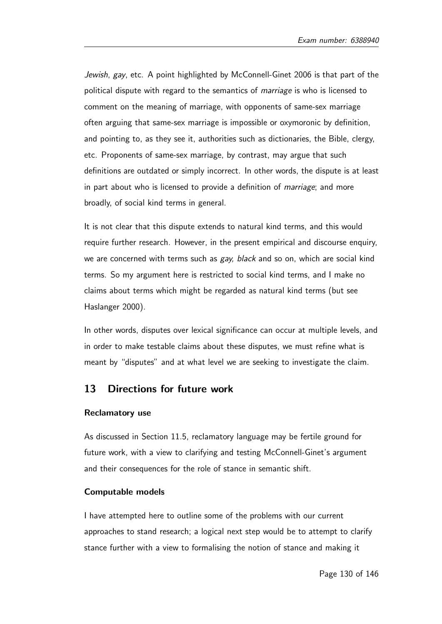Jewish, gay, etc. A point highlighted by McConnell-Ginet 2006 is that part of the political dispute with regard to the semantics of *marriage* is who is licensed to comment on the meaning of marriage, with opponents of same-sex marriage often arguing that same-sex marriage is impossible or oxymoronic by definition, and pointing to, as they see it, authorities such as dictionaries, the Bible, clergy, etc. Proponents of same-sex marriage, by contrast, may argue that such definitions are outdated or simply incorrect. In other words, the dispute is at least in part about who is licensed to provide a definition of marriage; and more broadly, of social kind terms in general.

It is not clear that this dispute extends to natural kind terms, and this would require further research. However, in the present empirical and discourse enquiry, we are concerned with terms such as gay, black and so on, which are social kind terms. So my argument here is restricted to social kind terms, and I make no claims about terms which might be regarded as natural kind terms (but see Haslanger 2000).

In other words, disputes over lexical significance can occur at multiple levels, and in order to make testable claims about these disputes, we must refine what is meant by "disputes" and at what level we are seeking to investigate the claim.

# 13 Directions for future work

#### Reclamatory use

As discussed in Section 11.5, reclamatory language may be fertile ground for future work, with a view to clarifying and testing McConnell-Ginet's argument and their consequences for the role of stance in semantic shift.

### Computable models

I have attempted here to outline some of the problems with our current approaches to stand research; a logical next step would be to attempt to clarify stance further with a view to formalising the notion of stance and making it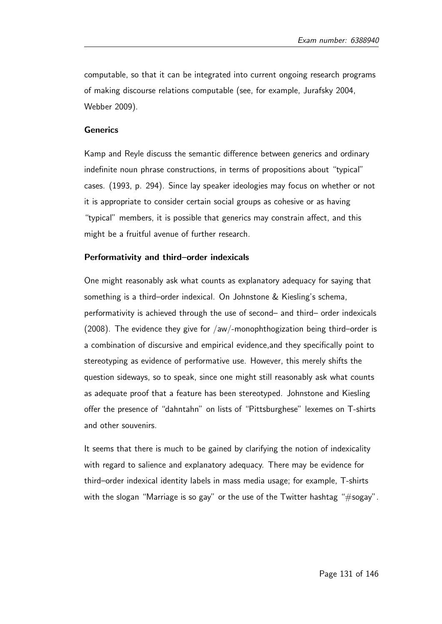computable, so that it can be integrated into current ongoing research programs of making discourse relations computable (see, for example, Jurafsky 2004, Webber 2009).

#### Generics

Kamp and Reyle discuss the semantic difference between generics and ordinary indefinite noun phrase constructions, in terms of propositions about "typical" cases. (1993, p. 294). Since lay speaker ideologies may focus on whether or not it is appropriate to consider certain social groups as cohesive or as having "typical" members, it is possible that generics may constrain affect, and this might be a fruitful avenue of further research.

### Performativity and third–order indexicals

One might reasonably ask what counts as explanatory adequacy for saying that something is a third–order indexical. On Johnstone & Kiesling's schema, performativity is achieved through the use of second– and third– order indexicals (2008). The evidence they give for /aw/-monophthogization being third–order is a combination of discursive and empirical evidence,and they specifically point to stereotyping as evidence of performative use. However, this merely shifts the question sideways, so to speak, since one might still reasonably ask what counts as adequate proof that a feature has been stereotyped. Johnstone and Kiesling offer the presence of "dahntahn" on lists of "Pittsburghese" lexemes on T-shirts and other souvenirs.

It seems that there is much to be gained by clarifying the notion of indexicality with regard to salience and explanatory adequacy. There may be evidence for third–order indexical identity labels in mass media usage; for example, T-shirts with the slogan "Marriage is so gay" or the use of the Twitter hashtag "#sogay".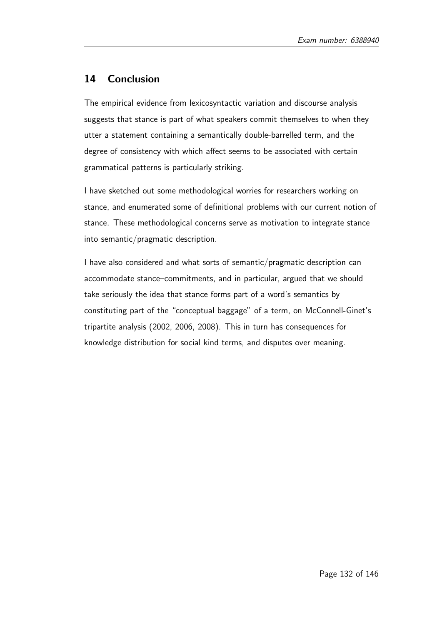# 14 Conclusion

The empirical evidence from lexicosyntactic variation and discourse analysis suggests that stance is part of what speakers commit themselves to when they utter a statement containing a semantically double-barrelled term, and the degree of consistency with which affect seems to be associated with certain grammatical patterns is particularly striking.

I have sketched out some methodological worries for researchers working on stance, and enumerated some of definitional problems with our current notion of stance. These methodological concerns serve as motivation to integrate stance into semantic/pragmatic description.

I have also considered and what sorts of semantic/pragmatic description can accommodate stance–commitments, and in particular, argued that we should take seriously the idea that stance forms part of a word's semantics by constituting part of the "conceptual baggage" of a term, on McConnell-Ginet's tripartite analysis (2002, 2006, 2008). This in turn has consequences for knowledge distribution for social kind terms, and disputes over meaning.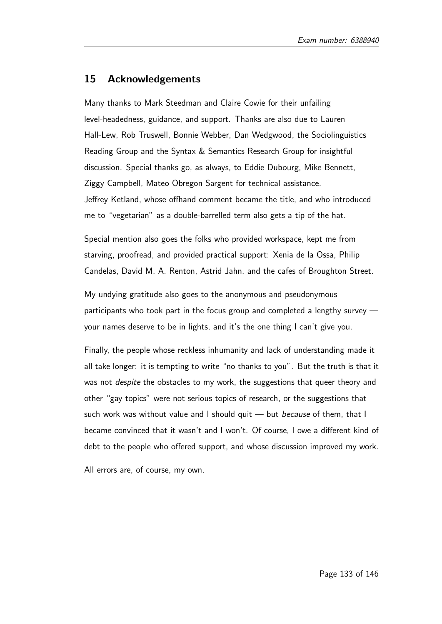## 15 Acknowledgements

Many thanks to Mark Steedman and Claire Cowie for their unfailing level-headedness, guidance, and support. Thanks are also due to Lauren Hall-Lew, Rob Truswell, Bonnie Webber, Dan Wedgwood, the Sociolinguistics Reading Group and the Syntax & Semantics Research Group for insightful discussion. Special thanks go, as always, to Eddie Dubourg, Mike Bennett, Ziggy Campbell, Mateo Obregon Sargent for technical assistance. Jeffrey Ketland, whose offhand comment became the title, and who introduced me to "vegetarian" as a double-barrelled term also gets a tip of the hat.

Special mention also goes the folks who provided workspace, kept me from starving, proofread, and provided practical support: Xenia de la Ossa, Philip Candelas, David M. A. Renton, Astrid Jahn, and the cafes of Broughton Street.

My undying gratitude also goes to the anonymous and pseudonymous participants who took part in the focus group and completed a lengthy survey your names deserve to be in lights, and it's the one thing I can't give you.

Finally, the people whose reckless inhumanity and lack of understanding made it all take longer: it is tempting to write "no thanks to you". But the truth is that it was not *despite* the obstacles to my work, the suggestions that queer theory and other "gay topics" were not serious topics of research, or the suggestions that such work was without value and I should quit  $-$  but *because* of them, that I became convinced that it wasn't and I won't. Of course, I owe a different kind of debt to the people who offered support, and whose discussion improved my work.

All errors are, of course, my own.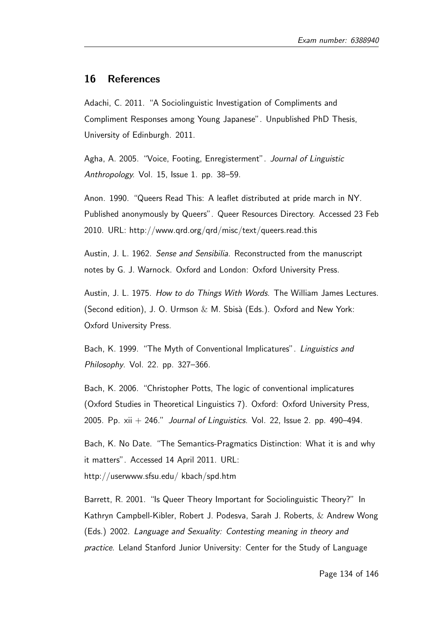### 16 References

Adachi, C. 2011. "A Sociolinguistic Investigation of Compliments and Compliment Responses among Young Japanese". Unpublished PhD Thesis, University of Edinburgh. 2011.

Agha, A. 2005. "Voice, Footing, Enregisterment". Journal of Linguistic Anthropology. Vol. 15, Issue 1. pp. 38–59.

Anon. 1990. "Queers Read This: A leaflet distributed at pride march in NY. Published anonymously by Queers". Queer Resources Directory. Accessed 23 Feb 2010. URL: http://www.qrd.org/qrd/misc/text/queers.read.this

Austin, J. L. 1962. Sense and Sensibilia. Reconstructed from the manuscript notes by G. J. Warnock. Oxford and London: Oxford University Press.

Austin, J. L. 1975. How to do Things With Words. The William James Lectures. (Second edition), J. O. Urmson  $& M.$  Sbisà (Eds.). Oxford and New York: Oxford University Press.

Bach, K. 1999. "The Myth of Conventional Implicatures". Linguistics and Philosophy. Vol. 22. pp. 327–366.

Bach, K. 2006. "Christopher Potts, The logic of conventional implicatures (Oxford Studies in Theoretical Linguistics 7). Oxford: Oxford University Press, 2005. Pp.  $xii + 246$ ." Journal of Linguistics. Vol. 22, Issue 2. pp. 490-494.

Bach, K. No Date. "The Semantics-Pragmatics Distinction: What it is and why it matters". Accessed 14 April 2011. URL: http://userwww.sfsu.edu/ kbach/spd.htm

Barrett, R. 2001. "Is Queer Theory Important for Sociolinguistic Theory?" In Kathryn Campbell-Kibler, Robert J. Podesva, Sarah J. Roberts, & Andrew Wong (Eds.) 2002. Language and Sexuality: Contesting meaning in theory and practice. Leland Stanford Junior University: Center for the Study of Language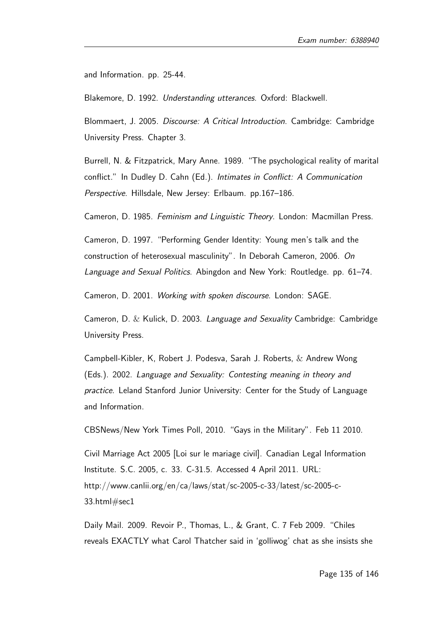and Information. pp. 25-44.

Blakemore, D. 1992. Understanding utterances. Oxford: Blackwell.

Blommaert, J. 2005. Discourse: A Critical Introduction. Cambridge: Cambridge University Press. Chapter 3.

Burrell, N. & Fitzpatrick, Mary Anne. 1989. "The psychological reality of marital conflict." In Dudley D. Cahn (Ed.). Intimates in Conflict: A Communication Perspective. Hillsdale, New Jersey: Erlbaum. pp.167–186.

Cameron, D. 1985. Feminism and Linguistic Theory. London: Macmillan Press.

Cameron, D. 1997. "Performing Gender Identity: Young men's talk and the construction of heterosexual masculinity". In Deborah Cameron, 2006. On Language and Sexual Politics. Abingdon and New York: Routledge. pp. 61–74.

Cameron, D. 2001. Working with spoken discourse. London: SAGE.

Cameron, D.  $\&$  Kulick, D. 2003. Language and Sexuality Cambridge: Cambridge University Press.

Campbell-Kibler, K, Robert J. Podesva, Sarah J. Roberts, & Andrew Wong (Eds.). 2002. Language and Sexuality: Contesting meaning in theory and practice. Leland Stanford Junior University: Center for the Study of Language and Information.

CBSNews/New York Times Poll, 2010. "Gays in the Military". Feb 11 2010.

Civil Marriage Act 2005 [Loi sur le mariage civil]. Canadian Legal Information Institute. S.C. 2005, c. 33. C-31.5. Accessed 4 April 2011. URL: http://www.canlii.org/en/ca/laws/stat/sc-2005-c-33/latest/sc-2005-c-33.html#sec1

Daily Mail. 2009. Revoir P., Thomas, L., & Grant, C. 7 Feb 2009. "Chiles reveals EXACTLY what Carol Thatcher said in 'golliwog' chat as she insists she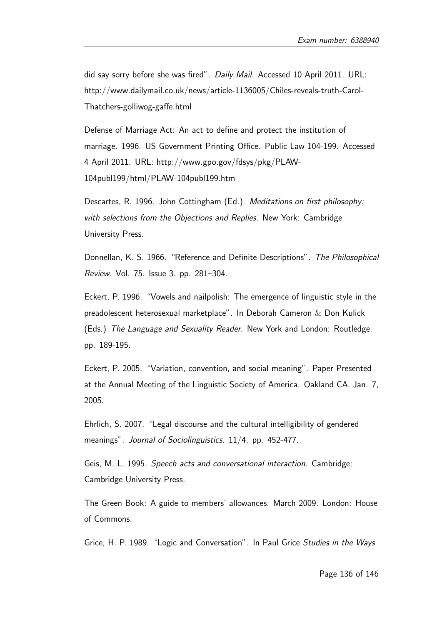did say sorry before she was fired". Daily Mail. Accessed 10 April 2011. URL: http://www.dailymail.co.uk/news/article-1136005/Chiles-reveals-truth-Carol-Thatchers-golliwog-gaffe.html

Defense of Marriage Act: An act to define and protect the institution of marriage. 1996. US Government Printing Office. Public Law 104-199. Accessed 4 April 2011. URL: http://www.gpo.gov/fdsys/pkg/PLAW-104publ199/html/PLAW-104publ199.htm

Descartes, R. 1996. John Cottingham (Ed.). Meditations on first philosophy: with selections from the Objections and Replies. New York: Cambridge University Press.

Donnellan, K. S. 1966. "Reference and Definite Descriptions". The Philosophical Review. Vol. 75. Issue 3. pp. 281–304.

Eckert, P. 1996. "Vowels and nailpolish: The emergence of linguistic style in the preadolescent heterosexual marketplace". In Deborah Cameron & Don Kulick (Eds.) The Language and Sexuality Reader. New York and London: Routledge. pp. 189-195.

Eckert, P. 2005. "Variation, convention, and social meaning". Paper Presented at the Annual Meeting of the Linguistic Society of America. Oakland CA. Jan. 7, 2005.

Ehrlich, S. 2007. "Legal discourse and the cultural intelligibility of gendered meanings". Journal of Sociolinguistics. 11/4. pp. 452-477.

Geis, M. L. 1995. Speech acts and conversational interaction. Cambridge: Cambridge University Press.

The Green Book: A guide to members' allowances. March 2009. London: House of Commons.

Grice, H. P. 1989. "Logic and Conversation". In Paul Grice Studies in the Ways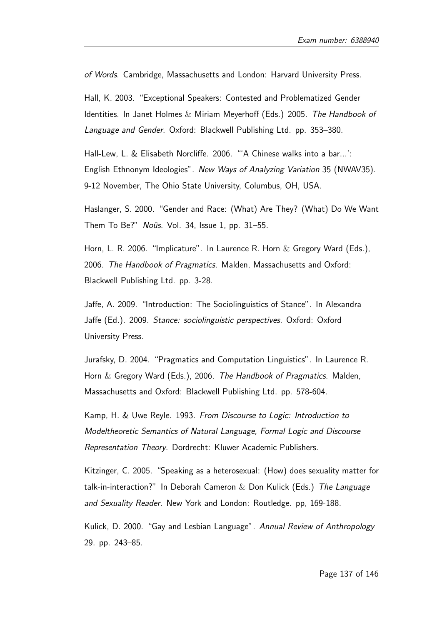of Words. Cambridge, Massachusetts and London: Harvard University Press.

Hall, K. 2003. "Exceptional Speakers: Contested and Problematized Gender Identities. In Janet Holmes & Miriam Meyerhoff (Eds.) 2005. The Handbook of Language and Gender. Oxford: Blackwell Publishing Ltd. pp. 353–380.

Hall-Lew, L. & Elisabeth Norcliffe. 2006. "'A Chinese walks into a bar...': English Ethnonym Ideologies". New Ways of Analyzing Variation 35 (NWAV35). 9-12 November, The Ohio State University, Columbus, OH, USA.

Haslanger, S. 2000. "Gender and Race: (What) Are They? (What) Do We Want Them To Be?" Noûs. Vol. 34, Issue 1, pp. 31-55.

Horn, L. R. 2006. "Implicature". In Laurence R. Horn  $\&$  Gregory Ward (Eds.), 2006. The Handbook of Pragmatics. Malden, Massachusetts and Oxford: Blackwell Publishing Ltd. pp. 3-28.

Jaffe, A. 2009. "Introduction: The Sociolinguistics of Stance". In Alexandra Jaffe (Ed.). 2009. Stance: sociolinguistic perspectives. Oxford: Oxford University Press.

Jurafsky, D. 2004. "Pragmatics and Computation Linguistics". In Laurence R. Horn & Gregory Ward (Eds.), 2006. The Handbook of Pragmatics. Malden, Massachusetts and Oxford: Blackwell Publishing Ltd. pp. 578-604.

Kamp, H. & Uwe Reyle. 1993. From Discourse to Logic: Introduction to Modeltheoretic Semantics of Natural Language, Formal Logic and Discourse Representation Theory. Dordrecht: Kluwer Academic Publishers.

Kitzinger, C. 2005. "Speaking as a heterosexual: (How) does sexuality matter for talk-in-interaction?" In Deborah Cameron  $&$  Don Kulick (Eds.) The Language and Sexuality Reader. New York and London: Routledge. pp, 169-188.

Kulick, D. 2000. "Gay and Lesbian Language". Annual Review of Anthropology 29. pp. 243–85.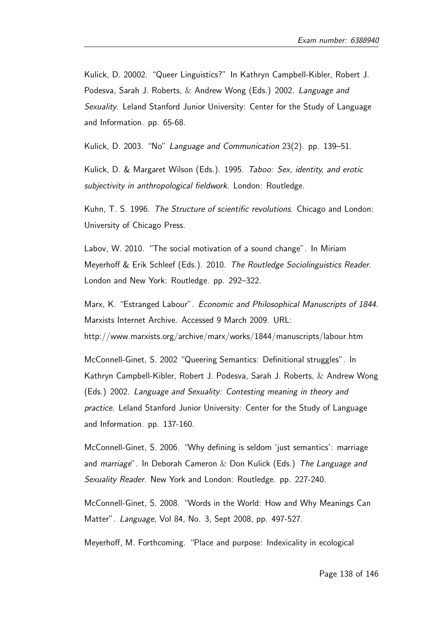Kulick, D. 20002. "Queer Linguistics?" In Kathryn Campbell-Kibler, Robert J. Podesva, Sarah J. Roberts, & Andrew Wong (Eds.) 2002. Language and Sexuality. Leland Stanford Junior University: Center for the Study of Language and Information. pp. 65-68.

Kulick, D. 2003. "No" Language and Communication 23(2). pp. 139–51.

Kulick, D. & Margaret Wilson (Eds.). 1995. Taboo: Sex, identity, and erotic subjectivity in anthropological fieldwork. London: Routledge.

Kuhn, T. S. 1996. The Structure of scientific revolutions. Chicago and London: University of Chicago Press.

Labov, W. 2010. "The social motivation of a sound change". In Miriam Meyerhoff & Erik Schleef (Eds.). 2010. The Routledge Sociolinguistics Reader. London and New York: Routledge. pp. 292–322.

Marx, K. "Estranged Labour". Economic and Philosophical Manuscripts of 1844. Marxists Internet Archive. Accessed 9 March 2009. URL: http://www.marxists.org/archive/marx/works/1844/manuscripts/labour.htm

McConnell-Ginet, S. 2002 "Queering Semantics: Definitional struggles". In Kathryn Campbell-Kibler, Robert J. Podesva, Sarah J. Roberts, & Andrew Wong (Eds.) 2002. Language and Sexuality: Contesting meaning in theory and practice. Leland Stanford Junior University: Center for the Study of Language and Information. pp. 137-160.

McConnell-Ginet, S. 2006. "Why defining is seldom 'just semantics': marriage and *marriage*". In Deborah Cameron  $&$  Don Kulick (Eds.) The Language and Sexuality Reader. New York and London: Routledge. pp. 227-240.

McConnell-Ginet, S. 2008. "Words in the World: How and Why Meanings Can Matter". Language, Vol 84, No. 3, Sept 2008, pp. 497-527.

Meyerhoff, M. Forthcoming. "Place and purpose: Indexicality in ecological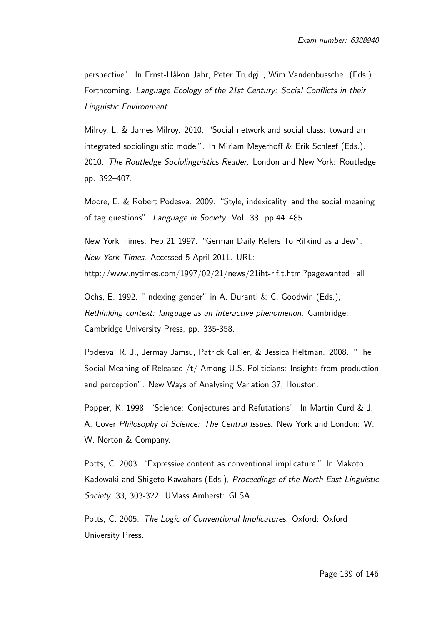perspective". In Ernst-Håkon Jahr, Peter Trudgill, Wim Vandenbussche. (Eds.) Forthcoming. Language Ecology of the 21st Century: Social Conflicts in their Linguistic Environment.

Milroy, L. & James Milroy. 2010. "Social network and social class: toward an integrated sociolinguistic model". In Miriam Meyerhoff & Erik Schleef (Eds.). 2010. The Routledge Sociolinguistics Reader. London and New York: Routledge. pp. 392–407.

Moore, E. & Robert Podesva. 2009. "Style, indexicality, and the social meaning of tag questions". Language in Society. Vol. 38. pp.44–485.

New York Times. Feb 21 1997. "German Daily Refers To Rifkind as a Jew". New York Times. Accessed 5 April 2011. URL: http://www.nytimes.com/1997/02/21/news/21iht-rif.t.html?pagewanted=all

Ochs, E. 1992. "Indexing gender" in A. Duranti & C. Goodwin (Eds.), Rethinking context: language as an interactive phenomenon. Cambridge: Cambridge University Press, pp. 335-358.

Podesva, R. J., Jermay Jamsu, Patrick Callier, & Jessica Heltman. 2008. "The Social Meaning of Released /t/ Among U.S. Politicians: Insights from production and perception". New Ways of Analysing Variation 37, Houston.

Popper, K. 1998. "Science: Conjectures and Refutations". In Martin Curd & J. A. Cover Philosophy of Science: The Central Issues. New York and London: W. W. Norton & Company.

Potts, C. 2003. "Expressive content as conventional implicature." In Makoto Kadowaki and Shigeto Kawahars (Eds.), Proceedings of the North East Linguistic Society. 33, 303-322. UMass Amherst: GLSA.

Potts, C. 2005. The Logic of Conventional Implicatures. Oxford: Oxford University Press.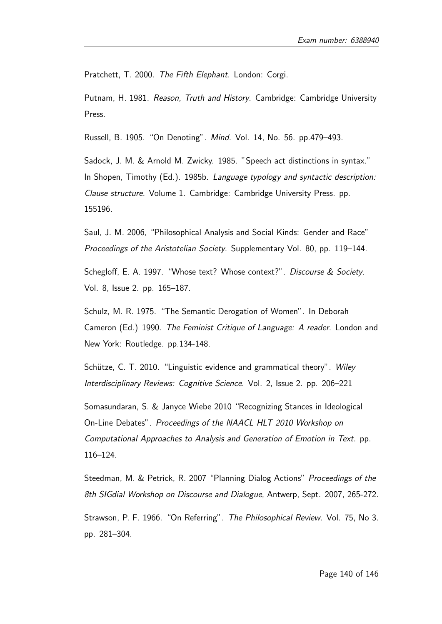Pratchett, T. 2000. The Fifth Elephant. London: Corgi.

Putnam, H. 1981. Reason, Truth and History. Cambridge: Cambridge University Press.

Russell, B. 1905. "On Denoting". Mind. Vol. 14, No. 56. pp.479–493.

Sadock, J. M. & Arnold M. Zwicky. 1985. "Speech act distinctions in syntax." In Shopen, Timothy (Ed.). 1985b. Language typology and syntactic description: Clause structure. Volume 1. Cambridge: Cambridge University Press. pp. 155196.

Saul, J. M. 2006, "Philosophical Analysis and Social Kinds: Gender and Race" Proceedings of the Aristotelian Society. Supplementary Vol. 80, pp. 119–144.

Schegloff, E. A. 1997. "Whose text? Whose context?". Discourse & Society. Vol. 8, Issue 2. pp. 165–187.

Schulz, M. R. 1975. "The Semantic Derogation of Women". In Deborah Cameron (Ed.) 1990. The Feminist Critique of Language: A reader. London and New York: Routledge. pp.134-148.

Schütze, C. T. 2010. "Linguistic evidence and grammatical theory". Wiley Interdisciplinary Reviews: Cognitive Science. Vol. 2, Issue 2. pp. 206–221

Somasundaran, S. & Janyce Wiebe 2010 "Recognizing Stances in Ideological On-Line Debates". Proceedings of the NAACL HLT 2010 Workshop on Computational Approaches to Analysis and Generation of Emotion in Text. pp. 116–124.

Steedman, M. & Petrick, R. 2007 "Planning Dialog Actions" Proceedings of the 8th SIGdial Workshop on Discourse and Dialogue, Antwerp, Sept. 2007, 265-272.

Strawson, P. F. 1966. "On Referring". The Philosophical Review. Vol. 75, No 3. pp. 281–304.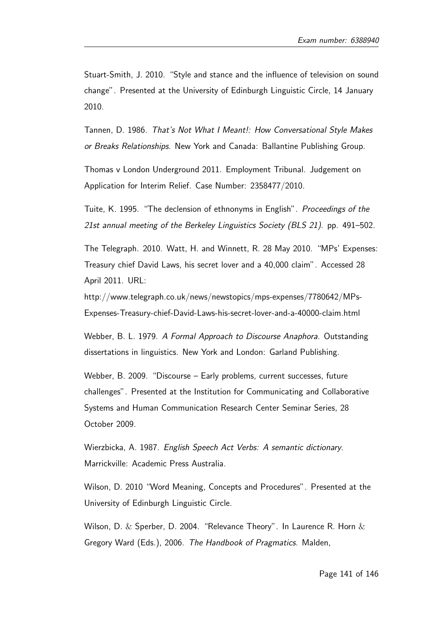Stuart-Smith, J. 2010. "Style and stance and the influence of television on sound change". Presented at the University of Edinburgh Linguistic Circle, 14 January 2010.

Tannen, D. 1986. That's Not What I Meant!: How Conversational Style Makes or Breaks Relationships. New York and Canada: Ballantine Publishing Group.

Thomas v London Underground 2011. Employment Tribunal. Judgement on Application for Interim Relief. Case Number: 2358477/2010.

Tuite, K. 1995. "The declension of ethnonyms in English". Proceedings of the 21st annual meeting of the Berkeley Linguistics Society (BLS 21). pp. 491–502.

The Telegraph. 2010. Watt, H. and Winnett, R. 28 May 2010. "MPs' Expenses: Treasury chief David Laws, his secret lover and a 40,000 claim". Accessed 28 April 2011. URL:

http://www.telegraph.co.uk/news/newstopics/mps-expenses/7780642/MPs-Expenses-Treasury-chief-David-Laws-his-secret-lover-and-a-40000-claim.html

Webber, B. L. 1979. A Formal Approach to Discourse Anaphora. Outstanding dissertations in linguistics. New York and London: Garland Publishing.

Webber, B. 2009. "Discourse – Early problems, current successes, future challenges". Presented at the Institution for Communicating and Collaborative Systems and Human Communication Research Center Seminar Series, 28 October 2009.

Wierzbicka, A. 1987. English Speech Act Verbs: A semantic dictionary. Marrickville: Academic Press Australia.

Wilson, D. 2010 "Word Meaning, Concepts and Procedures". Presented at the University of Edinburgh Linguistic Circle.

Wilson, D.  $\&$  Sperber, D. 2004. "Relevance Theory". In Laurence R. Horn  $\&$ Gregory Ward (Eds.), 2006. The Handbook of Pragmatics. Malden,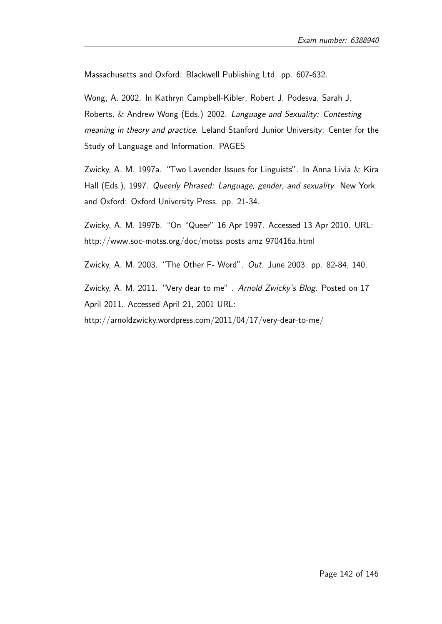Massachusetts and Oxford: Blackwell Publishing Ltd. pp. 607-632.

Wong, A. 2002. In Kathryn Campbell-Kibler, Robert J. Podesva, Sarah J. Roberts, & Andrew Wong (Eds.) 2002. Language and Sexuality: Contesting meaning in theory and practice. Leland Stanford Junior University: Center for the Study of Language and Information. PAGES

Zwicky, A. M. 1997a. "Two Lavender Issues for Linguists". In Anna Livia  $\&$  Kira Hall (Eds.), 1997. Queerly Phrased: Language, gender, and sexuality. New York and Oxford: Oxford University Press. pp. 21-34.

Zwicky, A. M. 1997b. "On "Queer" 16 Apr 1997. Accessed 13 Apr 2010. URL: http://www.soc-motss.org/doc/motss\_posts\_amz\_970416a.html

Zwicky, A. M. 2003. "The Other F- Word". Out. June 2003. pp. 82-84, 140.

Zwicky, A. M. 2011. "Very dear to me" . Arnold Zwicky's Blog. Posted on 17 April 2011. Accessed April 21, 2001 URL:

http://arnoldzwicky.wordpress.com/2011/04/17/very-dear-to-me/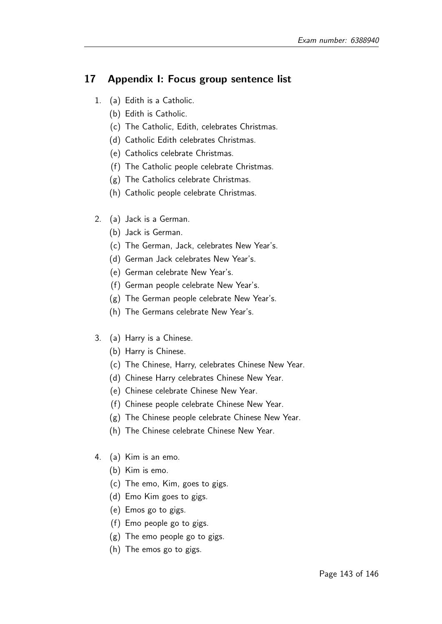# 17 Appendix I: Focus group sentence list

- 1. (a) Edith is a Catholic.
	- (b) Edith is Catholic.
	- (c) The Catholic, Edith, celebrates Christmas.
	- (d) Catholic Edith celebrates Christmas.
	- (e) Catholics celebrate Christmas.
	- (f) The Catholic people celebrate Christmas.
	- (g) The Catholics celebrate Christmas.
	- (h) Catholic people celebrate Christmas.
- 2. (a) Jack is a German.
	- (b) Jack is German.
	- (c) The German, Jack, celebrates New Year's.
	- (d) German Jack celebrates New Year's.
	- (e) German celebrate New Year's.
	- (f) German people celebrate New Year's.
	- (g) The German people celebrate New Year's.
	- (h) The Germans celebrate New Year's.
- 3. (a) Harry is a Chinese.
	- (b) Harry is Chinese.
	- (c) The Chinese, Harry, celebrates Chinese New Year.
	- (d) Chinese Harry celebrates Chinese New Year.
	- (e) Chinese celebrate Chinese New Year.
	- (f) Chinese people celebrate Chinese New Year.
	- (g) The Chinese people celebrate Chinese New Year.
	- (h) The Chinese celebrate Chinese New Year.
- 4. (a) Kim is an emo.
	- (b) Kim is emo.
	- (c) The emo, Kim, goes to gigs.
	- (d) Emo Kim goes to gigs.
	- (e) Emos go to gigs.
	- (f) Emo people go to gigs.
	- (g) The emo people go to gigs.
	- (h) The emos go to gigs.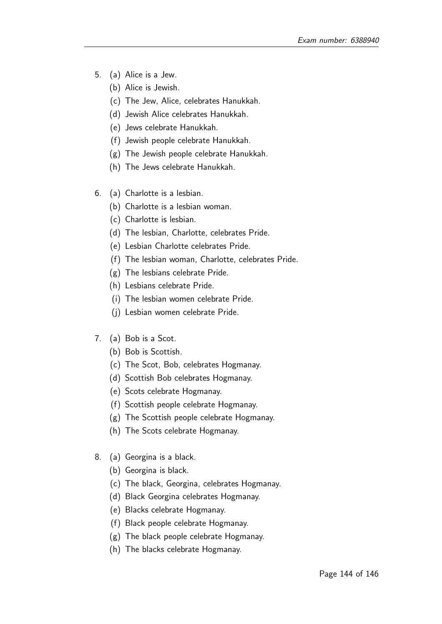- 5. (a) Alice is a Jew.
	- (b) Alice is Jewish.
	- (c) The Jew, Alice, celebrates Hanukkah.
	- (d) Jewish Alice celebrates Hanukkah.
	- (e) Jews celebrate Hanukkah.
	- (f) Jewish people celebrate Hanukkah.
	- (g) The Jewish people celebrate Hanukkah.
	- (h) The Jews celebrate Hanukkah.
- 6. (a) Charlotte is a lesbian.
	- (b) Charlotte is a lesbian woman.
	- (c) Charlotte is lesbian.
	- (d) The lesbian, Charlotte, celebrates Pride.
	- (e) Lesbian Charlotte celebrates Pride.
	- (f) The lesbian woman, Charlotte, celebrates Pride.
	- (g) The lesbians celebrate Pride.
	- (h) Lesbians celebrate Pride.
	- (i) The lesbian women celebrate Pride.
	- (j) Lesbian women celebrate Pride.
- 7. (a) Bob is a Scot.
	- (b) Bob is Scottish.
	- (c) The Scot, Bob, celebrates Hogmanay.
	- (d) Scottish Bob celebrates Hogmanay.
	- (e) Scots celebrate Hogmanay.
	- (f) Scottish people celebrate Hogmanay.
	- (g) The Scottish people celebrate Hogmanay.
	- (h) The Scots celebrate Hogmanay.
- 8. (a) Georgina is a black.
	- (b) Georgina is black.
	- (c) The black, Georgina, celebrates Hogmanay.
	- (d) Black Georgina celebrates Hogmanay.
	- (e) Blacks celebrate Hogmanay.
	- (f) Black people celebrate Hogmanay.
	- (g) The black people celebrate Hogmanay.
	- (h) The blacks celebrate Hogmanay.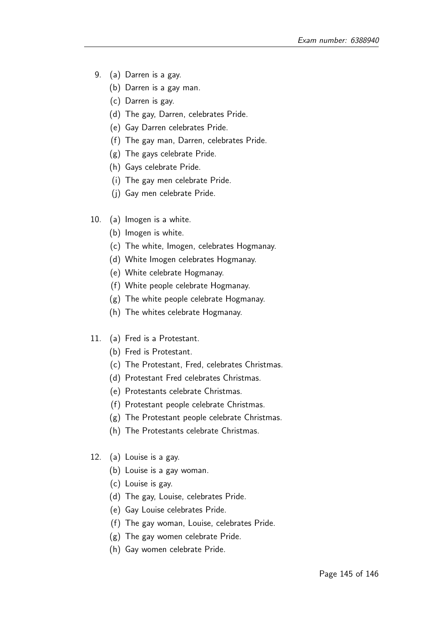- 9. (a) Darren is a gay.
	- (b) Darren is a gay man.
	- (c) Darren is gay.
	- (d) The gay, Darren, celebrates Pride.
	- (e) Gay Darren celebrates Pride.
	- (f) The gay man, Darren, celebrates Pride.
	- (g) The gays celebrate Pride.
	- (h) Gays celebrate Pride.
	- (i) The gay men celebrate Pride.
	- (j) Gay men celebrate Pride.
- 10. (a) Imogen is a white.
	- (b) Imogen is white.
	- (c) The white, Imogen, celebrates Hogmanay.
	- (d) White Imogen celebrates Hogmanay.
	- (e) White celebrate Hogmanay.
	- (f) White people celebrate Hogmanay.
	- (g) The white people celebrate Hogmanay.
	- (h) The whites celebrate Hogmanay.
- 11. (a) Fred is a Protestant.
	- (b) Fred is Protestant.
	- (c) The Protestant, Fred, celebrates Christmas.
	- (d) Protestant Fred celebrates Christmas.
	- (e) Protestants celebrate Christmas.
	- (f) Protestant people celebrate Christmas.
	- (g) The Protestant people celebrate Christmas.
	- (h) The Protestants celebrate Christmas.
- 12. (a) Louise is a gay.
	- (b) Louise is a gay woman.
	- (c) Louise is gay.
	- (d) The gay, Louise, celebrates Pride.
	- (e) Gay Louise celebrates Pride.
	- (f) The gay woman, Louise, celebrates Pride.
	- (g) The gay women celebrate Pride.
	- (h) Gay women celebrate Pride.